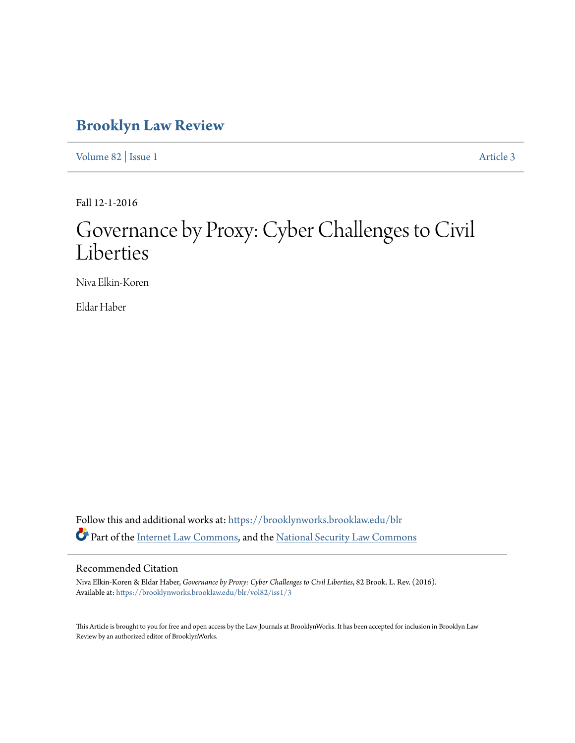## **[Brooklyn Law Review](https://brooklynworks.brooklaw.edu/blr?utm_source=brooklynworks.brooklaw.edu%2Fblr%2Fvol82%2Fiss1%2F3&utm_medium=PDF&utm_campaign=PDFCoverPages)**

[Volume 82](https://brooklynworks.brooklaw.edu/blr/vol82?utm_source=brooklynworks.brooklaw.edu%2Fblr%2Fvol82%2Fiss1%2F3&utm_medium=PDF&utm_campaign=PDFCoverPages) | [Issue 1](https://brooklynworks.brooklaw.edu/blr/vol82/iss1?utm_source=brooklynworks.brooklaw.edu%2Fblr%2Fvol82%2Fiss1%2F3&utm_medium=PDF&utm_campaign=PDFCoverPages) [Article 3](https://brooklynworks.brooklaw.edu/blr/vol82/iss1/3?utm_source=brooklynworks.brooklaw.edu%2Fblr%2Fvol82%2Fiss1%2F3&utm_medium=PDF&utm_campaign=PDFCoverPages)

Fall 12-1-2016

# Governance by Proxy: Cyber Challenges to Civil Liberties

Niva Elkin-Koren

Eldar Haber

Follow this and additional works at: [https://brooklynworks.brooklaw.edu/blr](https://brooklynworks.brooklaw.edu/blr?utm_source=brooklynworks.brooklaw.edu%2Fblr%2Fvol82%2Fiss1%2F3&utm_medium=PDF&utm_campaign=PDFCoverPages) Part of the [Internet Law Commons,](http://network.bepress.com/hgg/discipline/892?utm_source=brooklynworks.brooklaw.edu%2Fblr%2Fvol82%2Fiss1%2F3&utm_medium=PDF&utm_campaign=PDFCoverPages) and the [National Security Law Commons](http://network.bepress.com/hgg/discipline/1114?utm_source=brooklynworks.brooklaw.edu%2Fblr%2Fvol82%2Fiss1%2F3&utm_medium=PDF&utm_campaign=PDFCoverPages)

### Recommended Citation

Niva Elkin-Koren & Eldar Haber, *Governance by Proxy: Cyber Challenges to Civil Liberties*, 82 Brook. L. Rev. (2016). Available at: [https://brooklynworks.brooklaw.edu/blr/vol82/iss1/3](https://brooklynworks.brooklaw.edu/blr/vol82/iss1/3?utm_source=brooklynworks.brooklaw.edu%2Fblr%2Fvol82%2Fiss1%2F3&utm_medium=PDF&utm_campaign=PDFCoverPages)

This Article is brought to you for free and open access by the Law Journals at BrooklynWorks. It has been accepted for inclusion in Brooklyn Law Review by an authorized editor of BrooklynWorks.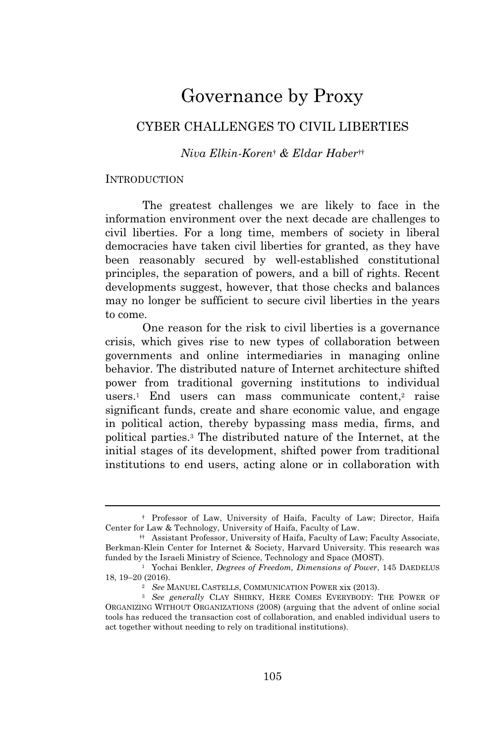## Governance by Proxy

## CYBER CHALLENGES TO CIVIL LIBERTIES

### *Niva Elkin-Koren*† *& Eldar Haber*††

#### **INTRODUCTION**

The greatest challenges we are likely to face in the information environment over the next decade are challenges to civil liberties. For a long time, members of society in liberal democracies have taken civil liberties for granted, as they have been reasonably secured by well-established constitutional principles, the separation of powers, and a bill of rights. Recent developments suggest, however, that those checks and balances may no longer be sufficient to secure civil liberties in the years to come.

One reason for the risk to civil liberties is a governance crisis, which gives rise to new types of collaboration between governments and online intermediaries in managing online behavior. The distributed nature of Internet architecture shifted power from traditional governing institutions to individual users.<sup>1</sup> End users can mass communicate content,<sup>2</sup> raise significant funds, create and share economic value, and engage in political action, thereby bypassing mass media, firms, and political parties.<sup>3</sup> The distributed nature of the Internet, at the initial stages of its development, shifted power from traditional institutions to end users, acting alone or in collaboration with

<sup>†</sup> Professor of Law, University of Haifa, Faculty of Law; Director, Haifa Center for Law & Technology, University of Haifa, Faculty of Law.

<sup>††</sup> Assistant Professor, University of Haifa, Faculty of Law; Faculty Associate, Berkman-Klein Center for Internet & Society, Harvard University. This research was funded by the Israeli Ministry of Science, Technology and Space (MOST).

<sup>1</sup> Yochai Benkler, *Degrees of Freedom, Dimensions of Power*, 145 DAEDELUS 18, 19–20 (2016).

<sup>2</sup> *See* MANUEL CASTELLS, COMMUNICATION POWER xix (2013).

<sup>3</sup> *See generally* CLAY SHIRKY, HERE COMES EVERYBODY: THE POWER OF ORGANIZING WITHOUT ORGANIZATIONS (2008) (arguing that the advent of online social tools has reduced the transaction cost of collaboration, and enabled individual users to act together without needing to rely on traditional institutions).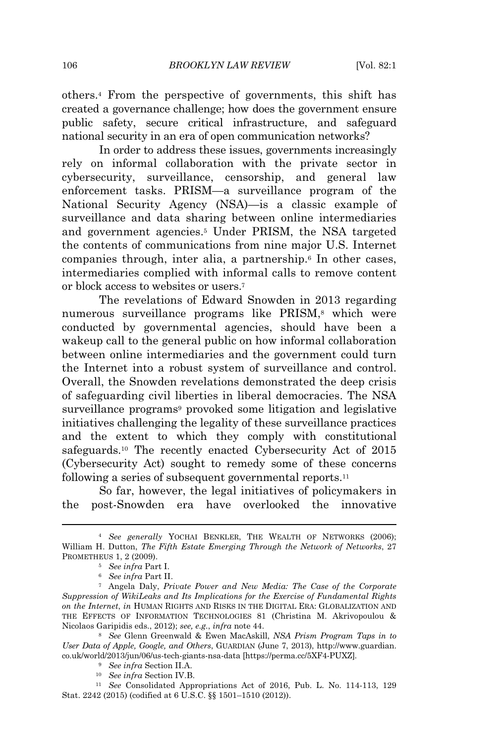others.<sup>4</sup> From the perspective of governments, this shift has created a governance challenge; how does the government ensure public safety, secure critical infrastructure, and safeguard national security in an era of open communication networks?

In order to address these issues, governments increasingly rely on informal collaboration with the private sector in cybersecurity, surveillance, censorship, and general law enforcement tasks. PRISM—a surveillance program of the National Security Agency (NSA)—is a classic example of surveillance and data sharing between online intermediaries and government agencies.<sup>5</sup> Under PRISM, the NSA targeted the contents of communications from nine major U.S. Internet companies through, inter alia, a partnership.<sup>6</sup> In other cases, intermediaries complied with informal calls to remove content or block access to websites or users.<sup>7</sup>

The revelations of Edward Snowden in 2013 regarding numerous surveillance programs like PRISM,<sup>8</sup> which were conducted by governmental agencies, should have been a wakeup call to the general public on how informal collaboration between online intermediaries and the government could turn the Internet into a robust system of surveillance and control. Overall, the Snowden revelations demonstrated the deep crisis of safeguarding civil liberties in liberal democracies. The NSA surveillance programs<sup>9</sup> provoked some litigation and legislative initiatives challenging the legality of these surveillance practices and the extent to which they comply with constitutional safeguards.<sup>10</sup> The recently enacted Cybersecurity Act of 2015 (Cybersecurity Act) sought to remedy some of these concerns following a series of subsequent governmental reports.<sup>11</sup>

So far, however, the legal initiatives of policymakers in the post-Snowden era have overlooked the innovative

<sup>4</sup> *See generally* YOCHAI BENKLER, THE WEALTH OF NETWORKS (2006); William H. Dutton, *The Fifth Estate Emerging Through the Network of Networks*, 27 PROMETHEUS 1, 2 (2009). <sup>5</sup> *See infra* Part I.

<sup>6</sup> *See infra* Part II.

<sup>7</sup> Angela Daly, *Private Power and New Media: The Case of the Corporate Suppression of WikiLeaks and Its Implications for the Exercise of Fundamental Rights on the Internet*, *in* HUMAN RIGHTS AND RISKS IN THE DIGITAL ERA: GLOBALIZATION AND THE EFFECTS OF INFORMATION TECHNOLOGIES 81 (Christina M. Akrivopoulou & Nicolaos Garipidis eds., 2012); *see, e.g.*, *infra* note 44.

<sup>8</sup> *See* Glenn Greenwald & Ewen MacAskill, *NSA Prism Program Taps in to User Data of Apple, Google, and Others*, GUARDIAN (June 7, 2013), http://www.guardian. co.uk/world/2013/jun/06/us-tech-giants-nsa-data [https://perma.cc/5XF4-PUXZ]*.*

<sup>9</sup> *See infra* Section II.A.

<sup>10</sup> *See infra* Section IV.B.

<sup>11</sup> *See* Consolidated Appropriations Act of 2016, Pub. L. No. 114-113, 129 Stat. 2242 (2015) (codified at 6 U.S.C. §§ 1501–1510 (2012)).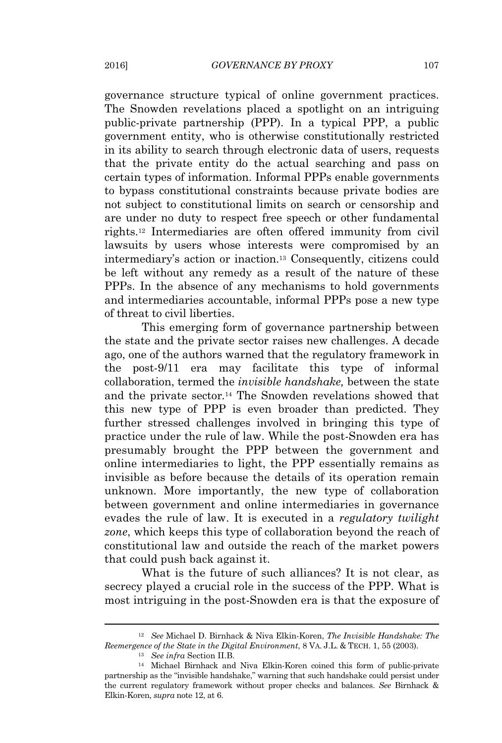governance structure typical of online government practices. The Snowden revelations placed a spotlight on an intriguing public-private partnership (PPP). In a typical PPP, a public government entity, who is otherwise constitutionally restricted in its ability to search through electronic data of users, requests that the private entity do the actual searching and pass on certain types of information. Informal PPPs enable governments to bypass constitutional constraints because private bodies are not subject to constitutional limits on search or censorship and are under no duty to respect free speech or other fundamental rights.<sup>12</sup> Intermediaries are often offered immunity from civil lawsuits by users whose interests were compromised by an intermediary's action or inaction.<sup>13</sup> Consequently, citizens could be left without any remedy as a result of the nature of these PPPs. In the absence of any mechanisms to hold governments and intermediaries accountable, informal PPPs pose a new type of threat to civil liberties.

This emerging form of governance partnership between the state and the private sector raises new challenges. A decade ago, one of the authors warned that the regulatory framework in the post-9/11 era may facilitate this type of informal collaboration, termed the *invisible handshake,* between the state and the private sector*.* <sup>14</sup> The Snowden revelations showed that this new type of PPP is even broader than predicted. They further stressed challenges involved in bringing this type of practice under the rule of law. While the post-Snowden era has presumably brought the PPP between the government and online intermediaries to light, the PPP essentially remains as invisible as before because the details of its operation remain unknown. More importantly, the new type of collaboration between government and online intermediaries in governance evades the rule of law. It is executed in a *regulatory twilight zone*, which keeps this type of collaboration beyond the reach of constitutional law and outside the reach of the market powers that could push back against it.

What is the future of such alliances? It is not clear, as secrecy played a crucial role in the success of the PPP. What is most intriguing in the post-Snowden era is that the exposure of

<sup>12</sup> *See* Michael D. Birnhack & Niva Elkin-Koren, *The Invisible Handshake: The Reemergence of the State in the Digital Environment*, 8 VA. J.L. & TECH. 1, 55 (2003).

<sup>13</sup> *See infra* Section II.B.

<sup>14</sup> Michael Birnhack and Niva Elkin-Koren coined this form of public-private partnership as the "invisible handshake," warning that such handshake could persist under the current regulatory framework without proper checks and balances. *See* Birnhack & Elkin-Koren, *supra* note 12, at 6.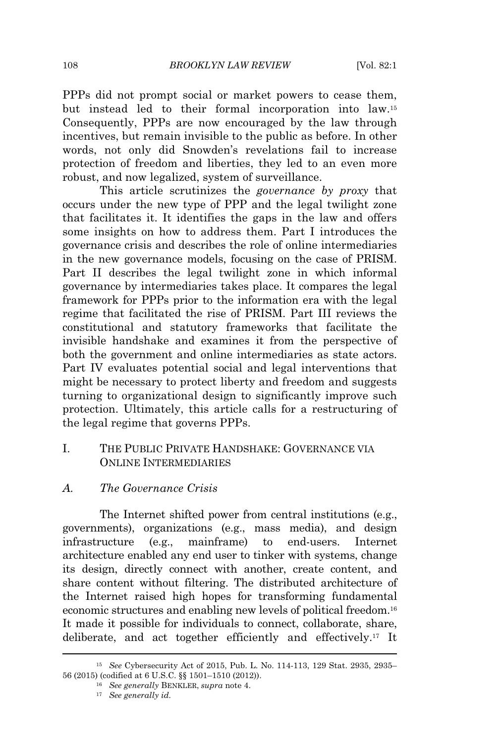PPPs did not prompt social or market powers to cease them, but instead led to their formal incorporation into law.<sup>15</sup> Consequently, PPPs are now encouraged by the law through incentives, but remain invisible to the public as before. In other words, not only did Snowden's revelations fail to increase protection of freedom and liberties, they led to an even more robust, and now legalized, system of surveillance.

This article scrutinizes the *governance by proxy* that occurs under the new type of PPP and the legal twilight zone that facilitates it. It identifies the gaps in the law and offers some insights on how to address them. Part I introduces the governance crisis and describes the role of online intermediaries in the new governance models, focusing on the case of PRISM. Part II describes the legal twilight zone in which informal governance by intermediaries takes place. It compares the legal framework for PPPs prior to the information era with the legal regime that facilitated the rise of PRISM. Part III reviews the constitutional and statutory frameworks that facilitate the invisible handshake and examines it from the perspective of both the government and online intermediaries as state actors. Part IV evaluates potential social and legal interventions that might be necessary to protect liberty and freedom and suggests turning to organizational design to significantly improve such protection. Ultimately, this article calls for a restructuring of the legal regime that governs PPPs.

### I. THE PUBLIC PRIVATE HANDSHAKE: GOVERNANCE VIA ONLINE INTERMEDIARIES

## *A. The Governance Crisis*

The Internet shifted power from central institutions (e.g., governments), organizations (e.g., mass media), and design infrastructure (e.g., mainframe) to end-users. Internet architecture enabled any end user to tinker with systems, change its design, directly connect with another, create content, and share content without filtering. The distributed architecture of the Internet raised high hopes for transforming fundamental economic structures and enabling new levels of political freedom.<sup>16</sup> It made it possible for individuals to connect, collaborate, share, deliberate, and act together efficiently and effectively.<sup>17</sup> It

<sup>15</sup> *See* Cybersecurity Act of 2015, Pub. L. No. 114-113, 129 Stat. 2935, 2935– 56 (2015) (codified at 6 U.S.C. §§ 1501–1510 (2012)).

<sup>16</sup> *See generally* BENKLER, *supra* note 4.

<sup>17</sup> *See generally id.*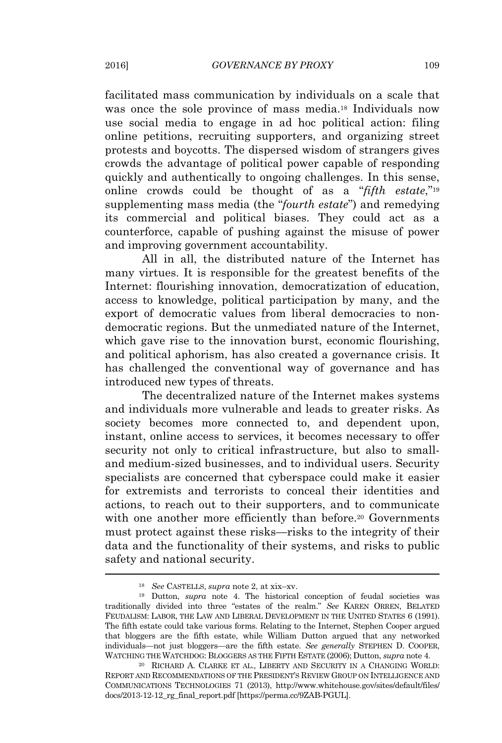facilitated mass communication by individuals on a scale that was once the sole province of mass media.<sup>18</sup> Individuals now use social media to engage in ad hoc political action: filing online petitions, recruiting supporters, and organizing street protests and boycotts. The dispersed wisdom of strangers gives crowds the advantage of political power capable of responding quickly and authentically to ongoing challenges. In this sense, online crowds could be thought of as a "*fifth estate*,"<sup>19</sup> supplementing mass media (the "*fourth estate*") and remedying its commercial and political biases. They could act as a counterforce, capable of pushing against the misuse of power and improving government accountability.

All in all, the distributed nature of the Internet has many virtues. It is responsible for the greatest benefits of the Internet: flourishing innovation, democratization of education, access to knowledge, political participation by many, and the export of democratic values from liberal democracies to nondemocratic regions. But the unmediated nature of the Internet, which gave rise to the innovation burst, economic flourishing, and political aphorism, has also created a governance crisis. It has challenged the conventional way of governance and has introduced new types of threats.

The decentralized nature of the Internet makes systems and individuals more vulnerable and leads to greater risks. As society becomes more connected to, and dependent upon, instant, online access to services, it becomes necessary to offer security not only to critical infrastructure, but also to smalland medium-sized businesses, and to individual users. Security specialists are concerned that cyberspace could make it easier for extremists and terrorists to conceal their identities and actions, to reach out to their supporters, and to communicate with one another more efficiently than before.<sup>20</sup> Governments must protect against these risks—risks to the integrity of their data and the functionality of their systems, and risks to public safety and national security.

<sup>18</sup> *See* <sup>C</sup>ASTELLS, *supra* note 2, at xix–xv.

<sup>19</sup> Dutton, *supra* note 4. The historical conception of feudal societies was traditionally divided into three "estates of the realm." *See* <sup>K</sup>AREN <sup>O</sup>RREN, BELATED FEUDALISM: LABOR, THE LAW AND LIBERAL DEVELOPMENT IN THE UNITED STATES 6 (1991). The fifth estate could take various forms. Relating to the Internet, Stephen Cooper argued that bloggers are the fifth estate, while William Dutton argued that any networked individuals—not just bloggers—are the fifth estate. *See generally* <sup>S</sup>TEPHEN D. COOPER, WATCHING THE WATCHDOG: BLOGGERS AS THE FIFTH ESTATE (2006); Dutton, *supra* note 4.

 $^{20}$  RICHARD A. CLARKE ET AL., LIBERTY AND SECURITY IN A CHANGING WORLD: REPORT AND RECOMMENDATIONS OF THE PRESIDENT'<sup>S</sup> REVIEW GROUP ON INTELLIGENCE AND COMMUNICATIONS TECHNOLOGIES 71 (2013), http://www.whitehouse.gov/sites/default/files/ docs/2013-12-12\_rg\_final\_report.pdf [https://perma.cc/9ZAB-PGUL].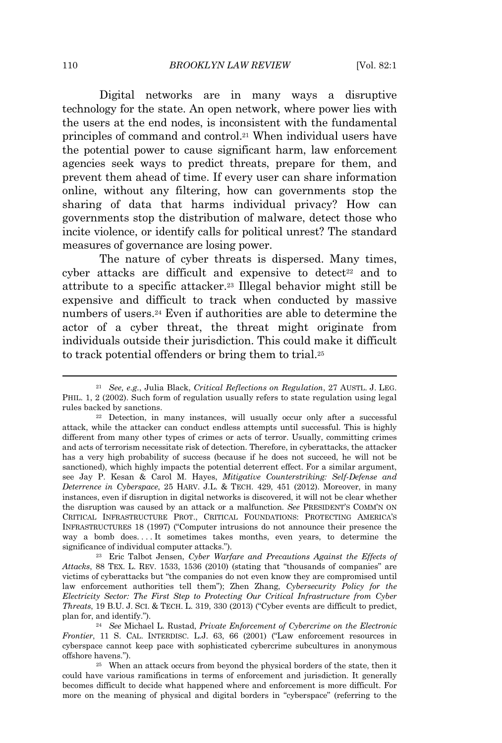Digital networks are in many ways a disruptive technology for the state. An open network, where power lies with the users at the end nodes, is inconsistent with the fundamental principles of command and control.<sup>21</sup> When individual users have the potential power to cause significant harm, law enforcement agencies seek ways to predict threats, prepare for them, and prevent them ahead of time. If every user can share information online, without any filtering, how can governments stop the sharing of data that harms individual privacy? How can governments stop the distribution of malware, detect those who incite violence, or identify calls for political unrest? The standard measures of governance are losing power.

The nature of cyber threats is dispersed. Many times, cyber attacks are difficult and expensive to detect<sup>22</sup> and to attribute to a specific attacker.<sup>23</sup> Illegal behavior might still be expensive and difficult to track when conducted by massive numbers of users.<sup>24</sup> Even if authorities are able to determine the actor of a cyber threat, the threat might originate from individuals outside their jurisdiction. This could make it difficult to track potential offenders or bring them to trial.<sup>25</sup>

<sup>23</sup> Eric Talbot Jensen, *Cyber Warfare and Precautions Against the Effects of Attacks*, 88 TEX. L. REV. 1533, <sup>1536</sup> (2010) (stating that "thousands of companies" are victims of cyberattacks but "the companies do not even know they are compromised until law enforcement authorities tell them"); Zhen Zhang, *Cybersecurity Policy for the Electricity Sector: The First Step to Protecting Our Critical Infrastructure from Cyber Threats*, 19 B.U. J. SCI. & TECH. L. 319, 330 (2013) ("Cyber events are difficult to predict, plan for, and identify.").

<sup>21</sup> *See, e.g.*, Julia Black, *Critical Reflections on Regulation*, 27 AUSTL. J. LEG. PHIL. 1, 2 (2002). Such form of regulation usually refers to state regulation using legal rules backed by sanctions.

<sup>22</sup> Detection, in many instances, will usually occur only after a successful attack, while the attacker can conduct endless attempts until successful. This is highly different from many other types of crimes or acts of terror. Usually, committing crimes and acts of terrorism necessitate risk of detection. Therefore, in cyberattacks, the attacker has a very high probability of success (because if he does not succeed, he will not be sanctioned), which highly impacts the potential deterrent effect. For a similar argument, see Jay P. Kesan & Carol M. Hayes, *Mitigative Counterstriking: Self-Defense and Deterrence in Cyberspace*, 25 HARV. J.L. & TECH. 429, 451 (2012). Moreover, in many instances, even if disruption in digital networks is discovered, it will not be clear whether the disruption was caused by an attack or a malfunction. *See* <sup>P</sup>RESIDENT'<sup>S</sup> <sup>C</sup>OMM'<sup>N</sup> ON CRITICAL INFRASTRUCTURE PROT., CRITICAL FOUNDATIONS: PROTECTING AMERICA'<sup>S</sup> INFRASTRUCTURES 18 (1997) ("Computer intrusions do not announce their presence the way a bomb does. . . . It sometimes takes months, even years, to determine the significance of individual computer attacks.").

<sup>24</sup> *See* Michael L. Rustad, *Private Enforcement of Cybercrime on the Electronic Frontier*, 11 S. CAL. INTERDISC. L.J. 63, 66 (2001) ("Law enforcement resources in cyberspace cannot keep pace with sophisticated cybercrime subcultures in anonymous offshore havens.").

<sup>25</sup> When an attack occurs from beyond the physical borders of the state, then it could have various ramifications in terms of enforcement and jurisdiction. It generally becomes difficult to decide what happened where and enforcement is more difficult. For more on the meaning of physical and digital borders in "cyberspace" (referring to the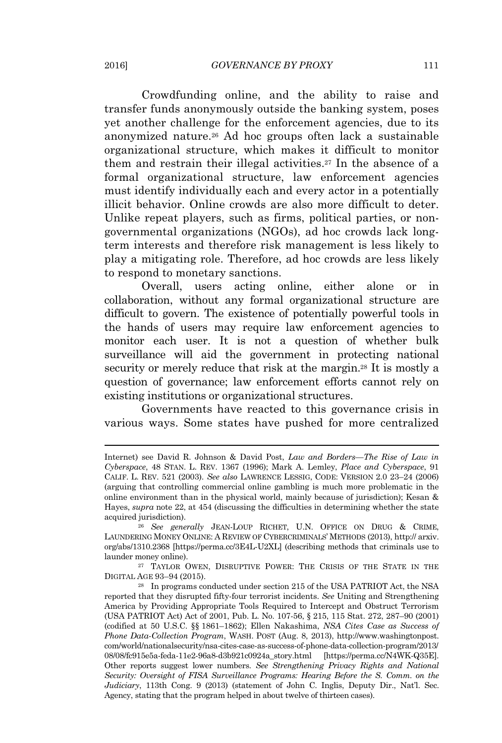Crowdfunding online, and the ability to raise and transfer funds anonymously outside the banking system, poses yet another challenge for the enforcement agencies, due to its anonymized nature.<sup>26</sup> Ad hoc groups often lack a sustainable organizational structure, which makes it difficult to monitor them and restrain their illegal activities.<sup>27</sup> In the absence of a formal organizational structure, law enforcement agencies must identify individually each and every actor in a potentially illicit behavior. Online crowds are also more difficult to deter. Unlike repeat players, such as firms, political parties, or nongovernmental organizations (NGOs), ad hoc crowds lack longterm interests and therefore risk management is less likely to play a mitigating role. Therefore, ad hoc crowds are less likely to respond to monetary sanctions.

Overall, users acting online, either alone or in collaboration, without any formal organizational structure are difficult to govern. The existence of potentially powerful tools in the hands of users may require law enforcement agencies to monitor each user. It is not a question of whether bulk surveillance will aid the government in protecting national security or merely reduce that risk at the margin.<sup>28</sup> It is mostly a question of governance; law enforcement efforts cannot rely on existing institutions or organizational structures.

Governments have reacted to this governance crisis in various ways. Some states have pushed for more centralized

<sup>27</sup> TAYLOR OWEN, DISRUPTIVE POWER: THE CRISIS OF THE STATE IN THE DIGITAL AGE 93–94 (2015).

Internet) see David R. Johnson & David Post, *Law and Borders—The Rise of Law in Cyberspace*, 48 STAN. L. REV. 1367 (1996); Mark A. Lemley, *Place and Cyberspace*, 91 <sup>C</sup>ALIF. L. REV. 521 (2003). *See also* <sup>L</sup>AWRENCE <sup>L</sup>ESSIG, CODE: VERSION 2.0 23–24 (2006) (arguing that controlling commercial online gambling is much more problematic in the online environment than in the physical world, mainly because of jurisdiction); Kesan & Hayes, *supra* note 22, at 454 (discussing the difficulties in determining whether the state acquired jurisdiction).

<sup>26</sup> *See generally* JEAN-LOUP RICHET, U.N. OFFICE ON DRUG & CRIME, LAUNDERING MONEY ONLINE: A REVIEW OF CYBERCRIMINALS' METHODS (2013), http:// arxiv. org/abs/1310.2368 [https://perma.cc/3E4L-U2XL] (describing methods that criminals use to launder money online).

<sup>28</sup> In programs conducted under section 215 of the USA PATRIOT Act, the NSA reported that they disrupted fifty-four terrorist incidents. *See* Uniting and Strengthening America by Providing Appropriate Tools Required to Intercept and Obstruct Terrorism (USA PATRIOT Act) Act of 2001, Pub. L. No. 107-56, § 215, 115 Stat. 272, 287–90 (2001) (codified at 50 U.S.C. §§ 1861–1862); Ellen Nakashima, *NSA Cites Case as Success of Phone Data-Collection Program*, WASH. POST (Aug. 8, 2013), http://www.washingtonpost. com/world/nationalsecurity/nsa-cites-case-as-success-of-phone-data-collection-program/2013/ 08/08/fc915e5a-feda-11e2-96a8-d3b921c0924a\_story.html [https://perma.cc/N4WK-Q35E]. Other reports suggest lower numbers. *See Strengthening Privacy Rights and National Security: Oversight of FISA Surveillance Programs: Hearing Before the S. Comm. on the Judiciary*, 113th Cong. 9 (2013) (statement of John C. Inglis, Deputy Dir., Nat'l. Sec. Agency, stating that the program helped in about twelve of thirteen cases).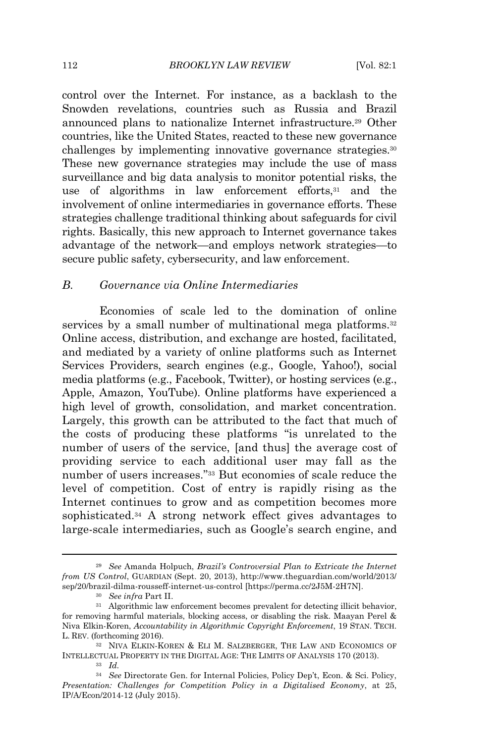#### 112 **BROOKLYN LAW REVIEW** [Vol. 82:1]

control over the Internet. For instance, as a backlash to the Snowden revelations, countries such as Russia and Brazil announced plans to nationalize Internet infrastructure.<sup>29</sup> Other countries, like the United States, reacted to these new governance challenges by implementing innovative governance strategies.<sup>30</sup> These new governance strategies may include the use of mass surveillance and big data analysis to monitor potential risks, the use of algorithms in law enforcement efforts, $31$  and the involvement of online intermediaries in governance efforts. These strategies challenge traditional thinking about safeguards for civil rights. Basically, this new approach to Internet governance takes advantage of the network—and employs network strategies—to secure public safety, cybersecurity, and law enforcement.

### *B. Governance via Online Intermediaries*

Economies of scale led to the domination of online services by a small number of multinational mega platforms.<sup>32</sup> Online access, distribution, and exchange are hosted, facilitated, and mediated by a variety of online platforms such as Internet Services Providers, search engines (e.g., Google, Yahoo!), social media platforms (e.g., Facebook, Twitter), or hosting services (e.g., Apple, Amazon, YouTube). Online platforms have experienced a high level of growth, consolidation, and market concentration. Largely, this growth can be attributed to the fact that much of the costs of producing these platforms "is unrelated to the number of users of the service, [and thus] the average cost of providing service to each additional user may fall as the number of users increases." <sup>33</sup> But economies of scale reduce the level of competition. Cost of entry is rapidly rising as the Internet continues to grow and as competition becomes more sophisticated.<sup>34</sup> A strong network effect gives advantages to large-scale intermediaries, such as Google's search engine, and

<sup>29</sup> *See* Amanda Holpuch, *Brazil's Controversial Plan to Extricate the Internet from US Control*, GUARDIAN (Sept. 20, 2013), http://www.theguardian.com/world/2013/ sep/20/brazil-dilma-rousseff-internet-us-control [https://perma.cc/2J5M-2H7N].

<sup>30</sup> *See infra* Part II.

<sup>31</sup> Algorithmic law enforcement becomes prevalent for detecting illicit behavior, for removing harmful materials, blocking access, or disabling the risk. Maayan Perel & Niva Elkin-Koren, *Accountability in Algorithmic Copyright Enforcement*, 19 STAN. TECH. L. REV. (forthcoming 2016).

<sup>32</sup> NIVA ELKIN-KOREN & ELI M. SALZBERGER, THE LAW AND ECONOMICS OF INTELLECTUAL PROPERTY IN THE DIGITAL AGE: THE LIMITS OF ANALYSIS 170 (2013).

 $33$  *Id.* 

<sup>34</sup> *See* Directorate Gen. for Internal Policies, Policy Dep't, Econ. & Sci. Policy, *Presentation: Challenges for Competition Policy in a Digitalised Economy*, at 25, IP/A/Econ/2014-12 (July 2015).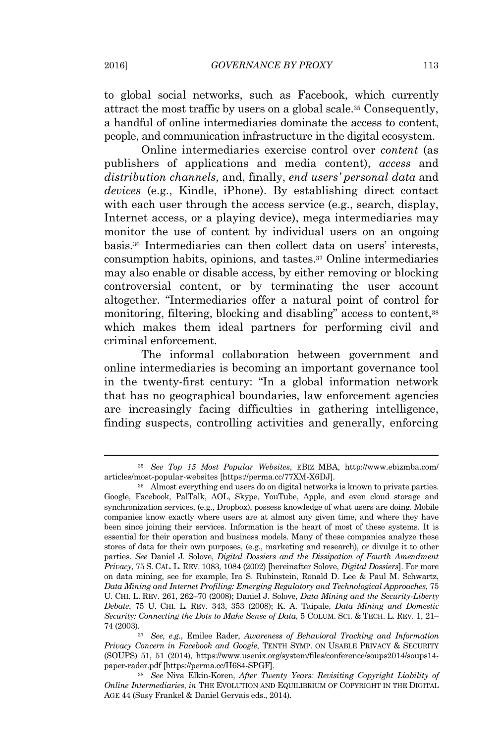to global social networks, such as Facebook, which currently attract the most traffic by users on a global scale.<sup>35</sup> Consequently, a handful of online intermediaries dominate the access to content, people, and communication infrastructure in the digital ecosystem.

Online intermediaries exercise control over *content* (as publishers of applications and media content), *access* and *distribution channels*, and, finally, *end users' personal data* and *devices* (e.g., Kindle, iPhone). By establishing direct contact with each user through the access service (e.g., search, display, Internet access, or a playing device), mega intermediaries may monitor the use of content by individual users on an ongoing basis.<sup>36</sup> Intermediaries can then collect data on users' interests, consumption habits, opinions, and tastes.<sup>37</sup> Online intermediaries may also enable or disable access, by either removing or blocking controversial content, or by terminating the user account altogether. "Intermediaries offer a natural point of control for monitoring, filtering, blocking and disabling" access to content,<sup>38</sup> which makes them ideal partners for performing civil and criminal enforcement*.*

The informal collaboration between government and online intermediaries is becoming an important governance tool in the twenty-first century: "In a global information network that has no geographical boundaries, law enforcement agencies are increasingly facing difficulties in gathering intelligence, finding suspects, controlling activities and generally, enforcing

<sup>35</sup> *See Top 15 Most Popular Websites*, <sup>E</sup>BIZ MBA, http://www.ebizmba.com/ articles/most-popular-websites [https://perma.cc/77XM-X6DJ].

<sup>36</sup> Almost everything end users do on digital networks is known to private parties. Google, Facebook, PalTalk, AOL, Skype, YouTube, Apple, and even cloud storage and synchronization services, (e.g., Dropbox), possess knowledge of what users are doing. Mobile companies know exactly where users are at almost any given time, and where they have been since joining their services. Information is the heart of most of these systems. It is essential for their operation and business models. Many of these companies analyze these stores of data for their own purposes, (e.g., marketing and research), or divulge it to other parties. *See* Daniel J. Solove, *Digital Dossiers and the Dissipation of Fourth Amendment Privacy*, 75 S. CAL. L. REV. 1083, 1084 (2002) [hereinafter Solove, *Digital Dossiers*]. For more on data mining, see for example, Ira S. Rubinstein, Ronald D. Lee & Paul M. Schwartz, *Data Mining and Internet Profiling: Emerging Regulatory and Technological Approaches*, 75 U. CHI. L. REV. 261, 262–70 (2008); Daniel J. Solove, *Data Mining and the Security-Liberty Debate*, 75 U. CHI. L. REV. 343, 353 (2008); K. A. Taipale, *Data Mining and Domestic Security: Connecting the Dots to Make Sense of Data*, 5 COLUM. SCI. & TECH. L. REV. 1, 21– 74 (2003).

<sup>37</sup> *See, e.g.*, Emilee Rader, *Awareness of Behavioral Tracking and Information Privacy Concern in Facebook and Google*, TENTH SYMP. ON USABLE PRIVACY & SECURITY (SOUPS) 51, 51 (2014), https://www.usenix.org/system/files/conference/soups2014/soups14 paper-rader.pdf [https://perma.cc/H684-SPGF].

<sup>38</sup> *See* Niva Elkin-Koren, *After Twenty Years: Revisiting Copyright Liability of Online Intermediaries*, *in* THE EVOLUTION AND EQUILIBRIUM OF COPYRIGHT IN THE DIGITAL AGE 44 (Susy Frankel & Daniel Gervais eds., 2014).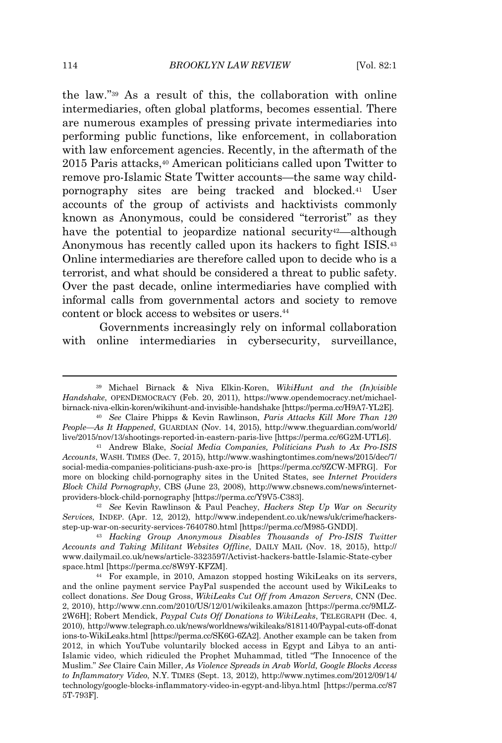the law." <sup>39</sup> As a result of this, the collaboration with online intermediaries, often global platforms, becomes essential. There are numerous examples of pressing private intermediaries into performing public functions, like enforcement, in collaboration with law enforcement agencies. Recently, in the aftermath of the 2015 Paris attacks,<sup>40</sup> American politicians called upon Twitter to remove pro-Islamic State Twitter accounts—the same way childpornography sites are being tracked and blocked.<sup>41</sup> User accounts of the group of activists and hacktivists commonly known as Anonymous, could be considered "terrorist" as they have the potential to jeopardize national security<sup>42</sup>—although Anonymous has recently called upon its hackers to fight ISIS.<sup>43</sup> Online intermediaries are therefore called upon to decide who is a terrorist, and what should be considered a threat to public safety. Over the past decade, online intermediaries have complied with informal calls from governmental actors and society to remove content or block access to websites or users.<sup>44</sup>

Governments increasingly rely on informal collaboration with online intermediaries in cybersecurity, surveillance,

<sup>42</sup> *See* Kevin Rawlinson & Paul Peachey, *Hackers Step Up War on Security Services*, INDEP. (Apr. 12, 2012), http://www.independent.co.uk/news/uk/crime/hackersstep-up-war-on-security-services-7640780.html [https://perma.cc/M985-GNDD].

<sup>39</sup> Michael Birnack & Niva Elkin-Koren, *WikiHunt and the (In)visible Handshake*, OPENDEMOCRACY (Feb. 20, 2011), https://www.opendemocracy.net/michaelbirnack-niva-elkin-koren/wikihunt-and-invisible-handshake [https://perma.cc/H9A7-YL2E].

<sup>40</sup> *See* Claire Phipps & Kevin Rawlinson, *Paris Attacks Kill More Than 120 People—As It Happened*, GUARDIAN (Nov. 14, 2015), http://www.theguardian.com/world/ live/2015/nov/13/shootings-reported-in-eastern-paris-live [https://perma.cc/6G2M-UTL6].

<sup>41</sup> Andrew Blake, *Social Media Companies, Politicians Push to Ax Pro-ISIS Accounts*, WASH. TIMES (Dec. 7, 2015), http://www.washingtontimes.com/news/2015/dec/7/ social-media-companies-politicians-push-axe-pro-is [https://perma.cc/9ZCW-MFRG]. For more on blocking child-pornography sites in the United States, see *Internet Providers Block Child Pornography*, CBS (June 23, 2008), http://www.cbsnews.com/news/internetproviders-block-child-pornography [https://perma.cc/Y9V5-C383].

<sup>43</sup> *Hacking Group Anonymous Disables Thousands of Pro-ISIS Twitter Accounts and Taking Militant Websites Offline*, DAILY MAIL (Nov. 18, 2015), http:// www.dailymail.co.uk/news/article-3323597/Activist-hackers-battle-Islamic-State-cyber space.html [https://perma.cc/8W9Y-KFZM].

<sup>44</sup> For example, in 2010, Amazon stopped hosting WikiLeaks on its servers, and the online payment service PayPal suspended the account used by WikiLeaks to collect donations. *See* Doug Gross, *WikiLeaks Cut Off from Amazon Servers*, CNN (Dec. 2, 2010), http://www.cnn.com/2010/US/12/01/wikileaks.amazon [https://perma.cc/9MLZ-2W6H]; Robert Mendick, *Paypal Cuts Off Donations to WikiLeaks*, TELEGRAPH (Dec. 4, 2010), http://www.telegraph.co.uk/news/worldnews/wikileaks/8181140/Paypal-cuts-off-donat ions-to-WikiLeaks.html [https://perma.cc/SK6G-6ZA2]. Another example can be taken from 2012, in which YouTube voluntarily blocked access in Egypt and Libya to an anti-Islamic video, which ridiculed the Prophet Muhammad, titled "The Innocence of the Muslim." *See* Claire Cain Miller, *As Violence Spreads in Arab World, Google Blocks Access to Inflammatory Video*, N.Y. TIMES (Sept. 13, 2012), http://www.nytimes.com/2012/09/14/ technology/google-blocks-inflammatory-video-in-egypt-and-libya.html [https://perma.cc/87 5T-793F].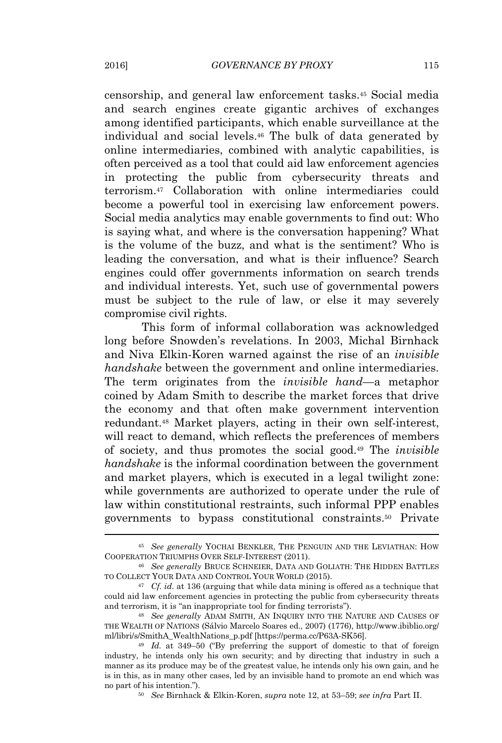censorship, and general law enforcement tasks.<sup>45</sup> Social media and search engines create gigantic archives of exchanges among identified participants, which enable surveillance at the individual and social levels.<sup>46</sup> The bulk of data generated by online intermediaries, combined with analytic capabilities, is often perceived as a tool that could aid law enforcement agencies in protecting the public from cybersecurity threats and terrorism.<sup>47</sup> Collaboration with online intermediaries could become a powerful tool in exercising law enforcement powers. Social media analytics may enable governments to find out: Who is saying what, and where is the conversation happening? What is the volume of the buzz, and what is the sentiment? Who is leading the conversation, and what is their influence? Search engines could offer governments information on search trends and individual interests. Yet, such use of governmental powers must be subject to the rule of law, or else it may severely compromise civil rights.

This form of informal collaboration was acknowledged long before Snowden's revelations. In 2003, Michal Birnhack and Niva Elkin-Koren warned against the rise of an *invisible handshake* between the government and online intermediaries. The term originates from the *invisible hand*—a metaphor coined by Adam Smith to describe the market forces that drive the economy and that often make government intervention redundant.<sup>48</sup> Market players, acting in their own self-interest, will react to demand, which reflects the preferences of members of society, and thus promotes the social good.<sup>49</sup> The *invisible handshake* is the informal coordination between the government and market players, which is executed in a legal twilight zone: while governments are authorized to operate under the rule of law within constitutional restraints, such informal PPP enables governments to bypass constitutional constraints.<sup>50</sup> Private

<sup>45</sup> *See generally* YOCHAI BENKLER, THE PENGUIN AND THE LEVIATHAN: HOW COOPERATION TRIUMPHS OVER SELF-INTEREST (2011).

<sup>46</sup> *See generally* BRUCE SCHNEIER, DATA AND GOLIATH: THE HIDDEN BATTLES TO COLLECT YOUR DATA AND CONTROL YOUR WORLD (2015).

<sup>47</sup> *Cf. id.* at 136 (arguing that while data mining is offered as a technique that could aid law enforcement agencies in protecting the public from cybersecurity threats and terrorism, it is "an inappropriate tool for finding terrorists").

<sup>48</sup> *See generally* ADAM SMITH, AN INQUIRY INTO THE NATURE AND CAUSES OF THE WEALTH OF NATIONS (Sálvio Marcelo Soares ed., 2007) (1776), http://www.ibiblio.org/ ml/libri/s/SmithA\_WealthNations\_p.pdf [https://perma.cc/P63A-SK56].

<sup>49</sup> *Id.* at 349–50 ("By preferring the support of domestic to that of foreign industry, he intends only his own security; and by directing that industry in such a manner as its produce may be of the greatest value, he intends only his own gain, and he is in this, as in many other cases, led by an invisible hand to promote an end which was no part of his intention.").

<sup>50</sup> *See* Birnhack & Elkin-Koren, *supra* note 12, at 53–59; *see infra* Part II.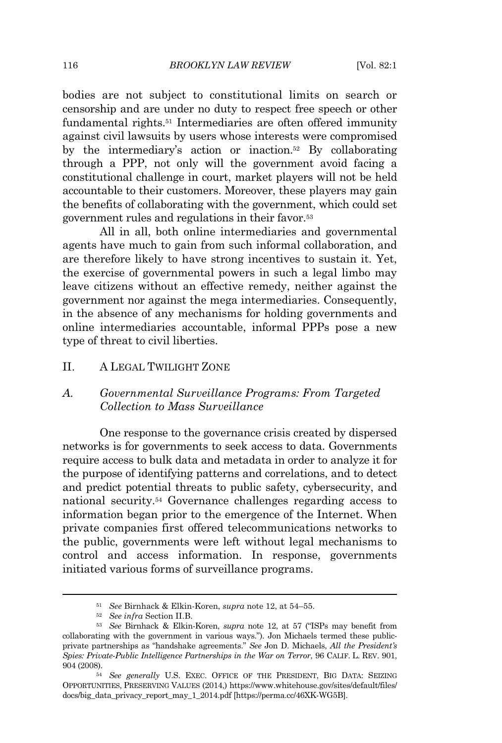bodies are not subject to constitutional limits on search or censorship and are under no duty to respect free speech or other fundamental rights.<sup>51</sup> Intermediaries are often offered immunity against civil lawsuits by users whose interests were compromised by the intermediary's action or inaction.<sup>52</sup> By collaborating through a PPP, not only will the government avoid facing a constitutional challenge in court, market players will not be held accountable to their customers. Moreover, these players may gain the benefits of collaborating with the government, which could set government rules and regulations in their favor.<sup>53</sup>

All in all, both online intermediaries and governmental agents have much to gain from such informal collaboration, and are therefore likely to have strong incentives to sustain it. Yet, the exercise of governmental powers in such a legal limbo may leave citizens without an effective remedy, neither against the government nor against the mega intermediaries. Consequently, in the absence of any mechanisms for holding governments and online intermediaries accountable, informal PPPs pose a new type of threat to civil liberties.

#### II. A LEGAL TWILIGHT ZONE

## *A. Governmental Surveillance Programs: From Targeted Collection to Mass Surveillance*

One response to the governance crisis created by dispersed networks is for governments to seek access to data. Governments require access to bulk data and metadata in order to analyze it for the purpose of identifying patterns and correlations, and to detect and predict potential threats to public safety, cybersecurity, and national security.<sup>54</sup> Governance challenges regarding access to information began prior to the emergence of the Internet. When private companies first offered telecommunications networks to the public, governments were left without legal mechanisms to control and access information. In response, governments initiated various forms of surveillance programs.

<sup>51</sup> *See* Birnhack & Elkin-Koren, *supra* note 12, at 54–55.

<sup>52</sup> *See infra* Section II.B.

<sup>53</sup> *See* Birnhack & Elkin-Koren, *supra* note 12, at 57 ("ISPs may benefit from collaborating with the government in various ways."). Jon Michaels termed these publicprivate partnerships as "handshake agreements." *See* Jon D. Michaels, *All the President's Spies: Private-Public Intelligence Partnerships in the War on Terror*, 96 CALIF. L. REV. 901, 904 (2008).

<sup>&</sup>lt;sub>54</sub> *See generally* U.S. EXEC. OFFICE OF THE PRESIDENT, BIG DATA: SEIZING OPPORTUNITIES, PRESERVING VALUES (2014,) https://www.whitehouse.gov/sites/default/files/ docs/big\_data\_privacy\_report\_may\_1\_2014.pdf [https://perma.cc/46XK-WG5B].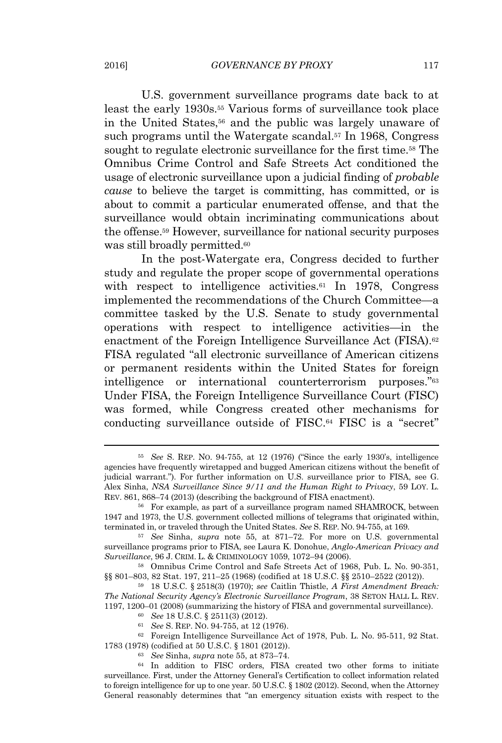U.S. government surveillance programs date back to at least the early 1930s.<sup>55</sup> Various forms of surveillance took place in the United States,<sup>56</sup> and the public was largely unaware of such programs until the Watergate scandal.<sup>57</sup> In 1968, Congress sought to regulate electronic surveillance for the first time.<sup>58</sup> The Omnibus Crime Control and Safe Streets Act conditioned the usage of electronic surveillance upon a judicial finding of *probable cause* to believe the target is committing, has committed, or is about to commit a particular enumerated offense, and that the surveillance would obtain incriminating communications about the offense.<sup>59</sup> However, surveillance for national security purposes was still broadly permitted.<sup>60</sup>

In the post-Watergate era, Congress decided to further study and regulate the proper scope of governmental operations with respect to intelligence activities.<sup>61</sup> In 1978, Congress implemented the recommendations of the Church Committee—a committee tasked by the U.S. Senate to study governmental operations with respect to intelligence activities—in the enactment of the Foreign Intelligence Surveillance Act (FISA).<sup>62</sup> FISA regulated "all electronic surveillance of American citizens or permanent residents within the United States for foreign intelligence or international counterterrorism purposes." 63 Under FISA, the Foreign Intelligence Surveillance Court (FISC) was formed, while Congress created other mechanisms for conducting surveillance outside of FISC.<sup>64</sup> FISC is a "secret"

<sup>61</sup> *See* S. REP. NO. 94-755, at 12 (1976).

<sup>55</sup> *See* S. REP. NO. 94-755, at 12 (1976) ("Since the early 1930's, intelligence agencies have frequently wiretapped and bugged American citizens without the benefit of judicial warrant."). For further information on U.S. surveillance prior to FISA, see G. Alex Sinha, *NSA Surveillance Since 9/11 and the Human Right to Privacy*, 59 LOY. L. REV. 861, 868–74 (2013) (describing the background of FISA enactment).

<sup>56</sup> For example, as part of a surveillance program named SHAMROCK, between 1947 and 1973, the U.S. government collected millions of telegrams that originated within, terminated in, or traveled through the United States. *See* S. REP. NO. 94-755, at 169.

<sup>57</sup> *See* Sinha, *supra* note 55, at 871–72. For more on U.S. governmental surveillance programs prior to FISA, see Laura K. Donohue, *Anglo-American Privacy and Surveillance*, 96 J. CRIM. L. & CRIMINOLOGY 1059, 1072–94 (2006).

<sup>58</sup> Omnibus Crime Control and Safe Streets Act of 1968, Pub. L. No. 90-351, §§ 801–803, 82 Stat. 197, 211–25 (1968) (codified at 18 U.S.C. §§ 2510–2522 (2012)).

<sup>59</sup> <sup>18</sup> U.S.C. § 2518(3) (1970); *see* Caitlin Thistle, *<sup>A</sup> First Amendment Breach: The National Security Agency's Electronic Surveillance Program*, 38 SETON <sup>H</sup>ALL L. REV. 1197, 1200–01 (2008) (summarizing the history of FISA and governmental surveillance).

<sup>60</sup> *See* 18 U.S.C. § 2511(3) (2012).

<sup>62</sup> Foreign Intelligence Surveillance Act of 1978, Pub. L. No. 95-511, 92 Stat. 1783 (1978) (codified at 50 U.S.C. § 1801 (2012)).

<sup>63</sup> *See* Sinha, *supra* note 55, at 873–74.

<sup>64</sup> In addition to FISC orders, FISA created two other forms to initiate surveillance. First, under the Attorney General's Certification to collect information related to foreign intelligence for up to one year. 50 U.S.C. § 1802 (2012). Second, when the Attorney General reasonably determines that "an emergency situation exists with respect to the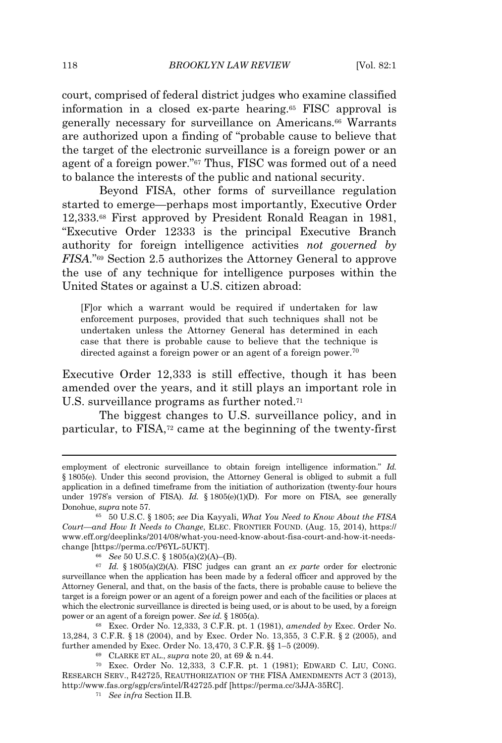court, comprised of federal district judges who examine classified information in a closed ex-parte hearing.<sup>65</sup> FISC approval is generally necessary for surveillance on Americans.<sup>66</sup> Warrants are authorized upon a finding of "probable cause to believe that the target of the electronic surveillance is a foreign power or an agent of a foreign power." <sup>67</sup> Thus, FISC was formed out of a need to balance the interests of the public and national security.

Beyond FISA, other forms of surveillance regulation started to emerge—perhaps most importantly, Executive Order 12,333.<sup>68</sup> First approved by President Ronald Reagan in 1981, "Executive Order 12333 is the principal Executive Branch authority for foreign intelligence activities *not governed by FISA*."<sup>69</sup> Section 2.5 authorizes the Attorney General to approve the use of any technique for intelligence purposes within the United States or against a U.S. citizen abroad:

[F]or which a warrant would be required if undertaken for law enforcement purposes, provided that such techniques shall not be undertaken unless the Attorney General has determined in each case that there is probable cause to believe that the technique is directed against a foreign power or an agent of a foreign power.<sup>70</sup>

Executive Order 12,333 is still effective, though it has been amended over the years, and it still plays an important role in U.S. surveillance programs as further noted.<sup>71</sup>

The biggest changes to U.S. surveillance policy, and in particular, to FISA,<sup>72</sup> came at the beginning of the twenty-first

employment of electronic surveillance to obtain foreign intelligence information." *Id.* § 1805(e). Under this second provision, the Attorney General is obliged to submit a full application in a defined timeframe from the initiation of authorization (twenty-four hours under 1978's version of FISA). *Id.* § 1805(e)(1)(D). For more on FISA, see generally Donohue, *supra* note 57.

<sup>65</sup> 50 U.S.C. § 1805; *see* Dia Kayyali, *What You Need to Know About the FISA Court—and How It Needs to Change*, ELEC. FRONTIER <sup>F</sup>OUND. (Aug. 15, 2014), https:// www.eff.org/deeplinks/2014/08/what-you-need-know-about-fisa-court-and-how-it-needschange [https://perma.cc/P6YL-5UKT].

<sup>66</sup> *See* 50 U.S.C. § 1805(a)(2)(A)–(B).

<sup>67</sup> *Id.* § 1805(a)(2)(A). FISC judges can grant an *ex parte* order for electronic surveillance when the application has been made by a federal officer and approved by the Attorney General, and that, on the basis of the facts, there is probable cause to believe the target is a foreign power or an agent of a foreign power and each of the facilities or places at which the electronic surveillance is directed is being used, or is about to be used, by a foreign power or an agent of a foreign power. *See id.* § 1805(a).

<sup>68</sup> Exec. Order No. 12,333, 3 C.F.R. pt. 1 (1981), *amended by* Exec. Order No. 13,284, 3 C.F.R. § 18 (2004), and by Exec. Order No. 13,355, 3 C.F.R. § 2 (2005), and further amended by Exec. Order No. 13,470, 3 C.F.R. §§ 1–5 (2009).

<sup>69</sup> CLARKE ET AL., *supra* note 20, at 69 & n.44.

<sup>70</sup> Exec. Order No. 12,333, 3 C.F.R. pt. 1 (1981); EDWARD C. LIU, CONG. RESEARCH SERV., R42725, REAUTHORIZATION OF THE FISA AMENDMENTS ACT 3 (2013), http://www.fas.org/sgp/crs/intel/R42725.pdf [https://perma.cc/3JJA-35RC].

<sup>71</sup> *See infra* Section II.B*.*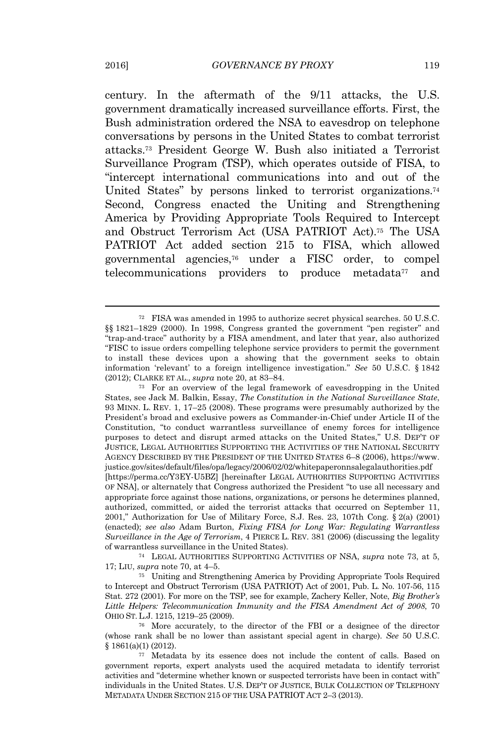century. In the aftermath of the 9/11 attacks, the U.S. government dramatically increased surveillance efforts. First, the Bush administration ordered the NSA to eavesdrop on telephone conversations by persons in the United States to combat terrorist attacks.<sup>73</sup> President George W. Bush also initiated a Terrorist Surveillance Program (TSP), which operates outside of FISA, to "intercept international communications into and out of the United States" by persons linked to terrorist organizations.<sup>74</sup> Second, Congress enacted the Uniting and Strengthening America by Providing Appropriate Tools Required to Intercept and Obstruct Terrorism Act (USA PATRIOT Act).<sup>75</sup> The USA PATRIOT Act added section 215 to FISA, which allowed governmental agencies,<sup>76</sup> under a FISC order, to compel telecommunications providers to produce metadata<sup>77</sup> and

<sup>74</sup> LEGAL AUTHORITIES SUPPORTING ACTIVITIES OF NSA, *supra* note 73, at 5, 17; LIU, *supra* note 70, at 4–5.

<sup>75</sup> Uniting and Strengthening America by Providing Appropriate Tools Required to Intercept and Obstruct Terrorism (USA PATRIOT) Act of 2001, Pub. L. No. 107-56, 115 Stat. <sup>272</sup> (2001). For more on the TSP, see for example, Zachery Keller, Note, *Big Brother's Little Helpers: Telecommunication Immunity and the FISA Amendment Act of 2008*, 70 OHIO ST. L.J. 1215, 1219–25 (2009).

<sup>76</sup> More accurately, to the director of the FBI or a designee of the director (whose rank shall be no lower than assistant special agent in charge). *See* 50 U.S.C. § 1861(a)(1) (2012).

<sup>72</sup> FISA was amended in 1995 to authorize secret physical searches. 50 U.S.C. §§ 1821–1829 (2000). In 1998, Congress granted the government "pen register" and "trap-and-trace" authority by a FISA amendment, and later that year, also authorized "FISC to issue orders compelling telephone service providers to permit the government to install these devices upon a showing that the government seeks to obtain information 'relevant' to a foreign intelligence investigation." *See* 50 U.S.C. § <sup>1842</sup> (2012); CLARKE ET AL., *supra* note 20, at 83–84.

<sup>73</sup> For an overview of the legal framework of eavesdropping in the United States, see Jack M. Balkin, Essay, *The Constitution in the National Surveillance State*, 93 MINN. L. REV. 1, 17–25 (2008). These programs were presumably authorized by the President's broad and exclusive powers as Commander-in-Chief under Article II of the Constitution, "to conduct warrantless surveillance of enemy forces for intelligence purposes to detect and disrupt armed attacks on the United States," U.S. DEP'<sup>T</sup> OF JUSTICE, LEGAL AUTHORITIES SUPPORTING THE ACTIVITIES OF THE NATIONAL SECURITY AGENCY DESCRIBED BY THE PRESIDENT OF THE UNITED STATES 6–8 (2006), https://www. justice.gov/sites/default/files/opa/legacy/2006/02/02/whitepaperonnsalegalauthorities.pdf [https://perma.cc/Y3EY-U5BZ] [hereinafter LEGAL AUTHORITIES SUPPORTING ACTIVITIES OF NSA], or alternately that Congress authorized the President "to use all necessary and appropriate force against those nations, organizations, or persons he determines planned, authorized, committed, or aided the terrorist attacks that occurred on September 11, 2001," Authorization for Use of Military Force, S.J. Res. 23, 107th Cong. § 2(a) (2001) (enacted); *see also* Adam Burton, *Fixing FISA for Long War: Regulating Warrantless Surveillance in the Age of Terrorism*, 4 PIERCE L. REV. 381 (2006) (discussing the legality of warrantless surveillance in the United States).

<sup>77</sup> Metadata by its essence does not include the content of calls. Based on government reports, expert analysts used the acquired metadata to identify terrorist activities and "determine whether known or suspected terrorists have been in contact with" individuals in the United States. U.S. DEP'T OF JUSTICE, BULK COLLECTION OF TELEPHONY METADATA UNDER SECTION 215 OF THE USA PATRIOT ACT 2–3 (2013).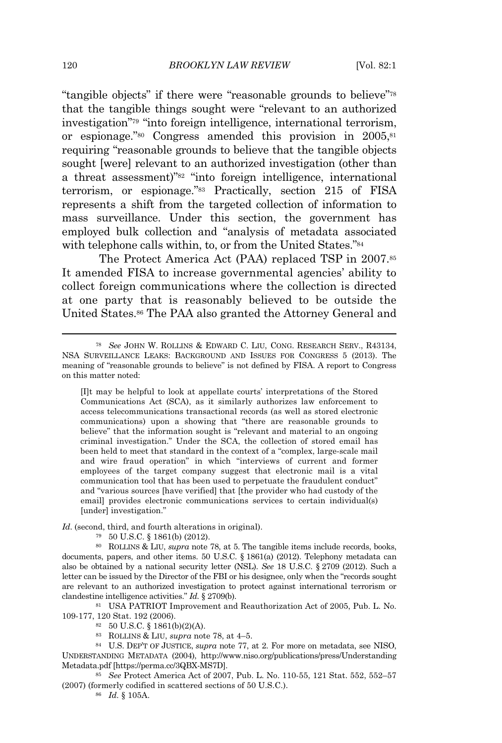"tangible objects" if there were "reasonable grounds to believe"<sup>78</sup> that the tangible things sought were "relevant to an authorized investigation" <sup>79</sup> "into foreign intelligence, international terrorism, or espionage."<sup>80</sup> Congress amended this provision in 2005,<sup>81</sup> requiring "reasonable grounds to believe that the tangible objects sought [were] relevant to an authorized investigation (other than a threat assessment)" <sup>82</sup> "into foreign intelligence, international terrorism, or espionage." <sup>83</sup> Practically, section 215 of FISA represents a shift from the targeted collection of information to mass surveillance. Under this section, the government has employed bulk collection and "analysis of metadata associated with telephone calls within, to, or from the United States."<sup>84</sup>

The Protect America Act (PAA) replaced TSP in 2007.<sup>85</sup> It amended FISA to increase governmental agencies' ability to collect foreign communications where the collection is directed at one party that is reasonably believed to be outside the United States.<sup>86</sup> The PAA also granted the Attorney General and

[I]t may be helpful to look at appellate courts' interpretations of the Stored Communications Act (SCA), as it similarly authorizes law enforcement to access telecommunications transactional records (as well as stored electronic communications) upon a showing that "there are reasonable grounds to believe" that the information sought is "relevant and material to an ongoing criminal investigation." Under the SCA, the collection of stored email has been held to meet that standard in the context of a "complex, large-scale mail and wire fraud operation" in which "interviews of current and former employees of the target company suggest that electronic mail is a vital communication tool that has been used to perpetuate the fraudulent conduct" and "various sources [have verified] that [the provider who had custody of the email] provides electronic communications services to certain individual(s) [under] investigation."

*Id.* (second, third, and fourth alterations in original).

<sup>79</sup> 50 U.S.C. § 1861(b) (2012).

<sup>80</sup> ROLLINS & LIU, *supra* note 78, at 5. The tangible items include records, books, documents, papers, and other items. 50 U.S.C. § 1861(a) (2012). Telephony metadata can also be obtained by a national security letter (NSL). *See* 18 U.S.C. § 2709 (2012). Such a letter can be issued by the Director of the FBI or his designee, only when the "records sought are relevant to an authorized investigation to protect against international terrorism or clandestine intelligence activities." *Id.* § 2709(b).

<sup>81</sup> USA PATRIOT Improvement and Reauthorization Act of 2005, Pub. L. No. 109-177, 120 Stat. 192 (2006).

- <sup>82</sup> 50 U.S.C. § 1861(b)(2)(A).
- <sup>83</sup> <sup>R</sup>OLLINS & LIU, *supra* note 78, at 4–5.

<sup>84</sup> U.S. DEP'T OF <sup>J</sup>USTICE, *supra* note 77, at 2. For more on metadata, see NISO, UNDERSTANDING METADATA (2004), http://www.niso.org/publications/press/Understanding Metadata.pdf [https://perma.cc/3QBX-MS7D].

<sup>85</sup> *See* Protect America Act of 2007, Pub. L. No. 110-55, 121 Stat. 552, 552–57 (2007) (formerly codified in scattered sections of 50 U.S.C.).

<sup>86</sup> *Id.* § 105A.

<sup>78</sup> *See* JOHN W. ROLLINS & EDWARD C. LIU, CONG. RESEARCH SERV., R43134, NSA SURVEILLANCE LEAKS: BACKGROUND AND ISSUES FOR CONGRESS 5 (2013). The meaning of "reasonable grounds to believe" is not defined by FISA. A report to Congress on this matter noted: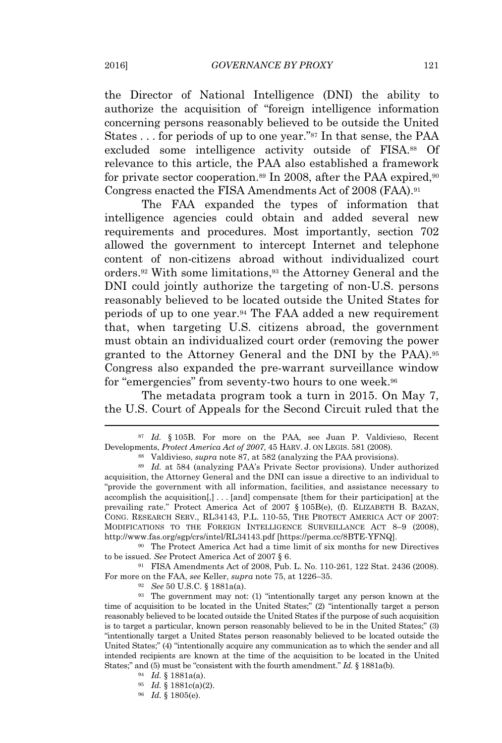the Director of National Intelligence (DNI) the ability to authorize the acquisition of "foreign intelligence information concerning persons reasonably believed to be outside the United States . . . for periods of up to one year." <sup>87</sup> In that sense, the PAA excluded some intelligence activity outside of FISA.<sup>88</sup> Of relevance to this article, the PAA also established a framework for private sector cooperation.<sup>89</sup> In 2008, after the PAA expired,<sup>90</sup> Congress enacted the FISA Amendments Act of 2008 (FAA).<sup>91</sup>

The FAA expanded the types of information that intelligence agencies could obtain and added several new requirements and procedures. Most importantly, section 702 allowed the government to intercept Internet and telephone content of non-citizens abroad without individualized court orders.<sup>92</sup> With some limitations,<sup>93</sup> the Attorney General and the DNI could jointly authorize the targeting of non-U.S. persons reasonably believed to be located outside the United States for periods of up to one year.<sup>94</sup> The FAA added a new requirement that, when targeting U.S. citizens abroad, the government must obtain an individualized court order (removing the power granted to the Attorney General and the DNI by the PAA).<sup>95</sup> Congress also expanded the pre-warrant surveillance window for "emergencies" from seventy-two hours to one week.<sup>96</sup>

The metadata program took a turn in 2015. On May 7, the U.S. Court of Appeals for the Second Circuit ruled that the

<sup>90</sup> The Protect America Act had a time limit of six months for new Directives to be issued. *See* Protect America Act of 2007 § 6.

<sup>91</sup> FISA Amendments Act of 2008, Pub. L. No. 110-261, 122 Stat. 2436 (2008). For more on the FAA, *see* Keller, *supra* note 75, at 1226–35.

<sup>92</sup> *See* 50 U.S.C. § 1881a(a).

<sup>93</sup> The government may not: (1) "intentionally target any person known at the time of acquisition to be located in the United States;" (2) "intentionally target a person reasonably believed to be located outside the United States if the purpose of such acquisition is to target a particular, known person reasonably believed to be in the United States;" (3) "intentionally target a United States person reasonably believed to be located outside the United States;" (4) "intentionally acquire any communication as to which the sender and all intended recipients are known at the time of the acquisition to be located in the United States;" and (5) must be "consistent with the fourth amendment." *Id.* § 1881a(b).

- $^{94}$  *Id.* § 1881a(a).
- $\frac{1}{2}$  *Id.* § 1881c(a)(2).
- $^{96}$  *Id.* § 1805(e).

<sup>87</sup> *Id.* § 105B. For more on the PAA, see Juan P. Valdivieso, Recent Developments, *Protect America Act of 2007*, 45 HARV. J. ON LEGIS. 581 (2008).

<sup>88</sup> Valdivieso, *supra* note 87, at 582 (analyzing the PAA provisions).

<sup>&</sup>lt;sup>89</sup> *Id.* at 584 (analyzing PAA's Private Sector provisions). Under authorized acquisition, the Attorney General and the DNI can issue a directive to an individual to "provide the government with all information, facilities, and assistance necessary to accomplish the acquisition[,] . . . [and] compensate [them for their participation] at the prevailing rate." Protect America Act of 2007 § 105B(e), (f). ELIZABETH B. BAZAN, CONG. RESEARCH SERV., RL34143, P.L. 110-55, THE PROTECT AMERICA ACT OF 2007: MODIFICATIONS TO THE FOREIGN INTELLIGENCE SURVEILLANCE ACT 8–9 (2008), http://www.fas.org/sgp/crs/intel/RL34143.pdf [https://perma.cc/8BTE-YFNQ].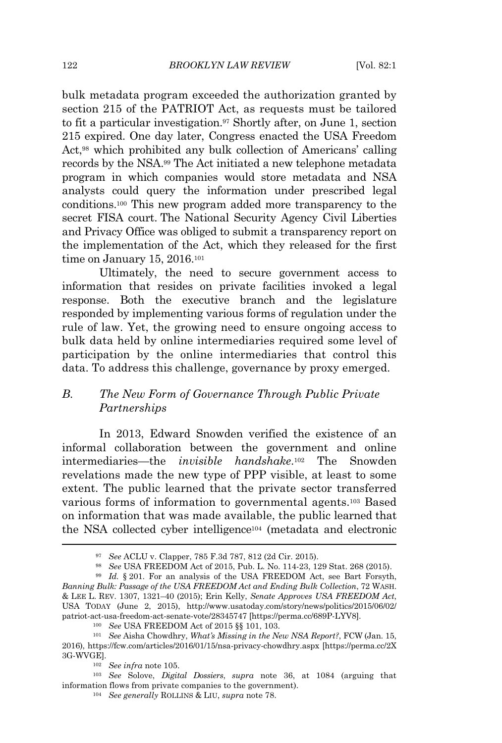bulk metadata program exceeded the authorization granted by section 215 of the PATRIOT Act, as requests must be tailored to fit a particular investigation.<sup>97</sup> Shortly after, on June 1, section 215 expired. One day later, Congress enacted the USA Freedom Act,<sup>98</sup> which prohibited any bulk collection of Americans' calling records by the NSA.<sup>99</sup> The Act initiated a new telephone metadata program in which companies would store metadata and NSA analysts could query the information under prescribed legal conditions.<sup>100</sup> This new program added more transparency to the secret FISA court. The National Security Agency Civil Liberties and Privacy Office was obliged to submit a transparency report on the implementation of the Act, which they released for the first time on January 15, 2016.<sup>101</sup>

Ultimately, the need to secure government access to information that resides on private facilities invoked a legal response. Both the executive branch and the legislature responded by implementing various forms of regulation under the rule of law. Yet, the growing need to ensure ongoing access to bulk data held by online intermediaries required some level of participation by the online intermediaries that control this data. To address this challenge, governance by proxy emerged.

## *B. The New Form of Governance Through Public Private Partnerships*

In 2013, Edward Snowden verified the existence of an informal collaboration between the government and online intermediaries—the *invisible handshake*. <sup>102</sup> The Snowden revelations made the new type of PPP visible, at least to some extent. The public learned that the private sector transferred various forms of information to governmental agents.<sup>103</sup> Based on information that was made available, the public learned that the NSA collected cyber intelligence<sup>104</sup> (metadata and electronic

<sup>97</sup> *See* ACLU v. Clapper, 785 F.3d 787, 812 (2d Cir. 2015).

<sup>98</sup> *See* USA FREEDOM Act of 2015, Pub. L. No. 114-23, 129 Stat. 268 (2015).

<sup>99</sup> *Id.* § 201. For an analysis of the USA FREEDOM Act, see Bart Forsyth, *Banning Bulk: Passage of the USA FREEDOM Act and Ending Bulk Collection*, 72 WASH. & LEE L. REV. 1307, 1321–40 (2015); Erin Kelly, *Senate Approves USA FREEDOM Act*, USA TODAY (June 2, 2015), http://www.usatoday.com/story/news/politics/2015/06/02/ patriot-act-usa-freedom-act-senate-vote/28345747 [https://perma.cc/689P-LYV8].

<sup>100</sup> *See* USA FREEDOM Act of 2015 §§ 101, 103.

<sup>101</sup> *See* Aisha Chowdhry, *What's Missing in the New NSA Report?*, FCW (Jan. 15, 2016), https://fcw.com/articles/2016/01/15/nsa-privacy-chowdhry.aspx [https://perma.cc/2X 3G-WVGE].

<sup>102</sup> *See infra* note 105.

<sup>103</sup> *See* Solove, *Digital Dossiers*, *supra* note 36, at 1084 (arguing that information flows from private companies to the government).

<sup>104</sup> *See generally* ROLLINS & LIU, *supra* note 78.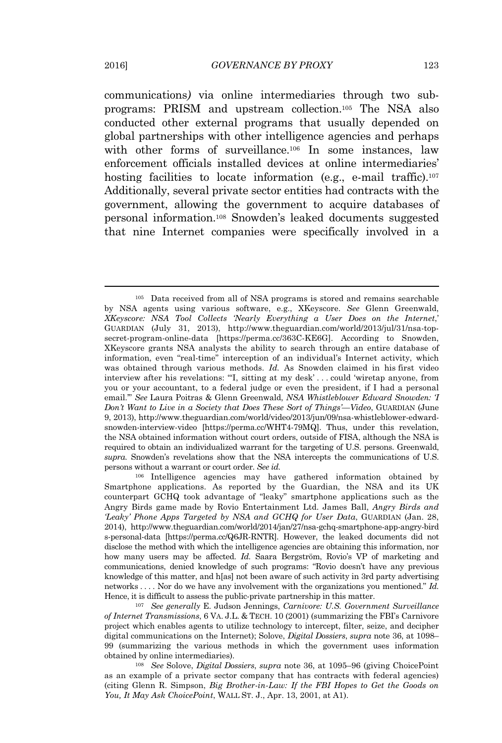communications*)* via online intermediaries through two subprograms: PRISM and upstream collection.<sup>105</sup> The NSA also conducted other external programs that usually depended on global partnerships with other intelligence agencies and perhaps with other forms of surveillance.<sup>106</sup> In some instances, law enforcement officials installed devices at online intermediaries' hosting facilities to locate information (e.g., e-mail traffic).<sup>107</sup> Additionally, several private sector entities had contracts with the government, allowing the government to acquire databases of personal information.<sup>108</sup> Snowden's leaked documents suggested that nine Internet companies were specifically involved in a

<sup>105</sup> Data received from all of NSA programs is stored and remains searchable by NSA agents using various software, e.g., XKeyscore. *See* Glenn Greenwald, *XKeyscore: NSA Tool Collects 'Nearly Everything a User Does on the Internet*,' GUARDIAN (July 31, 2013), http://www.theguardian.com/world/2013/jul/31/nsa-topsecret-program-online-data [https://perma.cc/363C-KE6G]. According to Snowden, XKeyscore grants NSA analysts the ability to search through an entire database of information, even "real-time" interception of an individual's Internet activity, which was obtained through various methods. *Id.* As Snowden claimed in his first video interview after his revelations: "'I, sitting at my desk' . . . could 'wiretap anyone, from you or your accountant, to a federal judge or even the president, if I had a personal email.'" *See* Laura Poitras & Glenn Greenwald, *NSA Whistleblower Edward Snowden: 'I Don't Want to Live in a Society that Does These Sort of Things'—Video*, GUARDIAN (June 9, 2013), http://www.theguardian.com/world/video/2013/jun/09/nsa-whistleblower-edwardsnowden-interview-video [https://perma.cc/WHT4-79MQ]. Thus, under this revelation, the NSA obtained information without court orders, outside of FISA, although the NSA is required to obtain an individualized warrant for the targeting of U.S. persons. Greenwald, *supra.* Snowden's revelations show that the NSA intercepts the communications of U.S. persons without a warrant or court order. *See id.*

<sup>106</sup> Intelligence agencies may have gathered information obtained by Smartphone applications. As reported by the Guardian, the NSA and its UK counterpart GCHQ took advantage of "leaky" smartphone applications such as the Angry Birds game made by Rovio Entertainment Ltd. James Ball, *Angry Birds and 'Leaky' Phone Apps Targeted by NSA and GCHQ for User Data*, GUARDIAN (Jan. 28, 2014), http://www.theguardian.com/world/2014/jan/27/nsa-gchq-smartphone-app-angry-bird s-personal-data [https://perma.cc/Q6JR-RNTR]. However, the leaked documents did not disclose the method with which the intelligence agencies are obtaining this information, nor how many users may be affected. *Id.* Saara Bergström, Rovio's VP of marketing and communications, denied knowledge of such programs: "Rovio doesn't have any previous knowledge of this matter, and h[as] not been aware of such activity in 3rd party advertising networks . . . . Nor do we have any involvement with the organizations you mentioned." *Id.* Hence, it is difficult to assess the public-private partnership in this matter.

<sup>107</sup> *See generally* E. Judson Jennings, *Carnivore: U.S. Government Surveillance of Internet Transmissions*, 6 VA. J.L. & TECH. <sup>10</sup> (2001) (summarizing the FBI's Carnivore project which enables agents to utilize technology to intercept, filter, seize, and decipher digital communications on the Internet); Solove, *Digital Dossiers*, *supra* note 36, at 1098– 99 (summarizing the various methods in which the government uses information obtained by online intermediaries).

<sup>108</sup> *See* Solove, *Digital Dossiers*, *supra* note 36, at 1095–96 (giving ChoicePoint as an example of a private sector company that has contracts with federal agencies) (citing Glenn R. Simpson, *Big Brother-in-Law: If the FBI Hopes to Get the Goods on You, It May Ask ChoicePoint*, WALL ST. J., Apr. 13, 2001, at A1).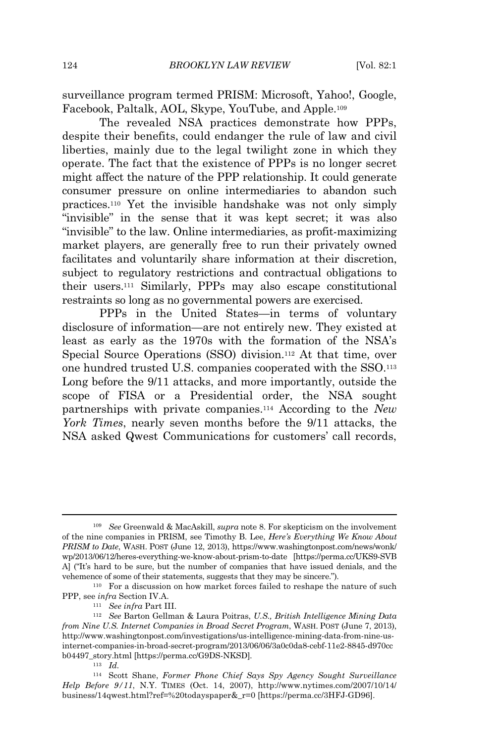surveillance program termed PRISM: Microsoft, Yahoo!, Google, Facebook, Paltalk, AOL, Skype, YouTube, and Apple.<sup>109</sup>

The revealed NSA practices demonstrate how PPPs, despite their benefits, could endanger the rule of law and civil liberties, mainly due to the legal twilight zone in which they operate. The fact that the existence of PPPs is no longer secret might affect the nature of the PPP relationship. It could generate consumer pressure on online intermediaries to abandon such practices.<sup>110</sup> Yet the invisible handshake was not only simply "invisible" in the sense that it was kept secret; it was also "invisible" to the law. Online intermediaries, as profit-maximizing market players, are generally free to run their privately owned facilitates and voluntarily share information at their discretion, subject to regulatory restrictions and contractual obligations to their users.<sup>111</sup> Similarly, PPPs may also escape constitutional restraints so long as no governmental powers are exercised.

PPPs in the United States—in terms of voluntary disclosure of information—are not entirely new. They existed at least as early as the 1970s with the formation of the NSA's Special Source Operations (SSO) division.<sup>112</sup> At that time, over one hundred trusted U.S. companies cooperated with the SSO.<sup>113</sup> Long before the 9/11 attacks, and more importantly, outside the scope of FISA or a Presidential order, the NSA sought partnerships with private companies.<sup>114</sup> According to the *New York Times*, nearly seven months before the 9/11 attacks, the NSA asked Qwest Communications for customers' call records,

<sup>109</sup> *See* Greenwald & MacAskill, *supra* note 8. For skepticism on the involvement of the nine companies in PRISM, see Timothy B. Lee, *Here's Everything We Know About PRISM to Date*, WASH. POST (June 12, 2013), https://www.washingtonpost.com/news/wonk/ wp/2013/06/12/heres-everything-we-know-about-prism-to-date [https://perma.cc/UKS9-SVB A] ("It's hard to be sure, but the number of companies that have issued denials, and the vehemence of some of their statements, suggests that they may be sincere.").

<sup>110</sup> For a discussion on how market forces failed to reshape the nature of such PPP, see *infra* Section IV.A.

<sup>111</sup> *See infra* Part III.

<sup>112</sup> *See* Barton Gellman & Laura Poitras, *U.S., British Intelligence Mining Data from Nine U.S. Internet Companies in Broad Secret Program*, WASH. POST (June 7, 2013), http://www.washingtonpost.com/investigations/us-intelligence-mining-data-from-nine-usinternet-companies-in-broad-secret-program/2013/06/06/3a0c0da8-cebf-11e2-8845-d970cc b04497\_story.html [https://perma.cc/G9DS-NKSD]*.*

 $113$  *Id.* 

<sup>114</sup> Scott Shane, *Former Phone Chief Says Spy Agency Sought Surveillance Help Before 9/11*, N.Y. TIMES (Oct. 14, 2007), http://www.nytimes.com/2007/10/14/ business/14qwest.html?ref=%20todayspaper&\_r=0 [https://perma.cc/3HFJ-GD96].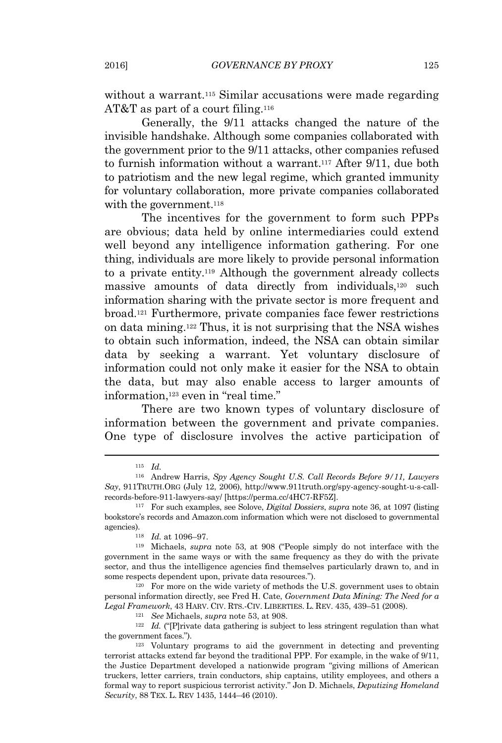without a warrant.<sup>115</sup> Similar accusations were made regarding AT&T as part of a court filing.<sup>116</sup>

Generally, the 9/11 attacks changed the nature of the invisible handshake. Although some companies collaborated with the government prior to the 9/11 attacks, other companies refused to furnish information without a warrant.<sup>117</sup> After 9/11, due both to patriotism and the new legal regime, which granted immunity for voluntary collaboration, more private companies collaborated with the government.<sup>118</sup>

The incentives for the government to form such PPPs are obvious; data held by online intermediaries could extend well beyond any intelligence information gathering. For one thing, individuals are more likely to provide personal information to a private entity.<sup>119</sup> Although the government already collects massive amounts of data directly from individuals,<sup>120</sup> such information sharing with the private sector is more frequent and broad.<sup>121</sup> Furthermore, private companies face fewer restrictions on data mining.<sup>122</sup> Thus, it is not surprising that the NSA wishes to obtain such information, indeed, the NSA can obtain similar data by seeking a warrant. Yet voluntary disclosure of information could not only make it easier for the NSA to obtain the data, but may also enable access to larger amounts of information,<sup>123</sup> even in "real time."

There are two known types of voluntary disclosure of information between the government and private companies. One type of disclosure involves the active participation of

<sup>120</sup> For more on the wide variety of methods the U.S. government uses to obtain personal information directly, see Fred H. Cate, *Government Data Mining: The Need for a Legal Framework*, 43 HARV. CIV. RTS.-CIV. LIBERTIES. L. REV. 435, 439–51 (2008).

<sup>121</sup> *See* Michaels, *supra* note 53, at 908.

<sup>115</sup> *Id.*

<sup>116</sup> Andrew Harris, *Spy Agency Sought U.S. Call Records Before 9/11, Lawyers Say*, 911TRUTH.ORG (July 12, 2006), http://www.911truth.org/spy-agency-sought-u-s-callrecords-before-911-lawyers-say/ [https://perma.cc/4HC7-RF5Z].

<sup>117</sup> For such examples, see Solove, *Digital Dossiers*, *supra* note 36, at 1097 (listing bookstore's records and Amazon.com information which were not disclosed to governmental agencies).

<sup>118</sup> *Id.* at 1096–97.

<sup>119</sup> Michaels, *supra* note 53, at 908 ("People simply do not interface with the government in the same ways or with the same frequency as they do with the private sector, and thus the intelligence agencies find themselves particularly drawn to, and in some respects dependent upon, private data resources.").

<sup>&</sup>lt;sup>122</sup> *Id.* ("[P]rivate data gathering is subject to less stringent regulation than what the government faces.").

<sup>123</sup> Voluntary programs to aid the government in detecting and preventing terrorist attacks extend far beyond the traditional PPP. For example, in the wake of 9/11, the Justice Department developed a nationwide program "giving millions of American truckers, letter carriers, train conductors, ship captains, utility employees, and others a formal way to report suspicious terrorist activity." Jon D. Michaels, *Deputizing Homeland Security*, 88 TEX. L. REV 1435, 1444–46 (2010).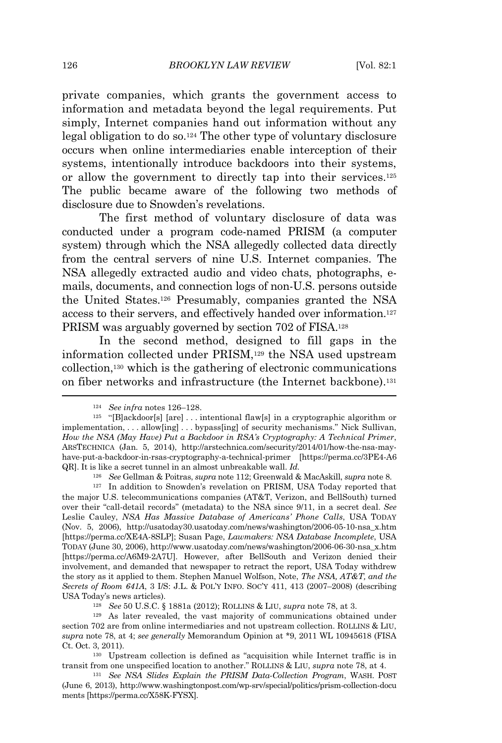private companies, which grants the government access to information and metadata beyond the legal requirements. Put simply, Internet companies hand out information without any legal obligation to do so.<sup>124</sup> The other type of voluntary disclosure occurs when online intermediaries enable interception of their systems, intentionally introduce backdoors into their systems, or allow the government to directly tap into their services.<sup>125</sup> The public became aware of the following two methods of disclosure due to Snowden's revelations.

The first method of voluntary disclosure of data was conducted under a program code-named PRISM (a computer system) through which the NSA allegedly collected data directly from the central servers of nine U.S. Internet companies. The NSA allegedly extracted audio and video chats, photographs, emails, documents, and connection logs of non-U.S. persons outside the United States.<sup>126</sup> Presumably, companies granted the NSA access to their servers, and effectively handed over information.<sup>127</sup> PRISM was arguably governed by section 702 of FISA.<sup>128</sup>

In the second method, designed to fill gaps in the information collected under PRISM,<sup>129</sup> the NSA used upstream collection,<sup>130</sup> which is the gathering of electronic communications on fiber networks and infrastructure (the Internet backbone).<sup>131</sup>

<sup>126</sup> *See* Gellman & Poitras, *supra* note 112; Greenwald & MacAskill, *supra* note 8.

<sup>128</sup> *See* 50 U.S.C. § 1881a (2012); ROLLINS & LIU, *supra* note 78, at 3.

<sup>124</sup> *See infra* notes 126–128.

 $125$  "[B]ackdoor[s] [are] ... intentional flaw[s] in a cryptographic algorithm or implementation, . . . allow[ing] . . . bypass[ing] of security mechanisms." Nick Sullivan, *How the NSA (May Have) Put a Backdoor in RSA's Cryptography: A Technical Primer*, ARSTECHNICA (Jan. 5, 2014), http://arstechnica.com/security/2014/01/how-the-nsa-mayhave-put-a-backdoor-in-rsas-cryptography-a-technical-primer [https://perma.cc/3PE4-A6 QR]. It is like a secret tunnel in an almost unbreakable wall. *Id.*

<sup>127</sup> In addition to Snowden's revelation on PRISM, USA Today reported that the major U.S. telecommunications companies (AT&T, Verizon, and BellSouth) turned over their "call-detail records" (metadata) to the NSA since 9/11, in a secret deal. *See* Leslie Cauley, *NSA Has Massive Database of Americans' Phone Calls*, USA TODAY (Nov. 5, 2006), http://usatoday30.usatoday.com/news/washington/2006-05-10-nsa\_x.htm [https://perma.cc/XE4A-8SLP]; Susan Page, *Lawmakers: NSA Database Incomplete*, USA TODAY (June 30, 2006), http://www.usatoday.com/news/washington/2006-06-30-nsa\_x.htm [https://perma.cc/A6M9-2A7U]. However, after BellSouth and Verizon denied their involvement, and demanded that newspaper to retract the report, USA Today withdrew the story as it applied to them. Stephen Manuel Wolfson, Note, *The NSA, AT&T, and the Secrets of Room 641A*, 3 I/S: J.L. & POL'<sup>Y</sup> <sup>I</sup>NFO. SOC'<sup>Y</sup> 411, 413 (2007–2008) (describing USA Today's news articles).

<sup>129</sup> As later revealed, the vast majority of communications obtained under section 702 are from online intermediaries and not upstream collection. ROLLINS & LIU, *supra* note 78, at 4; *see generally* Memorandum Opinion at \*9, 2011 WL 10945618 (FISA Ct. Oct. 3, 2011).

<sup>130</sup> Upstream collection is defined as "acquisition while Internet traffic is in transit from one unspecified location to another." <sup>R</sup>OLLINS & LIU, *supra* note 78, at 4.

<sup>131</sup> *See NSA Slides Explain the PRISM Data-Collection Program*, WASH. POST (June 6, 2013), http://www.washingtonpost.com/wp-srv/special/politics/prism-collection-docu ments [https://perma.cc/X58K-FYSX].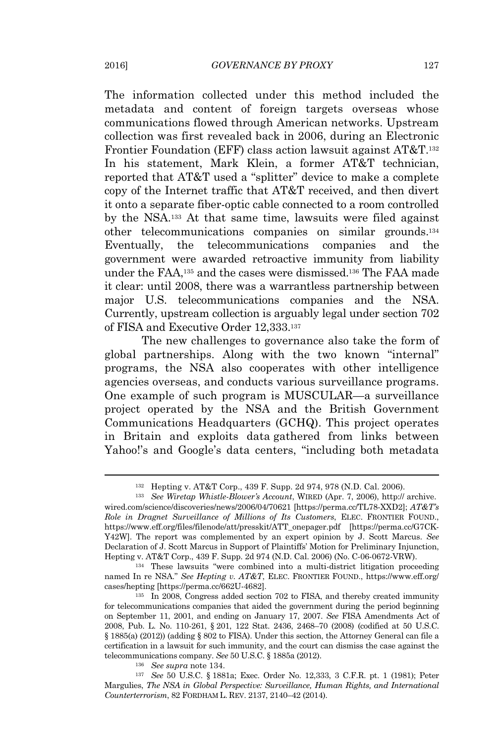The information collected under this method included the metadata and content of foreign targets overseas whose communications flowed through American networks. Upstream collection was first revealed back in 2006, during an Electronic Frontier Foundation (EFF) class action lawsuit against AT&T.<sup>132</sup> In his statement, Mark Klein, a former AT&T technician, reported that AT&T used a "splitter" device to make a complete copy of the Internet traffic that AT&T received, and then divert it onto a separate fiber-optic cable connected to a room controlled by the NSA.<sup>133</sup> At that same time, lawsuits were filed against other telecommunications companies on similar grounds.<sup>134</sup> Eventually, the telecommunications companies and the government were awarded retroactive immunity from liability under the FAA,<sup>135</sup> and the cases were dismissed.<sup>136</sup> The FAA made it clear: until 2008, there was a warrantless partnership between major U.S. telecommunications companies and the NSA. Currently, upstream collection is arguably legal under section 702 of FISA and Executive Order 12,333.<sup>137</sup>

The new challenges to governance also take the form of global partnerships. Along with the two known "internal" programs, the NSA also cooperates with other intelligence agencies overseas, and conducts various surveillance programs. One example of such program is MUSCULAR—a surveillance project operated by the NSA and the British Government Communications Headquarters (GCHQ). This project operates in Britain and exploits data gathered from links between Yahoo!'s and Google's data centers, "including both metadata

<sup>134</sup> These lawsuits "were combined into a multi-district litigation proceeding named In re NSA." *See Hepting v. AT&T*, ELEC. FRONTIER <sup>F</sup>OUND., https://www.eff.org/ cases/hepting [https://perma.cc/662U-4682].

<sup>136</sup> *See supra* note 134.

<sup>137</sup> *See* 50 U.S.C. § 1881a; Exec. Order No. 12,333, 3 C.F.R. pt. 1 (1981); Peter Margulies, *The NSA in Global Perspective: Surveillance, Human Rights, and International Counterterrorism*, 82 FORDHAM L. REV. 2137, 2140–42 (2014).

<sup>132</sup> Hepting v. AT&T Corp., 439 F. Supp. 2d 974, 978 (N.D. Cal. 2006).

<sup>133</sup> *See Wiretap Whistle-Blower's Account*, WIRED (Apr. 7, 2006), http:// archive. wired.com/science/discoveries/news/2006/04/70621 [https://perma.cc/TL78-XXD2]; *AT&T's Role in Dragnet Surveillance of Millions of Its Customers*, ELEC. FRONTIER FOUND., https://www.eff.org/files/filenode/att/presskit/ATT\_onepager.pdf [https://perma.cc/G7CK-Y42W]. The report was complemented by an expert opinion by J. Scott Marcus. *See* Declaration of J. Scott Marcus in Support of Plaintiffs' Motion for Preliminary Injunction, Hepting v. AT&T Corp., 439 F. Supp. 2d 974 (N.D. Cal. 2006) (No. C-06-0672-VRW).

<sup>135</sup> In 2008, Congress added section 702 to FISA, and thereby created immunity for telecommunications companies that aided the government during the period beginning on September 11, 2001, and ending on January 17, 2007. *See* FISA Amendments Act of 2008, Pub. L. No. 110-261, § 201, 122 Stat. 2436, 2468–70 (2008) (codified at 50 U.S.C. § 1885(a) (2012)) (adding § 802 to FISA). Under this section, the Attorney General can file a certification in a lawsuit for such immunity, and the court can dismiss the case against the telecommunications company. *See* 50 U.S.C. § 1885a (2012).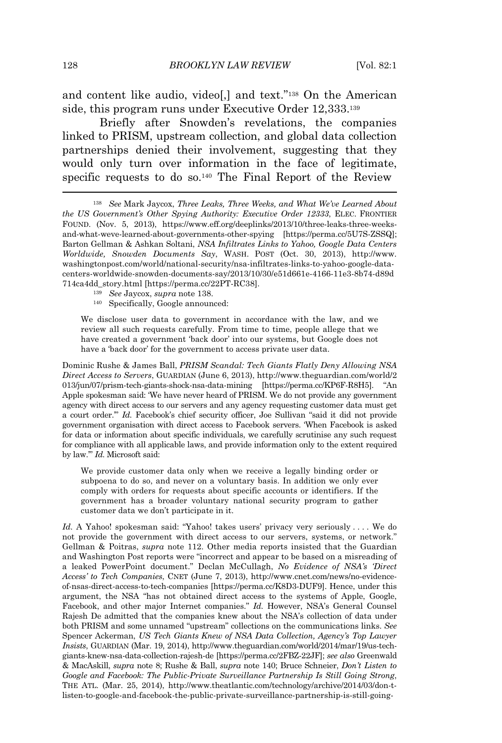and content like audio, video[,] and text." <sup>138</sup> On the American side, this program runs under Executive Order 12,333.<sup>139</sup>

Briefly after Snowden's revelations, the companies linked to PRISM, upstream collection, and global data collection partnerships denied their involvement, suggesting that they would only turn over information in the face of legitimate, specific requests to do so.<sup>140</sup> The Final Report of the Review

<sup>138</sup> *See* Mark Jaycox, *Three Leaks, Three Weeks, and What We've Learned About the US Government's Other Spying Authority: Executive Order 12333*, ELEC. FRONTIER FOUND. (Nov. 5, 2013), https://www.eff.org/deeplinks/2013/10/three-leaks-three-weeksand-what-weve-learned-about-governments-other-spying [https://perma.cc/5U7S-ZSSQ]; Barton Gellman & Ashkan Soltani, *NSA Infiltrates Links to Yahoo, Google Data Centers Worldwide, Snowden Documents Say*, WASH. POST (Oct. 30, 2013), http://www. washingtonpost.com/world/national-security/nsa-infiltrates-links-to-yahoo-google-datacenters-worldwide-snowden-documents-say/2013/10/30/e51d661e-4166-11e3-8b74-d89d 714ca4dd\_story.html [https://perma.cc/22PT-RC38].

- <sup>139</sup> *See* Jaycox, *supra* note 138.
- <sup>140</sup> Specifically, Google announced:

We disclose user data to government in accordance with the law, and we review all such requests carefully. From time to time, people allege that we have created a government 'back door' into our systems, but Google does not have a 'back door' for the government to access private user data.

Dominic Rushe & James Ball, *PRISM Scandal: Tech Giants Flatly Deny Allowing NSA Direct Access to Servers*, GUARDIAN (June 6, 2013), http://www.theguardian.com/world/2 013/jun/07/prism-tech-giants-shock-nsa-data-mining [https://perma.cc/KP6F-R8H5]. "An Apple spokesman said: 'We have never heard of PRISM. We do not provide any government agency with direct access to our servers and any agency requesting customer data must get a court order.'" *Id.* Facebook's chief security officer, Joe Sullivan "said it did not provide government organisation with direct access to Facebook servers. 'When Facebook is asked for data or information about specific individuals, we carefully scrutinise any such request for compliance with all applicable laws, and provide information only to the extent required by law.'" *Id.* Microsoft said:

We provide customer data only when we receive a legally binding order or subpoena to do so, and never on a voluntary basis. In addition we only ever comply with orders for requests about specific accounts or identifiers. If the government has a broader voluntary national security program to gather customer data we don't participate in it.

*Id.* A Yahoo! spokesman said: "Yahoo! takes users' privacy very seriously . . . . We do not provide the government with direct access to our servers, systems, or network." Gellman & Poitras, *supra* note 112. Other media reports insisted that the Guardian and Washington Post reports were "incorrect and appear to be based on a misreading of a leaked PowerPoint document." Declan McCullagh, *No Evidence of NSA's 'Direct Access' to Tech Companies*, CNET (June 7, 2013), http://www.cnet.com/news/no-evidenceof-nsas-direct-access-to-tech-companies [https://perma.cc/K8D3-DUF9]. Hence, under this argument, the NSA "has not obtained direct access to the systems of Apple, Google, Facebook, and other major Internet companies." *Id.* However, NSA's General Counsel Rajesh De admitted that the companies knew about the NSA's collection of data under both PRISM and some unnamed "upstream" collections on the communications links. *See* Spencer Ackerman, *US Tech Giants Knew of NSA Data Collection, Agency's Top Lawyer Insists*, GUARDIAN (Mar. 19, 2014), http://www.theguardian.com/world/2014/mar/19/us-techgiants-knew-nsa-data-collection-rajesh-de [https://perma.cc/2FBZ-22JF]; *see also* Greenwald & MacAskill, *supra* note 8; Rushe & Ball, *supra* note 140; Bruce Schneier, *Don't Listen to Google and Facebook: The Public-Private Surveillance Partnership Is Still Going Strong*, THE ATL. (Mar. 25, 2014), http://www.theatlantic.com/technology/archive/2014/03/don-tlisten-to-google-and-facebook-the-public-private-surveillance-partnership-is-still-going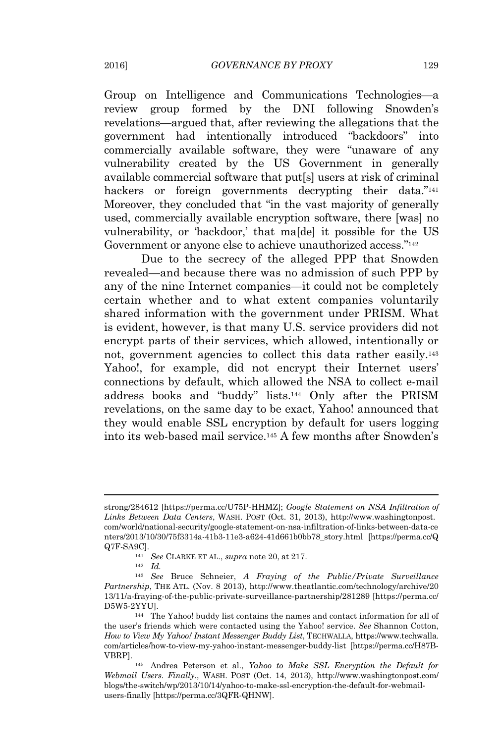Group on Intelligence and Communications Technologies—a review group formed by the DNI following Snowden's revelations—argued that, after reviewing the allegations that the government had intentionally introduced "backdoors" into commercially available software, they were "unaware of any vulnerability created by the US Government in generally available commercial software that put[s] users at risk of criminal hackers or foreign governments decrypting their data."<sup>141</sup> Moreover, they concluded that "in the vast majority of generally used, commercially available encryption software, there [was] no vulnerability, or 'backdoor,' that ma[de] it possible for the US Government or anyone else to achieve unauthorized access."<sup>142</sup>

Due to the secrecy of the alleged PPP that Snowden revealed—and because there was no admission of such PPP by any of the nine Internet companies—it could not be completely certain whether and to what extent companies voluntarily shared information with the government under PRISM. What is evident, however, is that many U.S. service providers did not encrypt parts of their services, which allowed, intentionally or not, government agencies to collect this data rather easily.<sup>143</sup> Yahoo!, for example, did not encrypt their Internet users' connections by default, which allowed the NSA to collect e-mail address books and "buddy" lists.<sup>144</sup> Only after the PRISM revelations, on the same day to be exact, Yahoo! announced that they would enable SSL encryption by default for users logging into its web-based mail service.<sup>145</sup> A few months after Snowden's

strong/284612 [https://perma.cc/U75P-HHMZ]; *Google Statement on NSA Infiltration of Links Between Data Centers*, WASH. POST (Oct. 31, 2013), http://www.washingtonpost. com/world/national-security/google-statement-on-nsa-infiltration-of-links-between-data-ce nters/2013/10/30/75f3314a-41b3-11e3-a624-41d661b0bb78\_story.html [https://perma.cc/Q Q7F-SA9C].

<sup>141</sup> *See* CLARKE ET AL., *supra* note 20, at 217.

 $142$  *Id.* 

<sup>143</sup> *See* Bruce Schneier, *A Fraying of the Public/Private Surveillance Partnership*, THE ATL. (Nov. 8 2013), http://www.theatlantic.com/technology/archive/20 13/11/a-fraying-of-the-public-private-surveillance-partnership/281289 [https://perma.cc/ D5W5-2YYU].

<sup>144</sup> The Yahoo! buddy list contains the names and contact information for all of the user's friends which were contacted using the Yahoo! service. *See* Shannon Cotton, *How to View My Yahoo! Instant Messenger Buddy List*, TECHWALLA, https://www.techwalla. com/articles/how-to-view-my-yahoo-instant-messenger-buddy-list [https://perma.cc/H87B-VBRP].

<sup>145</sup> Andrea Peterson et al., *Yahoo to Make SSL Encryption the Default for Webmail Users. Finally.*, WASH. POST (Oct. 14, 2013), http://www.washingtonpost.com/ blogs/the-switch/wp/2013/10/14/yahoo-to-make-ssl-encryption-the-default-for-webmailusers-finally [https://perma.cc/3QFR-QHNW].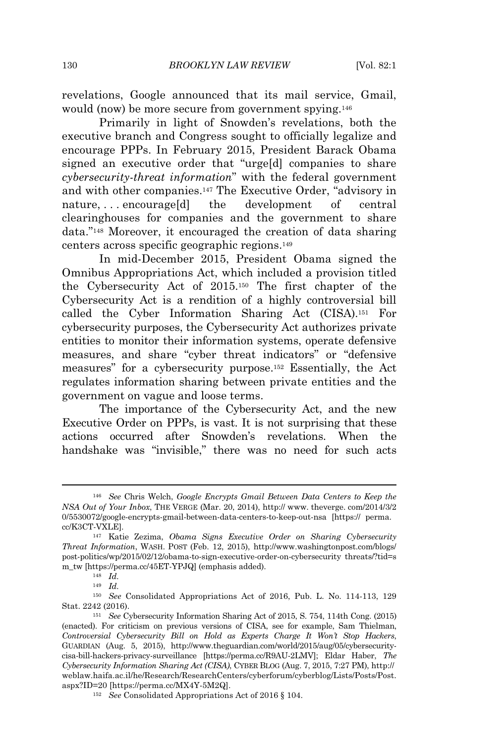revelations, Google announced that its mail service, Gmail, would (now) be more secure from government spying.<sup>146</sup>

Primarily in light of Snowden's revelations, both the executive branch and Congress sought to officially legalize and encourage PPPs. In February 2015, President Barack Obama signed an executive order that "urge[d] companies to share *cybersecurity-threat information*" with the federal government and with other companies.<sup>147</sup> The Executive Order, "advisory in nature, . . . encourage[d] the development of central clearinghouses for companies and the government to share data." <sup>148</sup> Moreover, it encouraged the creation of data sharing centers across specific geographic regions.<sup>149</sup>

In mid-December 2015, President Obama signed the Omnibus Appropriations Act, which included a provision titled the Cybersecurity Act of 2015.<sup>150</sup> The first chapter of the Cybersecurity Act is a rendition of a highly controversial bill called the Cyber Information Sharing Act (CISA).<sup>151</sup> For cybersecurity purposes, the Cybersecurity Act authorizes private entities to monitor their information systems, operate defensive measures, and share "cyber threat indicators" or "defensive measures" for a cybersecurity purpose.<sup>152</sup> Essentially, the Act regulates information sharing between private entities and the government on vague and loose terms.

The importance of the Cybersecurity Act, and the new Executive Order on PPPs, is vast. It is not surprising that these actions occurred after Snowden's revelations. When the handshake was "invisible," there was no need for such acts

 $149$   $Id.$ 

<sup>150</sup> *See* Consolidated Appropriations Act of 2016, Pub. L. No. 114-113, 129 Stat. 2242 (2016).

<sup>146</sup> *See* Chris Welch, *Google Encrypts Gmail Between Data Centers to Keep the NSA Out of Your Inbox*, THE VERGE (Mar. 20, 2014), http:// www. theverge. com/2014/3/2 0/5530072/google-encrypts-gmail-between-data-centers-to-keep-out-nsa [https:// perma. cc/K3CT-VXLE].

<sup>147</sup> Katie Zezima, *Obama Signs Executive Order on Sharing Cybersecurity Threat Information*, WASH. POST (Feb. 12, 2015), http://www.washingtonpost.com/blogs/ post-politics/wp/2015/02/12/obama-to-sign-executive-order-on-cybersecurity threats/?tid=s m\_tw [https://perma.cc/45ET-YPJQ] (emphasis added).

<sup>148</sup> *Id.*

<sup>151</sup> *See* Cybersecurity Information Sharing Act of 2015, S. 754, 114th Cong. (2015) (enacted). For criticism on previous versions of CISA, see for example, Sam Thielman, *Controversial Cybersecurity Bill on Hold as Experts Charge It Won't Stop Hackers*, GUARDIAN (Aug. 5, 2015), http://www.theguardian.com/world/2015/aug/05/cybersecuritycisa-bill-hackers-privacy-surveillance [https://perma.cc/R9AU-2LMV]; Eldar Haber, *The Cybersecurity Information Sharing Act (CISA)*, CYBER BLOG (Aug. 7, 2015, 7:27 PM), http:// weblaw.haifa.ac.il/he/Research/ResearchCenters/cyberforum/cyberblog/Lists/Posts/Post. aspx?ID=20 [https://perma.cc/MX4Y-5M2Q].

<sup>152</sup> *See* Consolidated Appropriations Act of 2016 § 104.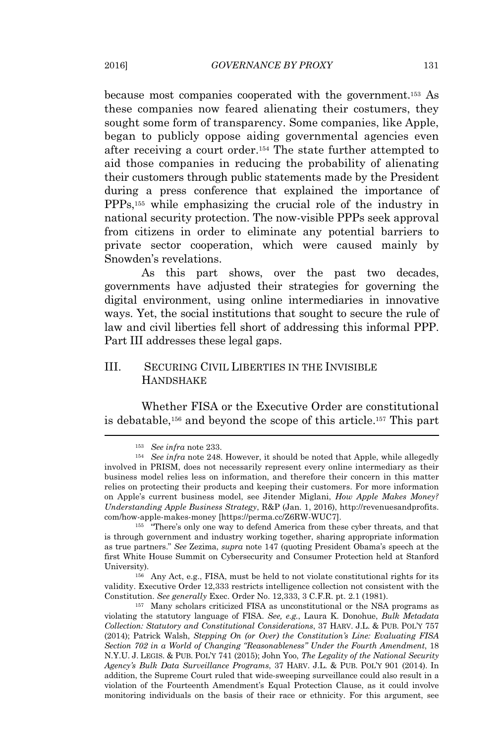because most companies cooperated with the government.<sup>153</sup> As these companies now feared alienating their costumers, they sought some form of transparency. Some companies, like Apple, began to publicly oppose aiding governmental agencies even after receiving a court order.<sup>154</sup> The state further attempted to aid those companies in reducing the probability of alienating their customers through public statements made by the President during a press conference that explained the importance of PPPs,<sup>155</sup> while emphasizing the crucial role of the industry in national security protection. The now-visible PPPs seek approval from citizens in order to eliminate any potential barriers to private sector cooperation, which were caused mainly by Snowden's revelations.

As this part shows, over the past two decades, governments have adjusted their strategies for governing the digital environment, using online intermediaries in innovative ways. Yet, the social institutions that sought to secure the rule of law and civil liberties fell short of addressing this informal PPP. Part III addresses these legal gaps.

## III. SECURING CIVIL LIBERTIES IN THE INVISIBLE **HANDSHAKE**

Whether FISA or the Executive Order are constitutional is debatable,<sup>156</sup> and beyond the scope of this article.<sup>157</sup> This part

<sup>155</sup> "There's only one way to defend America from these cyber threats, and that is through government and industry working together, sharing appropriate information as true partners." *See* Zezima, *supra* note 147 (quoting President Obama's speech at the first White House Summit on Cybersecurity and Consumer Protection held at Stanford University).

<sup>156</sup> Any Act, e.g., FISA, must be held to not violate constitutional rights for its validity. Executive Order 12,333 restricts intelligence collection not consistent with the Constitution. *See generally* Exec. Order No. 12,333, 3 C.F.R. pt. 2.1 (1981).

<sup>157</sup> Many scholars criticized FISA as unconstitutional or the NSA programs as violating the statutory language of FISA. *See, e.g.*, Laura K. Donohue, *Bulk Metadata Collection: Statutory and Constitutional Considerations*, 37 HARV. J.L. & PUB. POL'<sup>Y</sup> <sup>757</sup> (2014); Patrick Walsh, *Stepping On (or Over) the Constitution's Line: Evaluating FISA Section <sup>702</sup> in a World of Changing "Reasonableness" Under the Fourth Amendment*, 18 N.Y.U. J. LEGIS. & PUB. POL'<sup>Y</sup> 741 (2015); John Yoo, *The Legality of the National Security Agency's Bulk Data Surveillance Programs*, 37 HARV. J.L. & PUB. POL'<sup>Y</sup> <sup>901</sup> (2014). In addition, the Supreme Court ruled that wide-sweeping surveillance could also result in a violation of the Fourteenth Amendment's Equal Protection Clause, as it could involve monitoring individuals on the basis of their race or ethnicity. For this argument, see

<sup>153</sup> *See infra* note 233.

<sup>154</sup> *See infra* note 248. However, it should be noted that Apple, while allegedly involved in PRISM, does not necessarily represent every online intermediary as their business model relies less on information, and therefore their concern in this matter relies on protecting their products and keeping their customers. For more information on Apple's current business model, see Jitender Miglani, *How Apple Makes Money? Understanding Apple Business Strategy*, R&P (Jan. 1, 2016), http://revenuesandprofits. com/how-apple-makes-money [https://perma.cc/Z6RW-WUC7].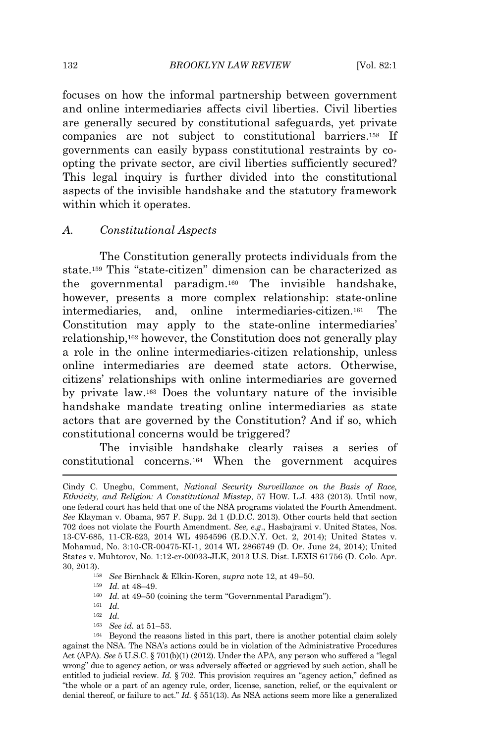focuses on how the informal partnership between government and online intermediaries affects civil liberties. Civil liberties are generally secured by constitutional safeguards, yet private companies are not subject to constitutional barriers.<sup>158</sup> If governments can easily bypass constitutional restraints by coopting the private sector, are civil liberties sufficiently secured? This legal inquiry is further divided into the constitutional aspects of the invisible handshake and the statutory framework within which it operates.

## *A. Constitutional Aspects*

The Constitution generally protects individuals from the state.<sup>159</sup> This "state-citizen" dimension can be characterized as the governmental paradigm.<sup>160</sup> The invisible handshake, however, presents a more complex relationship: state-online intermediaries, and, online intermediaries-citizen.<sup>161</sup> The Constitution may apply to the state-online intermediaries' relationship,<sup>162</sup> however, the Constitution does not generally play a role in the online intermediaries-citizen relationship, unless online intermediaries are deemed state actors. Otherwise, citizens' relationships with online intermediaries are governed by private law.<sup>163</sup> Does the voluntary nature of the invisible handshake mandate treating online intermediaries as state actors that are governed by the Constitution? And if so, which constitutional concerns would be triggered?

The invisible handshake clearly raises a series of constitutional concerns.<sup>164</sup> When the government acquires

- <sup>160</sup> *Id.* at 49–50 (coining the term "Governmental Paradigm").
- $161 \frac{1}{d}$ .
- $162 \text{ }\frac{1}{d}$ .
- <sup>163</sup> *See id.* at 51–53.

Cindy C. Unegbu, Comment, *National Security Surveillance on the Basis of Race, Ethnicity, and Religion: A Constitutional Misstep*, 57 HOW. L.J. 433 (2013). Until now, one federal court has held that one of the NSA programs violated the Fourth Amendment. *See* Klayman v. Obama, 957 F. Supp. 2d 1 (D.D.C. 2013). Other courts held that section 702 does not violate the Fourth Amendment. *See, e.g*., Hasbajrami v. United States, Nos. 13-CV-685, 11-CR-623, 2014 WL 4954596 (E.D.N.Y. Oct. 2, 2014); United States v. Mohamud, No. 3:10-CR-00475-KI-1, 2014 WL 2866749 (D. Or. June 24, 2014); United States v. Muhtorov, No. 1:12-cr-00033-JLK, 2013 U.S. Dist. LEXIS 61756 (D. Colo. Apr. 30, 2013).

<sup>158</sup> *See* Birnhack & Elkin-Koren, *supra* note 12, at 49–50.

<sup>159</sup> *Id.* at 48–49.

<sup>164</sup> Beyond the reasons listed in this part, there is another potential claim solely against the NSA. The NSA's actions could be in violation of the Administrative Procedures Act (APA). *See* 5 U.S.C. § 701(b)(1) (2012). Under the APA, any person who suffered <sup>a</sup> "legal wrong" due to agency action, or was adversely affected or aggrieved by such action, shall be entitled to judicial review. *Id.* § 702. This provision requires an "agency action," defined as "the whole or a part of an agency rule, order, license, sanction, relief, or the equivalent or denial thereof, or failure to act." *Id.* § 551(13). As NSA actions seem more like a generalized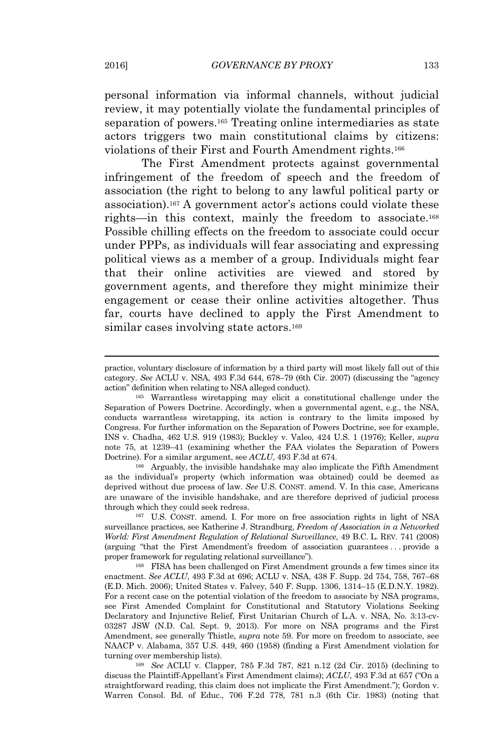personal information via informal channels, without judicial review, it may potentially violate the fundamental principles of separation of powers.<sup>165</sup> Treating online intermediaries as state actors triggers two main constitutional claims by citizens: violations of their First and Fourth Amendment rights.<sup>166</sup>

The First Amendment protects against governmental infringement of the freedom of speech and the freedom of association (the right to belong to any lawful political party or association).<sup>167</sup> A government actor's actions could violate these rights—in this context, mainly the freedom to associate.<sup>168</sup> Possible chilling effects on the freedom to associate could occur under PPPs, as individuals will fear associating and expressing political views as a member of a group. Individuals might fear that their online activities are viewed and stored by government agents, and therefore they might minimize their engagement or cease their online activities altogether. Thus far, courts have declined to apply the First Amendment to similar cases involving state actors.<sup>169</sup>

<sup>166</sup> Arguably, the invisible handshake may also implicate the Fifth Amendment as the individual's property (which information was obtained) could be deemed as deprived without due process of law. *See* U.S. CONST. amend. V. In this case, Americans are unaware of the invisible handshake, and are therefore deprived of judicial process through which they could seek redress.

<sup>167</sup> U.S. CONST. amend. I. For more on free association rights in light of NSA surveillance practices, see Katherine J. Strandburg, *Freedom of Association in a Networked World: First Amendment Regulation of Relational Surveillance*, 49 B.C. L. REV. 741 (2008) (arguing "that the First Amendment's freedom of association guarantees . . . provide a proper framework for regulating relational surveillance").

<sup>168</sup> FISA has been challenged on First Amendment grounds a few times since its enactment. *See ACLU*, 493 F.3d at 696; ACLU v. NSA, 438 F. Supp. 2d 754, 758, 767–68 (E.D. Mich. 2006); United States v. Falvey, 540 F. Supp. 1306, 1314–15 (E.D.N.Y. 1982). For a recent case on the potential violation of the freedom to associate by NSA programs, see First Amended Complaint for Constitutional and Statutory Violations Seeking Declaratory and Injunctive Relief, First Unitarian Church of L.A. v. NSA, No. 3:13-cv-03287 JSW (N.D. Cal. Sept. 9, 2013). For more on NSA programs and the First Amendment, see generally Thistle, *supra* note 59. For more on freedom to associate, see NAACP v. Alabama, 357 U.S. 449, 460 (1958) (finding a First Amendment violation for turning over membership lists).

<sup>169</sup> *See* ACLU v. Clapper, 785 F.3d 787, 821 n.12 (2d Cir. 2015) (declining to discuss the Plaintiff-Appellant's First Amendment claims); *ACLU*, 493 F.3d at 657 ("On <sup>a</sup> straightforward reading, this claim does not implicate the First Amendment."); Gordon v. Warren Consol. Bd. of Educ., 706 F.2d 778, 781 n.3 (6th Cir. 1983) (noting that

practice, voluntary disclosure of information by a third party will most likely fall out of this category. *See* ACLU v. NSA, 493 F.3d 644, 678–79 (6th Cir. 2007) (discussing the "agency action" definition when relating to NSA alleged conduct).

<sup>165</sup> Warrantless wiretapping may elicit a constitutional challenge under the Separation of Powers Doctrine. Accordingly, when a governmental agent, e.g., the NSA, conducts warrantless wiretapping, its action is contrary to the limits imposed by Congress. For further information on the Separation of Powers Doctrine, see for example, INS v. Chadha, 462 U.S. 919 (1983); Buckley v. Valeo, 424 U.S. 1 (1976); Keller, *supra* note 75, at 1239–41 (examining whether the FAA violates the Separation of Powers Doctrine). For a similar argument, see *ACLU*, 493 F.3d at 674.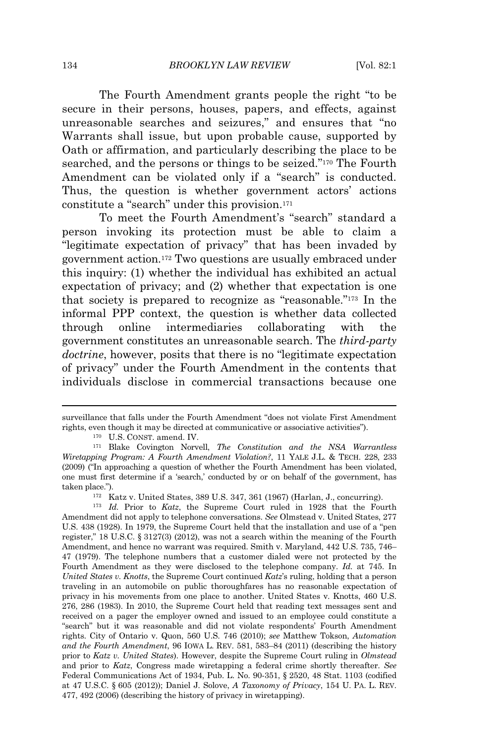The Fourth Amendment grants people the right "to be secure in their persons, houses, papers, and effects, against unreasonable searches and seizures," and ensures that "no Warrants shall issue, but upon probable cause, supported by Oath or affirmation, and particularly describing the place to be searched, and the persons or things to be seized." <sup>170</sup> The Fourth Amendment can be violated only if a "search" is conducted. Thus, the question is whether government actors' actions constitute a "search" under this provision.<sup>171</sup>

To meet the Fourth Amendment's "search" standard a person invoking its protection must be able to claim a "legitimate expectation of privacy" that has been invaded by government action.<sup>172</sup> Two questions are usually embraced under this inquiry: (1) whether the individual has exhibited an actual expectation of privacy; and (2) whether that expectation is one that society is prepared to recognize as "reasonable." <sup>173</sup> In the informal PPP context, the question is whether data collected through online intermediaries collaborating with the government constitutes an unreasonable search. The *third-party doctrine*, however, posits that there is no "legitimate expectation of privacy" under the Fourth Amendment in the contents that individuals disclose in commercial transactions because one

<sup>172</sup> Katz v. United States, 389 U.S. 347, 361 (1967) (Harlan, J., concurring).

<sup>173</sup> *Id.* Prior to *Katz*, the Supreme Court ruled in 1928 that the Fourth Amendment did not apply to telephone conversations. *See* Olmstead v. United States, 277 U.S. 438 (1928). In 1979, the Supreme Court held that the installation and use of a "pen register," 18 U.S.C. § 3127(3) (2012), was not a search within the meaning of the Fourth Amendment, and hence no warrant was required. Smith v. Maryland, 442 U.S. 735, 746– 47 (1979). The telephone numbers that a customer dialed were not protected by the Fourth Amendment as they were disclosed to the telephone company. *Id.* at 745. In *United States v. Knotts*, the Supreme Court continued *Katz*'s ruling, holding that a person traveling in an automobile on public thoroughfares has no reasonable expectation of privacy in his movements from one place to another. United States v. Knotts, 460 U.S. 276, 286 (1983). In 2010, the Supreme Court held that reading text messages sent and received on a pager the employer owned and issued to an employee could constitute a "search" but it was reasonable and did not violate respondents' Fourth Amendment rights. City of Ontario v. Quon, 560 U.S. 746 (2010); *see* Matthew Tokson, *Automation and the Fourth Amendment*, 96 IOWA L. REV. 581, 583–84 (2011) (describing the history prior to *Katz v. United States*). However, despite the Supreme Court ruling in *Olmstead* and prior to *Katz*, Congress made wiretapping a federal crime shortly thereafter. *See* Federal Communications Act of 1934, Pub. L. No. 90-351, § 2520, 48 Stat. 1103 (codified at <sup>47</sup> U.S.C. § 605 (2012)); Daniel J. Solove, *A Taxonomy of Privacy*, <sup>154</sup> U. <sup>P</sup>A. L. REV. 477, 492 (2006) (describing the history of privacy in wiretapping).

surveillance that falls under the Fourth Amendment "does not violate First Amendment rights, even though it may be directed at communicative or associative activities").

<sup>170</sup> U.S. CONST. amend. IV.

<sup>171</sup> Blake Covington Norvell, *The Constitution and the NSA Warrantless Wiretapping Program: A Fourth Amendment Violation?*, 11 YALE J.L. & TECH. 228, 233 (2009) ("In approaching a question of whether the Fourth Amendment has been violated, one must first determine if a 'search,' conducted by or on behalf of the government, has taken place.").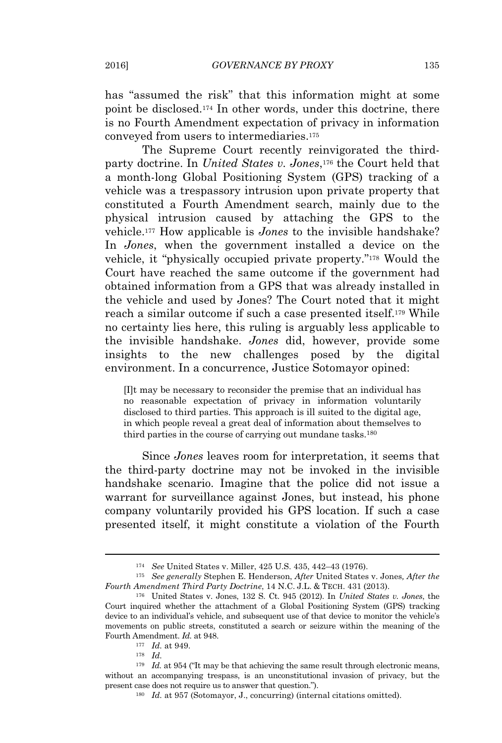has "assumed the risk" that this information might at some point be disclosed.<sup>174</sup> In other words, under this doctrine, there is no Fourth Amendment expectation of privacy in information conveyed from users to intermediaries.<sup>175</sup>

The Supreme Court recently reinvigorated the thirdparty doctrine. In *United States v. Jones*, <sup>176</sup> the Court held that a month-long Global Positioning System (GPS) tracking of a vehicle was a trespassory intrusion upon private property that constituted a Fourth Amendment search, mainly due to the physical intrusion caused by attaching the GPS to the vehicle.<sup>177</sup> How applicable is *Jones* to the invisible handshake? In *Jones*, when the government installed a device on the vehicle, it "physically occupied private property." <sup>178</sup> Would the Court have reached the same outcome if the government had obtained information from a GPS that was already installed in the vehicle and used by Jones? The Court noted that it might reach a similar outcome if such a case presented itself.<sup>179</sup> While no certainty lies here, this ruling is arguably less applicable to the invisible handshake. *Jones* did, however, provide some insights to the new challenges posed by the digital environment. In a concurrence, Justice Sotomayor opined:

[I]t may be necessary to reconsider the premise that an individual has no reasonable expectation of privacy in information voluntarily disclosed to third parties. This approach is ill suited to the digital age, in which people reveal a great deal of information about themselves to third parties in the course of carrying out mundane tasks.<sup>180</sup>

Since *Jones* leaves room for interpretation, it seems that the third-party doctrine may not be invoked in the invisible handshake scenario. Imagine that the police did not issue a warrant for surveillance against Jones, but instead, his phone company voluntarily provided his GPS location. If such a case presented itself, it might constitute a violation of the Fourth

<sup>174</sup> *See* United States v. Miller, 425 U.S. 435, 442–43 (1976).

<sup>175</sup> *See generally* Stephen E. Henderson, *After* United States v. Jones*, After the Fourth Amendment Third Party Doctrine*, 14 N.C. J.L. & TECH. 431 (2013).

<sup>176</sup> United States v. Jones, 132 S. Ct. 945 (2012). In *United States v. Jones*, the Court inquired whether the attachment of a Global Positioning System (GPS) tracking device to an individual's vehicle, and subsequent use of that device to monitor the vehicle's movements on public streets, constituted a search or seizure within the meaning of the Fourth Amendment. *Id.* at 948.

<sup>177</sup> *Id.* at 949.

 $178$  *Id.* 

<sup>&</sup>lt;sup>179</sup> *Id.* at 954 ("It may be that achieving the same result through electronic means, without an accompanying trespass, is an unconstitutional invasion of privacy, but the present case does not require us to answer that question.").

<sup>180</sup> *Id.* at 957 (Sotomayor, J., concurring) (internal citations omitted).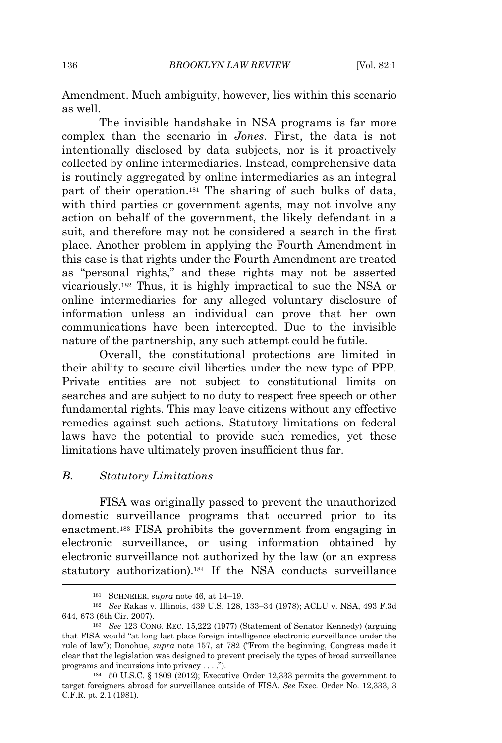Amendment. Much ambiguity, however, lies within this scenario as well.

The invisible handshake in NSA programs is far more complex than the scenario in *Jones*. First, the data is not intentionally disclosed by data subjects, nor is it proactively collected by online intermediaries. Instead, comprehensive data is routinely aggregated by online intermediaries as an integral part of their operation.<sup>181</sup> The sharing of such bulks of data, with third parties or government agents, may not involve any action on behalf of the government, the likely defendant in a suit, and therefore may not be considered a search in the first place. Another problem in applying the Fourth Amendment in this case is that rights under the Fourth Amendment are treated as "personal rights," and these rights may not be asserted vicariously.<sup>182</sup> Thus, it is highly impractical to sue the NSA or online intermediaries for any alleged voluntary disclosure of information unless an individual can prove that her own communications have been intercepted. Due to the invisible nature of the partnership, any such attempt could be futile.

Overall, the constitutional protections are limited in their ability to secure civil liberties under the new type of PPP. Private entities are not subject to constitutional limits on searches and are subject to no duty to respect free speech or other fundamental rights. This may leave citizens without any effective remedies against such actions. Statutory limitations on federal laws have the potential to provide such remedies, yet these limitations have ultimately proven insufficient thus far.

## *B. Statutory Limitations*

FISA was originally passed to prevent the unauthorized domestic surveillance programs that occurred prior to its enactment.<sup>183</sup> FISA prohibits the government from engaging in electronic surveillance, or using information obtained by electronic surveillance not authorized by the law (or an express statutory authorization).<sup>184</sup> If the NSA conducts surveillance

<sup>181</sup> <sup>S</sup>CHNEIER, *supra* note 46, at 14–19.

<sup>182</sup> *See* Rakas v. Illinois, 439 U.S. 128, 133–34 (1978); ACLU v. NSA, 493 F.3d 644, 673 (6th Cir. 2007).

<sup>183</sup> *See* 123 CONG. REC. 15,222 (1977) (Statement of Senator Kennedy) (arguing that FISA would "at long last place foreign intelligence electronic surveillance under the rule of law"); Donohue, *supra* note 157, at 782 ("From the beginning, Congress made it clear that the legislation was designed to prevent precisely the types of broad surveillance programs and incursions into privacy . . . .").

<sup>184</sup> 50 U.S.C. § 1809 (2012); Executive Order 12,333 permits the government to target foreigners abroad for surveillance outside of FISA. *See* Exec. Order No. 12,333, 3 C.F.R. pt. 2.1 (1981).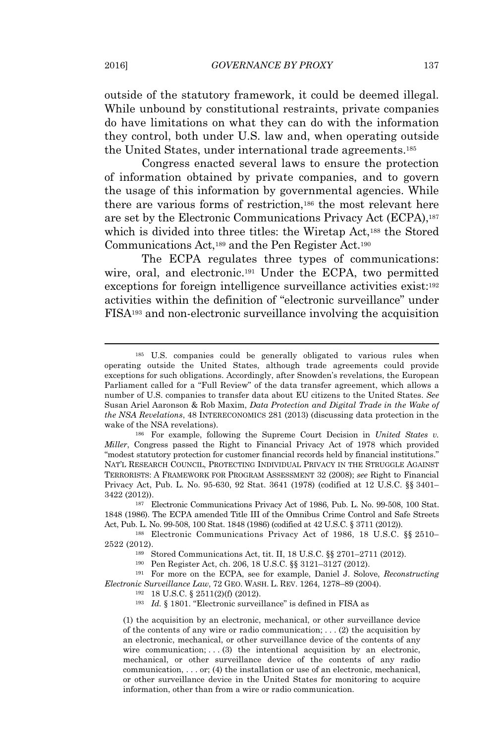outside of the statutory framework, it could be deemed illegal. While unbound by constitutional restraints, private companies do have limitations on what they can do with the information they control, both under U.S. law and, when operating outside the United States, under international trade agreements.<sup>185</sup>

Congress enacted several laws to ensure the protection of information obtained by private companies, and to govern the usage of this information by governmental agencies. While there are various forms of restriction,<sup>186</sup> the most relevant here are set by the Electronic Communications Privacy Act (ECPA),<sup>187</sup> which is divided into three titles: the Wiretap Act,<sup>188</sup> the Stored Communications Act,<sup>189</sup> and the Pen Register Act.<sup>190</sup>

The ECPA regulates three types of communications: wire, oral, and electronic.<sup>191</sup> Under the ECPA, two permitted exceptions for foreign intelligence surveillance activities exist:<sup>192</sup> activities within the definition of "electronic surveillance" under FISA<sup>193</sup> and non-electronic surveillance involving the acquisition

(1) the acquisition by an electronic, mechanical, or other surveillance device of the contents of any wire or radio communication; . . . (2) the acquisition by an electronic, mechanical, or other surveillance device of the contents of any wire communication;  $\ldots$  (3) the intentional acquisition by an electronic, mechanical, or other surveillance device of the contents of any radio communication, . . . or; (4) the installation or use of an electronic, mechanical, or other surveillance device in the United States for monitoring to acquire information, other than from a wire or radio communication.

<sup>185</sup> U.S. companies could be generally obligated to various rules when operating outside the United States, although trade agreements could provide exceptions for such obligations. Accordingly, after Snowden's revelations, the European Parliament called for a "Full Review" of the data transfer agreement, which allows a number of U.S. companies to transfer data about EU citizens to the United States. *See* Susan Ariel Aaronson & Rob Maxim, *Data Protection and Digital Trade in the Wake of the NSA Revelations*, 48 INTERECONOMICS 281 (2013) (discussing data protection in the wake of the NSA revelations).

<sup>186</sup> For example, following the Supreme Court Decision in *United States v. Miller*, Congress passed the Right to Financial Privacy Act of 1978 which provided "modest statutory protection for customer financial records held by financial institutions." NAT'<sup>L</sup> RESEARCH COUNCIL, PROTECTING INDIVIDUAL PRIVACY IN THE STRUGGLE AGAINST TERRORISTS: A FRAMEWORK FOR PROGRAM ASSESSMENT 32 (2008); *see* Right to Financial Privacy Act, Pub. L. No. 95-630, 92 Stat. 3641 (1978) (codified at 12 U.S.C. §§ 3401– 3422 (2012)).

<sup>187</sup> Electronic Communications Privacy Act of 1986, Pub. L. No. 99-508, 100 Stat. 1848 (1986). The ECPA amended Title III of the Omnibus Crime Control and Safe Streets Act, Pub. L. No. 99-508, 100 Stat. 1848 (1986) (codified at 42 U.S.C. § 3711 (2012)).

<sup>188</sup> Electronic Communications Privacy Act of 1986, 18 U.S.C. §§ 2510– 2522 (2012).

<sup>189</sup> Stored Communications Act, tit. II, 18 U.S.C. §§ 2701–2711 (2012).

<sup>190</sup> Pen Register Act, ch. 206, 18 U.S.C. §§ 3121–3127 (2012).

<sup>191</sup> For more on the ECPA, see for example, Daniel J. Solove, *Reconstructing Electronic Surveillance Law*, 72 GEO. WASH. L. REV. 1264, 1278–89 (2004).

<sup>192</sup> 18 U.S.C. § 2511(2)(f) (2012).

<sup>193</sup> *Id.* § 1801. "Electronic surveillance" is defined in FISA as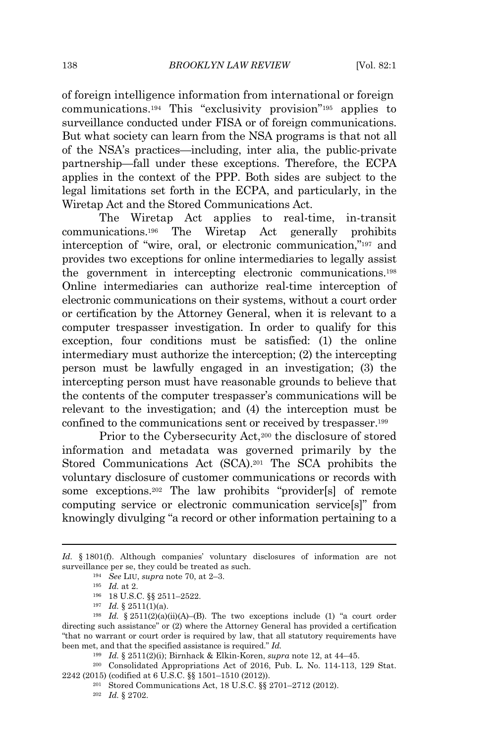of foreign intelligence information from international or foreign communications.<sup>194</sup> This "exclusivity provision" <sup>195</sup> applies to surveillance conducted under FISA or of foreign communications. But what society can learn from the NSA programs is that not all of the NSA's practices—including, inter alia, the public-private partnership—fall under these exceptions. Therefore, the ECPA applies in the context of the PPP. Both sides are subject to the legal limitations set forth in the ECPA, and particularly, in the Wiretap Act and the Stored Communications Act.

The Wiretap Act applies to real-time, in-transit communications.<sup>196</sup> The Wiretap Act generally prohibits interception of "wire, oral, or electronic communication," <sup>197</sup> and provides two exceptions for online intermediaries to legally assist the government in intercepting electronic communications.<sup>198</sup> Online intermediaries can authorize real-time interception of electronic communications on their systems, without a court order or certification by the Attorney General, when it is relevant to a computer trespasser investigation. In order to qualify for this exception, four conditions must be satisfied: (1) the online intermediary must authorize the interception; (2) the intercepting person must be lawfully engaged in an investigation; (3) the intercepting person must have reasonable grounds to believe that the contents of the computer trespasser's communications will be relevant to the investigation; and (4) the interception must be confined to the communications sent or received by trespasser.<sup>199</sup>

Prior to the Cybersecurity Act,<sup>200</sup> the disclosure of stored information and metadata was governed primarily by the Stored Communications Act (SCA).<sup>201</sup> The SCA prohibits the voluntary disclosure of customer communications or records with some exceptions.<sup>202</sup> The law prohibits "provider[s] of remote computing service or electronic communication service[s]" from knowingly divulging "a record or other information pertaining to a

*Id.* § 1801(f). Although companies' voluntary disclosures of information are not surveillance per se, they could be treated as such.

<sup>194</sup> *See* <sup>L</sup>IU, *supra* note 70, at 2–3.

 $195$  *Id.* at 2.

<sup>196</sup> 18 U.S.C. §§ 2511–2522.

 $197$  *Id.* § 2511(1)(a).

<sup>&</sup>lt;sup>198</sup> *Id.* § 2511(2)(a)(ii)(A)–(B). The two exceptions include (1) "a court order directing such assistance" or (2) where the Attorney General has provided a certification "that no warrant or court order is required by law, that all statutory requirements have been met, and that the specified assistance is required." *Id.*

<sup>199</sup> *Id.* § 2511(2)(i); Birnhack & Elkin-Koren, *supra* note 12, at 44–45.

<sup>200</sup> Consolidated Appropriations Act of 2016, Pub. L. No. 114-113, 129 Stat. 2242 (2015) (codified at 6 U.S.C. §§ 1501–1510 (2012)).

<sup>201</sup> Stored Communications Act, 18 U.S.C. §§ 2701–2712 (2012).

<sup>202</sup> *Id.* § 2702.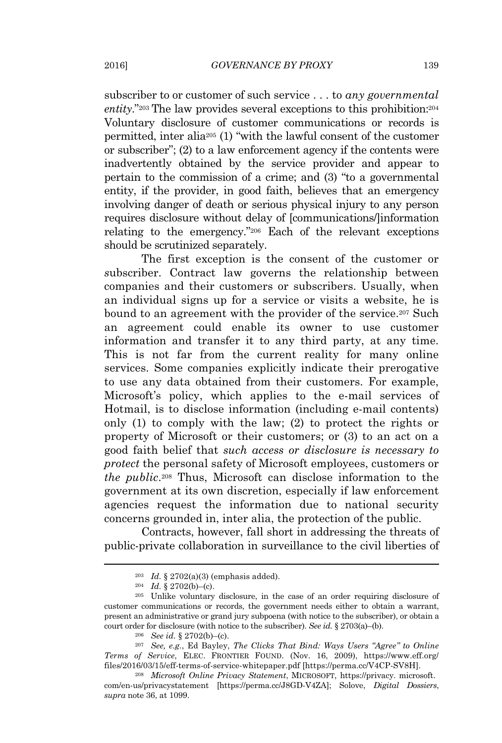subscriber to or customer of such service . . . to *any governmental* entity."<sup>203</sup> The law provides several exceptions to this prohibition:<sup>204</sup> Voluntary disclosure of customer communications or records is permitted, inter alia<sup>205</sup> (1) "with the lawful consent of the customer or subscriber"; (2) to a law enforcement agency if the contents were inadvertently obtained by the service provider and appear to pertain to the commission of a crime; and (3) "to a governmental entity, if the provider, in good faith, believes that an emergency involving danger of death or serious physical injury to any person requires disclosure without delay of [communications/]information relating to the emergency." <sup>206</sup> Each of the relevant exceptions should be scrutinized separately.

The first exception is the consent of the *c*ustomer or *s*ubscriber. Contract law governs the relationship between companies and their customers or subscribers. Usually, when an individual signs up for a service or visits a website, he is bound to an agreement with the provider of the service.<sup>207</sup> Such an agreement could enable its owner to use customer information and transfer it to any third party, at any time. This is not far from the current reality for many online services. Some companies explicitly indicate their prerogative to use any data obtained from their customers. For example, Microsoft's policy, which applies to the e-mail services of Hotmail, is to disclose information (including e-mail contents) only (1) to comply with the law; (2) to protect the rights or property of Microsoft or their customers; or (3) to an act on a good faith belief that *such access or disclosure is necessary to protect* the personal safety of Microsoft employees, customers or *the public*. <sup>208</sup> Thus, Microsoft can disclose information to the government at its own discretion, especially if law enforcement agencies request the information due to national security concerns grounded in, inter alia, the protection of the public.

Contracts, however, fall short in addressing the threats of public-private collaboration in surveillance to the civil liberties of

<sup>&</sup>lt;sup>203</sup> *Id.* § 2702(a)(3) (emphasis added).

 $^{204}$  *Id.* § 2702(b)–(c).

<sup>205</sup> Unlike voluntary disclosure, in the case of an order requiring disclosure of customer communications or records, the government needs either to obtain a warrant, present an administrative or grand jury subpoena (with notice to the subscriber), or obtain a court order for disclosure (with notice to the subscriber). *See id.* § 2703(a)–(b).

<sup>206</sup> *See id.* § 2702(b)–(c).

<sup>207</sup> *See, e.g.*, Ed Bayley, *The Clicks That Bind: Ways Users "Agree" to Online Terms of Service*, ELEC. FRONTIER FOUND. (Nov. 16, 2009), https://www.eff.org/ files/2016/03/15/eff-terms-of-service-whitepaper.pdf [https://perma.cc/V4CP-SV8H].

<sup>208</sup> *Microsoft Online Privacy Statement*, MICROSOFT, https://privacy. microsoft. com/en-us/privacystatement [https://perma.cc/J8GD-V4ZA]; Solove, *Digital Dossiers*, *supra* note 36, at 1099.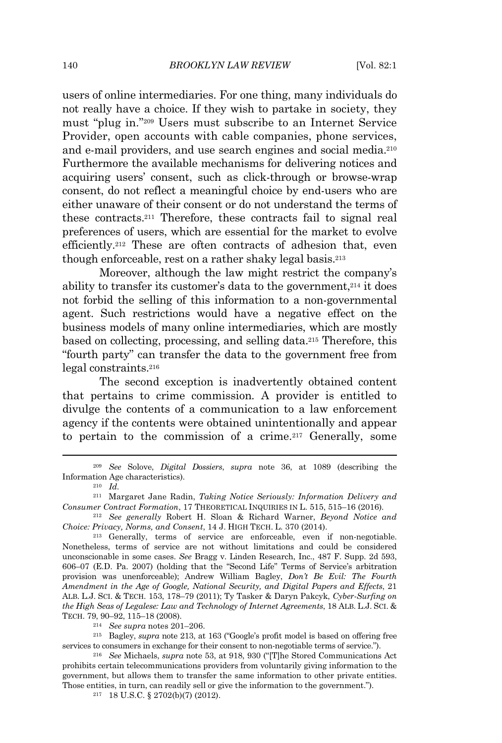users of online intermediaries. For one thing, many individuals do not really have a choice. If they wish to partake in society, they must "plug in." <sup>209</sup> Users must subscribe to an Internet Service Provider, open accounts with cable companies, phone services, and e-mail providers, and use search engines and social media.<sup>210</sup> Furthermore the available mechanisms for delivering notices and acquiring users' consent, such as click-through or browse-wrap consent, do not reflect a meaningful choice by end-users who are either unaware of their consent or do not understand the terms of these contracts.<sup>211</sup> Therefore, these contracts fail to signal real preferences of users, which are essential for the market to evolve efficiently.<sup>212</sup> These are often contracts of adhesion that, even though enforceable, rest on a rather shaky legal basis.<sup>213</sup>

Moreover, although the law might restrict the company's ability to transfer its customer's data to the government,<sup>214</sup> it does not forbid the selling of this information to a non-governmental agent. Such restrictions would have a negative effect on the business models of many online intermediaries, which are mostly based on collecting, processing, and selling data.<sup>215</sup> Therefore, this "fourth party" can transfer the data to the government free from legal constraints.<sup>216</sup>

The second exception is inadvertently obtained content that pertains to crime commission*.* A provider is entitled to divulge the contents of a communication to a law enforcement agency if the contents were obtained unintentionally and appear to pertain to the commission of a crime.<sup>217</sup> Generally, some

<sup>214</sup> *See supra* notes 201–206.

<sup>215</sup> Bagley, *supra* note 213, at 163 ("Google's profit model is based on offering free services to consumers in exchange for their consent to non-negotiable terms of service.").

<sup>216</sup> *See* Michaels, *supra* note 53, at 918, 930 ("[T]he Stored Communications Act prohibits certain telecommunications providers from voluntarily giving information to the government, but allows them to transfer the same information to other private entities. Those entities, in turn, can readily sell or give the information to the government.").

<sup>217</sup> 18 U.S.C. § 2702(b)(7) (2012).

<sup>209</sup> *See* Solove, *Digital Dossiers*, *supra* note 36, at 1089 (describing the Information Age characteristics).

 $\frac{210}{210}$  *Id.* 

<sup>211</sup> Margaret Jane Radin, *Taking Notice Seriously: Information Delivery and Consumer Contract Formation*, 17 THEORETICAL <sup>I</sup>NQUIRIES IN L. 515, 515–16 (2016)*.*

<sup>212</sup> *See generally* Robert H. Sloan & Richard Warner, *Beyond Notice and Choice: Privacy, Norms, and Consent*, 14 J. HIGH TECH. L. 370 (2014).

<sup>213</sup> Generally, terms of service are enforceable, even if non-negotiable. Nonetheless, terms of service are not without limitations and could be considered unconscionable in some cases. *See* Bragg v. Linden Research, Inc., 487 F. Supp. 2d 593, 606–07 (E.D. Pa. 2007) (holding that the "Second Life" Terms of Service's arbitration provision was unenforceable); Andrew William Bagley, *Don't Be Evil: The Fourth Amendment in the Age of Google, National Security, and Digital Papers and Effects*, 21 <sup>A</sup>LB. L.J. SCI. & TECH. 153, 178–79 (2011); Ty Tasker & Daryn Pakcyk, *Cyber-Surfing on the High Seas of Legalese: Law and Technology of Internet Agreements*, 18 ALB. L.J. SCI. & TECH. 79, 90–92, 115–18 (2008).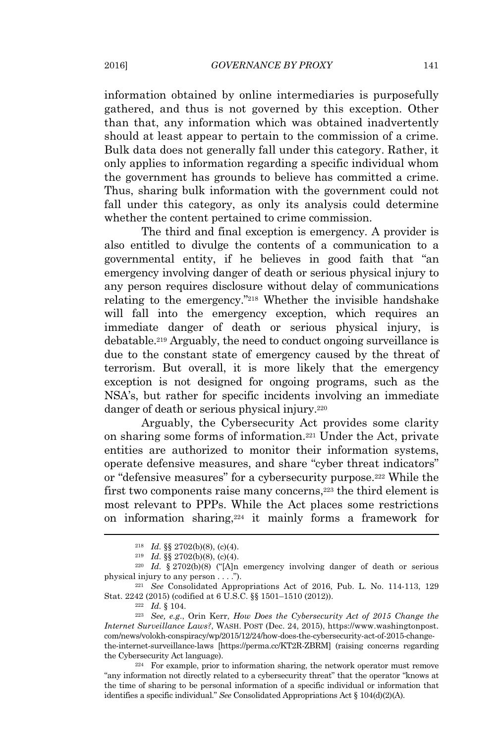information obtained by online intermediaries is purposefully gathered, and thus is not governed by this exception. Other than that, any information which was obtained inadvertently should at least appear to pertain to the commission of a crime. Bulk data does not generally fall under this category. Rather, it only applies to information regarding a specific individual whom the government has grounds to believe has committed a crime. Thus, sharing bulk information with the government could not fall under this category, as only its analysis could determine whether the content pertained to crime commission.

The third and final exception is emergency. A provider is also entitled to divulge the contents of a communication to a governmental entity, if he believes in good faith that "an emergency involving danger of death or serious physical injury to any person requires disclosure without delay of communications relating to the emergency." <sup>218</sup> Whether the invisible handshake will fall into the emergency exception, which requires an immediate danger of death or serious physical injury, is debatable.<sup>219</sup> Arguably, the need to conduct ongoing surveillance is due to the constant state of emergency caused by the threat of terrorism. But overall, it is more likely that the emergency exception is not designed for ongoing programs, such as the NSA's, but rather for specific incidents involving an immediate danger of death or serious physical injury.<sup>220</sup>

Arguably, the Cybersecurity Act provides some clarity on sharing some forms of information.<sup>221</sup> Under the Act, private entities are authorized to monitor their information systems, operate defensive measures, and share "cyber threat indicators" or "defensive measures" for a cybersecurity purpose.<sup>222</sup> While the first two components raise many concerns,<sup>223</sup> the third element is most relevant to PPPs. While the Act places some restrictions on information sharing,<sup>224</sup> it mainly forms a framework for

<sup>223</sup> *See, e.g*., Orin Kerr, *How Does the Cybersecurity Act of 2015 Change the Internet Surveillance Laws?*, WASH. POST (Dec. 24, 2015), https://www.washingtonpost. com/news/volokh-conspiracy/wp/2015/12/24/how-does-the-cybersecurity-act-of-2015-changethe-internet-surveillance-laws [https://perma.cc/KT2R-ZBRM] (raising concerns regarding the Cybersecurity Act language).

<sup>224</sup> For example, prior to information sharing, the network operator must remove "any information not directly related to a cybersecurity threat" that the operator "knows at the time of sharing to be personal information of a specific individual or information that identifies <sup>a</sup> specific individual." *See* Consolidated Appropriations Act § 104(d)(2)(A).

<sup>218</sup> *Id.* §§ 2702(b)(8), (c)(4).

 $\begin{array}{lll} \text{7a.} & \text{88 } 2702(6)(6), (6)(4). \end{array}$ <br><sup>219</sup> *Id.* §§ 2702(b)(8), (c)(4).

<sup>&</sup>lt;sup>220</sup> *Id.* § 2702(b)(8) ("[A]n emergency involving danger of death or serious physical injury to any person . . . .").

<sup>221</sup> *See* Consolidated Appropriations Act of 2016, Pub. L. No. 114-113, 129 Stat. 2242 (2015) (codified at 6 U.S.C. §§ 1501–1510 (2012)).

 $\frac{222}{222}$  *Id.* § 104.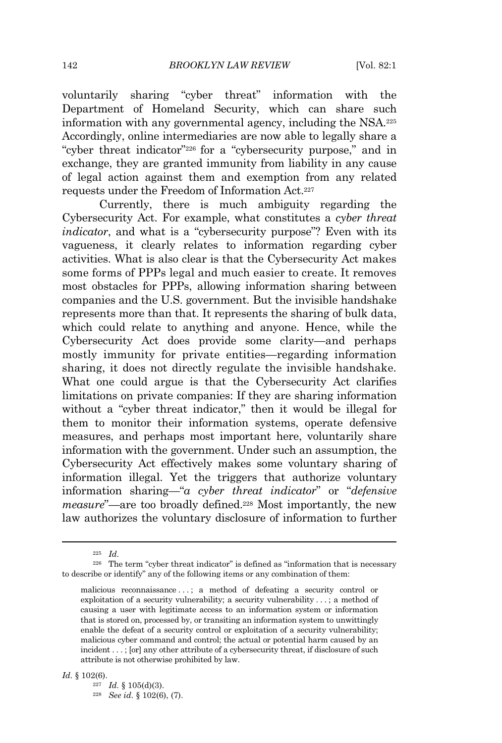voluntarily sharing "cyber threat" information with the Department of Homeland Security, which can share such information with any governmental agency, including the NSA.<sup>225</sup> Accordingly, online intermediaries are now able to legally share a "cyber threat indicator" <sup>226</sup> for a "cybersecurity purpose," and in exchange, they are granted immunity from liability in any cause of legal action against them and exemption from any related requests under the Freedom of Information Act.<sup>227</sup>

Currently, there is much ambiguity regarding the Cybersecurity Act. For example, what constitutes a *cyber threat indicator*, and what is a "cybersecurity purpose"? Even with its vagueness, it clearly relates to information regarding cyber activities. What is also clear is that the Cybersecurity Act makes some forms of PPPs legal and much easier to create. It removes most obstacles for PPPs, allowing information sharing between companies and the U.S. government. But the invisible handshake represents more than that. It represents the sharing of bulk data, which could relate to anything and anyone. Hence, while the Cybersecurity Act does provide some clarity—and perhaps mostly immunity for private entities—regarding information sharing, it does not directly regulate the invisible handshake. What one could argue is that the Cybersecurity Act clarifies limitations on private companies: If they are sharing information without a "cyber threat indicator," then it would be illegal for them to monitor their information systems, operate defensive measures, and perhaps most important here, voluntarily share information with the government. Under such an assumption, the Cybersecurity Act effectively makes some voluntary sharing of information illegal. Yet the triggers that authorize voluntary information sharing—"*a cyber threat indicator*" or "*defensive measure*"—are too broadly defined.<sup>228</sup> Most importantly, the new law authorizes the voluntary disclosure of information to further

*Id.* § 102(6).

<sup>227</sup> *Id.* § 105(d)(3).

<sup>225</sup> *Id.*

<sup>226</sup> The term "cyber threat indicator" is defined as "information that is necessary to describe or identify" any of the following items or any combination of them:

malicious reconnaissance . . . ; a method of defeating a security control or exploitation of a security vulnerability; a security vulnerability . . . ; a method of causing a user with legitimate access to an information system or information that is stored on, processed by, or transiting an information system to unwittingly enable the defeat of a security control or exploitation of a security vulnerability; malicious cyber command and control; the actual or potential harm caused by an incident . . . ; [or] any other attribute of a cybersecurity threat, if disclosure of such attribute is not otherwise prohibited by law.

<sup>228</sup> *See id.* § 102(6), (7).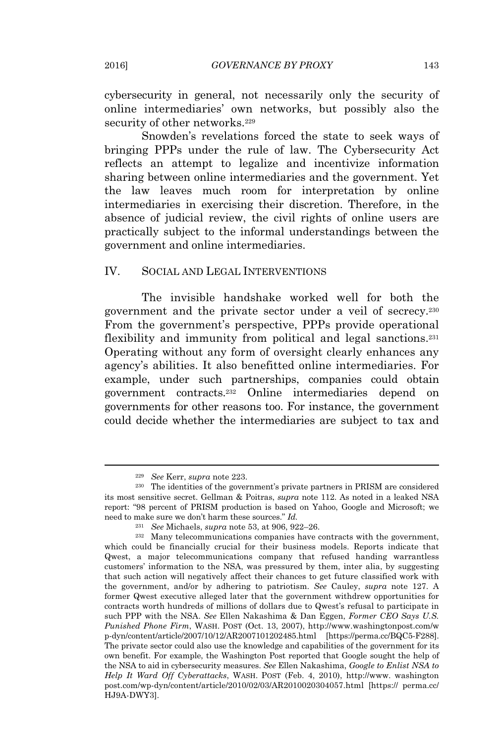cybersecurity in general, not necessarily only the security of online intermediaries' own networks, but possibly also the security of other networks.<sup>229</sup>

Snowden's revelations forced the state to seek ways of bringing PPPs under the rule of law. The Cybersecurity Act reflects an attempt to legalize and incentivize information sharing between online intermediaries and the government. Yet the law leaves much room for interpretation by online intermediaries in exercising their discretion. Therefore, in the absence of judicial review, the civil rights of online users are practically subject to the informal understandings between the government and online intermediaries.

### IV. SOCIAL AND LEGAL INTERVENTIONS

The invisible handshake worked well for both the government and the private sector under a veil of secrecy.<sup>230</sup> From the government's perspective, PPPs provide operational flexibility and immunity from political and legal sanctions.<sup>231</sup> Operating without any form of oversight clearly enhances any agency's abilities. It also benefitted online intermediaries. For example, under such partnerships, companies could obtain government contracts.<sup>232</sup> Online intermediaries depend on governments for other reasons too. For instance, the government could decide whether the intermediaries are subject to tax and

<sup>229</sup> *See* Kerr, *supra* note 223.

<sup>230</sup> The identities of the government's private partners in PRISM are considered its most sensitive secret. Gellman & Poitras, *supra* note 112. As noted in a leaked NSA report: "98 percent of PRISM production is based on Yahoo, Google and Microsoft; we need to make sure we don't harm these sources." *Id.*

<sup>231</sup> *See* Michaels, *supra* note 53, at 906, 922–26.

<sup>232</sup> Many telecommunications companies have contracts with the government, which could be financially crucial for their business models. Reports indicate that Qwest, a major telecommunications company that refused handing warrantless customers' information to the NSA, was pressured by them, inter alia, by suggesting that such action will negatively affect their chances to get future classified work with the government, and/or by adhering to patriotism. *See* Cauley, *supra* note 127. A former Qwest executive alleged later that the government withdrew opportunities for contracts worth hundreds of millions of dollars due to Qwest's refusal to participate in such PPP with the NSA. *See* Ellen Nakashima & Dan Eggen, *Former CEO Says U.S. Punished Phone Firm*, WASH. POST (Oct. 13, 2007), http://www.washingtonpost.com/w p-dyn/content/article/2007/10/12/AR2007101202485.html [https://perma.cc/BQC5-F288]. The private sector could also use the knowledge and capabilities of the government for its own benefit. For example, the Washington Post reported that Google sought the help of the NSA to aid in cybersecurity measures. *See* Ellen Nakashima, *Google to Enlist NSA to Help It Ward Off Cyberattacks*, WASH. POST (Feb. 4, 2010), http://www. washington post.com/wp-dyn/content/article/2010/02/03/AR2010020304057.html [https:// perma.cc/ HJ9A-DWY3].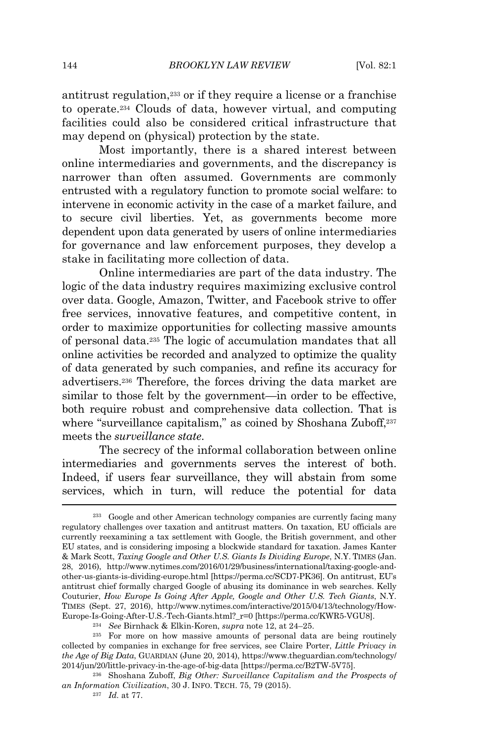antitrust regulation,<sup>233</sup> or if they require a license or a franchise to operate.<sup>234</sup> Clouds of data, however virtual, and computing facilities could also be considered critical infrastructure that may depend on (physical) protection by the state.

Most importantly, there is a shared interest between online intermediaries and governments, and the discrepancy is narrower than often assumed. Governments are commonly entrusted with a regulatory function to promote social welfare: to intervene in economic activity in the case of a market failure, and to secure civil liberties. Yet, as governments become more dependent upon data generated by users of online intermediaries for governance and law enforcement purposes, they develop a stake in facilitating more collection of data.

Online intermediaries are part of the data industry. The logic of the data industry requires maximizing exclusive control over data. Google, Amazon, Twitter, and Facebook strive to offer free services, innovative features, and competitive content, in order to maximize opportunities for collecting massive amounts of personal data.<sup>235</sup> The logic of accumulation mandates that all online activities be recorded and analyzed to optimize the quality of data generated by such companies, and refine its accuracy for advertisers.<sup>236</sup> Therefore, the forces driving the data market are similar to those felt by the government—in order to be effective, both require robust and comprehensive data collection. That is where "surveillance capitalism," as coined by Shoshana Zuboff,  $237$ meets the *surveillance state*.

The secrecy of the informal collaboration between online intermediaries and governments serves the interest of both. Indeed, if users fear surveillance, they will abstain from some services, which in turn, will reduce the potential for data

<sup>233</sup> Google and other American technology companies are currently facing many regulatory challenges over taxation and antitrust matters. On taxation, EU officials are currently reexamining a tax settlement with Google, the British government, and other EU states, and is considering imposing a blockwide standard for taxation. James Kanter & Mark Scott, *Taxing Google and Other U.S. Giants Is Dividing Europe*, N.Y. TIMES (Jan. 28, 2016), http://www.nytimes.com/2016/01/29/business/international/taxing-google-andother-us-giants-is-dividing-europe.html [https://perma.cc/SCD7-PK36]. On antitrust, EU's antitrust chief formally charged Google of abusing its dominance in web searches. Kelly Couturier, *How Europe Is Going After Apple, Google and Other U.S. Tech Giants*, N.Y. TIMES (Sept. 27, 2016), http://www.nytimes.com/interactive/2015/04/13/technology/How-Europe-Is-Going-After-U.S.-Tech-Giants.html?\_r=0 [https://perma.cc/KWR5-VGU8].

<sup>234</sup> *See* Birnhack & Elkin-Koren, *supra* note 12, at 24–25.

<sup>&</sup>lt;sup>235</sup> For more on how massive amounts of personal data are being routinely collected by companies in exchange for free services, see Claire Porter, *Little Privacy in the Age of Big Data*, GUARDIAN (June 20, 2014), https://www.theguardian.com/technology/ 2014/jun/20/little-privacy-in-the-age-of-big-data [https://perma.cc/B2TW-5V75].

<sup>236</sup> Shoshana Zuboff, *Big Other: Surveillance Capitalism and the Prospects of an Information Civilization*, 30 J. INFO. TECH. 75, 79 (2015).

<sup>237</sup> *Id.* at 77.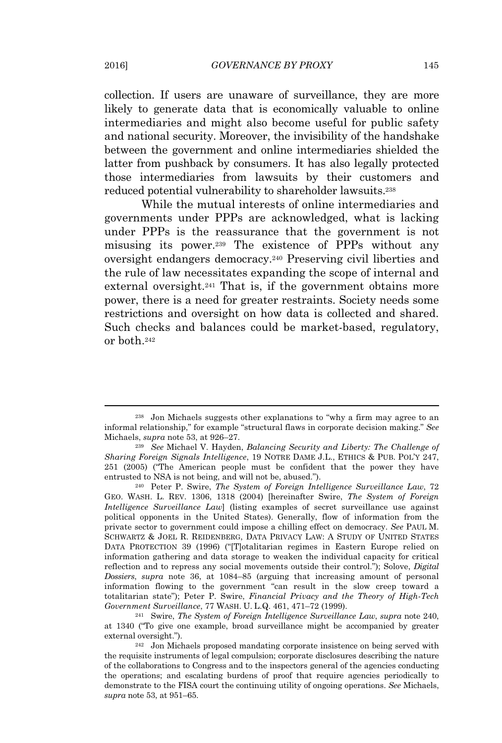collection. If users are unaware of surveillance, they are more likely to generate data that is economically valuable to online intermediaries and might also become useful for public safety and national security. Moreover, the invisibility of the handshake between the government and online intermediaries shielded the latter from pushback by consumers. It has also legally protected those intermediaries from lawsuits by their customers and reduced potential vulnerability to shareholder lawsuits.<sup>238</sup>

While the mutual interests of online intermediaries and governments under PPPs are acknowledged, what is lacking under PPPs is the reassurance that the government is not misusing its power.<sup>239</sup> The existence of PPPs without any oversight endangers democracy.<sup>240</sup> Preserving civil liberties and the rule of law necessitates expanding the scope of internal and external oversight.<sup>241</sup> That is, if the government obtains more power, there is a need for greater restraints. Society needs some restrictions and oversight on how data is collected and shared. Such checks and balances could be market-based, regulatory, or both.<sup>242</sup>

<sup>238</sup> Jon Michaels suggests other explanations to "why a firm may agree to an informal relationship," for example "structural flaws in corporate decision making." *See* Michaels, *supra* note 53, at 926–27.

<sup>239</sup> *See* Michael V. Hayden, *Balancing Security and Liberty: The Challenge of Sharing Foreign Signals Intelligence*, 19 NOTRE <sup>D</sup>AME J.L., ETHICS & PUB. POL'<sup>Y</sup> 247, 251 (2005) ("The American people must be confident that the power they have entrusted to NSA is not being, and will not be, abused.").

<sup>240</sup> Peter P. Swire, *The System of Foreign Intelligence Surveillance Law*, 72 GEO. WASH. L. REV. 1306, 1318 (2004) [hereinafter Swire, *The System of Foreign Intelligence Surveillance Law*] (listing examples of secret surveillance use against political opponents in the United States). Generally, flow of information from the private sector to government could impose a chilling effect on democracy. *See* PAUL M. SCHWARTZ & JOEL R. REIDENBERG, DATA PRIVACY LAW: A STUDY OF UNITED STATES DATA PROTECTION 39 (1996) ("[T]otalitarian regimes in Eastern Europe relied on information gathering and data storage to weaken the individual capacity for critical reflection and to repress any social movements outside their control."); Solove, *Digital Dossiers*, *supra* note 36, at 1084–85 (arguing that increasing amount of personal information flowing to the government "can result in the slow creep toward a totalitarian state"); Peter P. Swire, *Financial Privacy and the Theory of High-Tech Government Surveillance*, 77 WASH. U. L.Q. 461, 471–72 (1999).

<sup>241</sup> Swire, *The System of Foreign Intelligence Surveillance Law*, *supra* note 240, at 1340 ("To give one example, broad surveillance might be accompanied by greater external oversight.").

<sup>242</sup> Jon Michaels proposed mandating corporate insistence on being served with the requisite instruments of legal compulsion; corporate disclosures describing the nature of the collaborations to Congress and to the inspectors general of the agencies conducting the operations; and escalating burdens of proof that require agencies periodically to demonstrate to the FISA court the continuing utility of ongoing operations. *See* Michaels, *supra* note 53, at 951–65.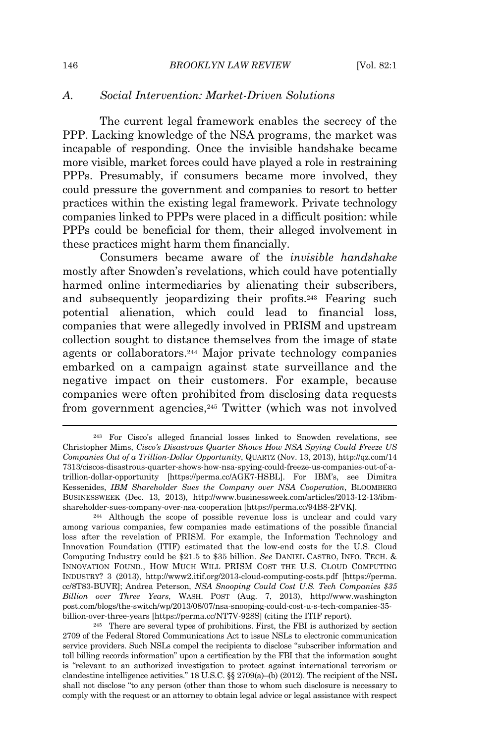## *A. Social Intervention: Market-Driven Solutions*

The current legal framework enables the secrecy of the PPP. Lacking knowledge of the NSA programs, the market was incapable of responding. Once the invisible handshake became more visible, market forces could have played a role in restraining PPPs. Presumably, if consumers became more involved, they could pressure the government and companies to resort to better practices within the existing legal framework. Private technology companies linked to PPPs were placed in a difficult position: while PPPs could be beneficial for them, their alleged involvement in these practices might harm them financially.

Consumers became aware of the *invisible handshake* mostly after Snowden's revelations, which could have potentially harmed online intermediaries by alienating their subscribers, and subsequently jeopardizing their profits.<sup>243</sup> Fearing such potential alienation, which could lead to financial loss, companies that were allegedly involved in PRISM and upstream collection sought to distance themselves from the image of state agents or collaborators.<sup>244</sup> Major private technology companies embarked on a campaign against state surveillance and the negative impact on their customers. For example, because companies were often prohibited from disclosing data requests from government agencies,<sup>245</sup> Twitter (which was not involved

<sup>243</sup> For Cisco's alleged financial losses linked to Snowden revelations, see Christopher Mims, *Cisco's Disastrous Quarter Shows How NSA Spying Could Freeze US Companies Out of a Trillion-Dollar Opportunity*, QUARTZ (Nov. 13, 2013), http://qz.com/14 7313/ciscos-disastrous-quarter-shows-how-nsa-spying-could-freeze-us-companies-out-of-atrillion-dollar-opportunity [https://perma.cc/AGK7-HSBL]. For IBM's, see Dimitra Kessenides, *IBM Shareholder Sues the Company over NSA Cooperation*, BLOOMBERG BUSINESSWEEK (Dec. 13, 2013), http://www.businessweek.com/articles/2013-12-13/ibmshareholder-sues-company-over-nsa-cooperation [https://perma.cc/94B8-2FVK].

<sup>244</sup> Although the scope of possible revenue loss is unclear and could vary among various companies, few companies made estimations of the possible financial loss after the revelation of PRISM. For example, the Information Technology and Innovation Foundation (ITIF) estimated that the low-end costs for the U.S. Cloud Computing Industry could be \$21.5 to \$35 billion. *See* DANIEL CASTRO, INFO. TECH. & INNOVATION FOUND., HOW MUCH WILL PRISM COST THE U.S. CLOUD COMPUTING INDUSTRY? 3 (2013), http://www2.itif.org/2013-cloud-computing-costs.pdf [https://perma. cc/8T83-BUVR]; Andrea Peterson, *NSA Snooping Could Cost U.S. Tech Companies \$35 Billion over Three Years*, WASH. POST (Aug. 7, 2013), http://www.washington post.com/blogs/the-switch/wp/2013/08/07/nsa-snooping-could-cost-u-s-tech-companies-35 billion-over-three-years [https://perma.cc/NT7V-928S] (citing the ITIF report).

<sup>245</sup> There are several types of prohibitions. First, the FBI is authorized by section 2709 of the Federal Stored Communications Act to issue NSLs to electronic communication service providers. Such NSLs compel the recipients to disclose "subscriber information and toll billing records information" upon a certification by the FBI that the information sought is "relevant to an authorized investigation to protect against international terrorism or clandestine intelligence activities." 18 U.S.C. §§ 2709(a)–(b) (2012). The recipient of the NSL shall not disclose "to any person (other than those to whom such disclosure is necessary to comply with the request or an attorney to obtain legal advice or legal assistance with respect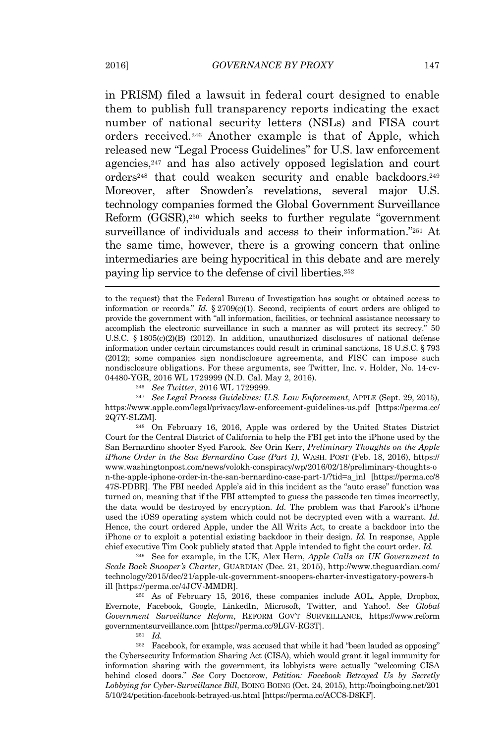in PRISM) filed a lawsuit in federal court designed to enable them to publish full transparency reports indicating the exact number of national security letters (NSLs) and FISA court orders received.<sup>246</sup> Another example is that of Apple, which released new "Legal Process Guidelines" for U.S. law enforcement agencies,<sup>247</sup> and has also actively opposed legislation and court orders<sup>248</sup> that could weaken security and enable backdoors.<sup>249</sup> Moreover, after Snowden's revelations, several major U.S. technology companies formed the Global Government Surveillance Reform (GGSR),<sup>250</sup> which seeks to further regulate "government surveillance of individuals and access to their information."<sup>251</sup> At the same time, however, there is a growing concern that online intermediaries are being hypocritical in this debate and are merely paying lip service to the defense of civil liberties.<sup>252</sup>

<sup>246</sup> *See Twitter*, 2016 WL 1729999.

<sup>247</sup> *See Legal Process Guidelines: U.S. Law Enforcement*, APPLE (Sept. 29, 2015), https://www.apple.com/legal/privacy/law-enforcement-guidelines-us.pdf [https://perma.cc/ 2Q7Y-SLZM].

<sup>248</sup> On February 16, 2016, Apple was ordered by the United States District Court for the Central District of California to help the FBI get into the iPhone used by the San Bernardino shooter Syed Farook. *See* Orin Kerr, *Preliminary Thoughts on the Apple iPhone Order in the San Bernardino Case (Part 1)*, WASH. POST (Feb. 18, 2016), https:// www.washingtonpost.com/news/volokh-conspiracy/wp/2016/02/18/preliminary-thoughts-o n-the-apple-iphone-order-in-the-san-bernardino-case-part-1/?tid=a\_inl [https://perma.cc/8 47S-PDBR]. The FBI needed Apple's aid in this incident as the "auto erase" function was turned on, meaning that if the FBI attempted to guess the passcode ten times incorrectly, the data would be destroyed by encryption. *Id.* The problem was that Farook's iPhone used the iOS9 operating system which could not be decrypted even with a warrant. *Id.* Hence, the court ordered Apple, under the All Writs Act, to create a backdoor into the iPhone or to exploit a potential existing backdoor in their design. *Id.* In response, Apple chief executive Tim Cook publicly stated that Apple intended to fight the court order. *Id.*

<sup>249</sup> See for example, in the UK, Alex Hern, *Apple Calls on UK Government to Scale Back Snooper's Charter*, GUARDIAN (Dec. 21, 2015), http://www.theguardian.com/ technology/2015/dec/21/apple-uk-government-snoopers-charter-investigatory-powers-b ill [https://perma.cc/4JCV-MMDR].

<sup>250</sup> As of February 15, 2016, these companies include AOL, Apple, Dropbox, Evernote, Facebook, Google, LinkedIn, Microsoft, Twitter, and Yahoo!. *See Global Government Surveillance Reform*, REFORM <sup>G</sup>OV'<sup>T</sup> <sup>S</sup>URVEILLANCE, https://www.reform governmentsurveillance.com [https://perma.cc/9LGV-RG3T].

<sup>251</sup> *Id.*

<sup>252</sup> Facebook, for example, was accused that while it had "been lauded as opposing" the Cybersecurity Information Sharing Act (CISA), which would grant it legal immunity for information sharing with the government, its lobbyists were actually "welcoming CISA behind closed doors." *See* Cory Doctorow, *Petition: Facebook Betrayed Us by Secretly Lobbying for Cyber-Surveillance Bill*, BOING BOING (Oct. 24, 2015), http://boingboing.net/201 5/10/24/petition-facebook-betrayed-us.html [https://perma.cc/ACC8-D8KF].

to the request) that the Federal Bureau of Investigation has sought or obtained access to information or records." *Id.*  $\S 2709(c)(1)$ . Second, recipients of court orders are obliged to provide the government with "all information, facilities, or technical assistance necessary to accomplish the electronic surveillance in such a manner as will protect its secrecy." 50 U.S.C. § 1805(c)(2)(B) (2012). In addition, unauthorized disclosures of national defense information under certain circumstances could result in criminal sanctions, 18 U.S.C. § 793 (2012); some companies sign nondisclosure agreements, and FISC can impose such nondisclosure obligations. For these arguments, see Twitter, Inc. v. Holder, No. 14-cv-04480-YGR, 2016 WL 1729999 (N.D. Cal. May 2, 2016).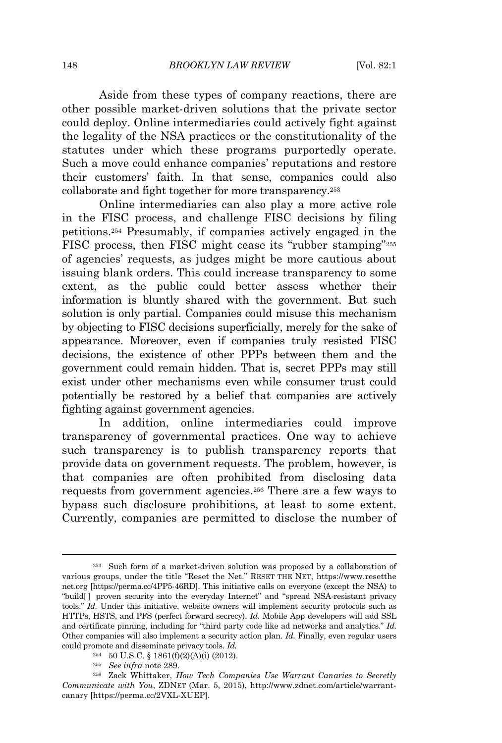Aside from these types of company reactions, there are other possible market-driven solutions that the private sector could deploy. Online intermediaries could actively fight against the legality of the NSA practices or the constitutionality of the statutes under which these programs purportedly operate. Such a move could enhance companies' reputations and restore their customers' faith. In that sense, companies could also collaborate and fight together for more transparency.<sup>253</sup>

Online intermediaries can also play a more active role in the FISC process, and challenge FISC decisions by filing petitions.<sup>254</sup> Presumably, if companies actively engaged in the FISC process, then FISC might cease its "rubber stamping"<sup>255</sup> of agencies' requests, as judges might be more cautious about issuing blank orders. This could increase transparency to some extent, as the public could better assess whether their information is bluntly shared with the government. But such solution is only partial. Companies could misuse this mechanism by objecting to FISC decisions superficially, merely for the sake of appearance. Moreover, even if companies truly resisted FISC decisions, the existence of other PPPs between them and the government could remain hidden. That is, secret PPPs may still exist under other mechanisms even while consumer trust could potentially be restored by a belief that companies are actively fighting against government agencies.

In addition, online intermediaries could improve transparency of governmental practices. One way to achieve such transparency is to publish transparency reports that provide data on government requests. The problem, however, is that companies are often prohibited from disclosing data requests from government agencies.<sup>256</sup> There are a few ways to bypass such disclosure prohibitions, at least to some extent. Currently, companies are permitted to disclose the number of

<sup>253</sup> Such form of a market-driven solution was proposed by a collaboration of various groups, under the title "Reset the Net." RESET THE NET, https://www.resetthe net.org [https://perma.cc/4PP5-46RD]. This initiative calls on everyone (except the NSA) to "build[ ] proven security into the everyday Internet" and "spread NSA-resistant privacy tools." *Id.* Under this initiative, website owners will implement security protocols such as HTTPs, HSTS, and PFS (perfect forward secrecy). *Id.* Mobile App developers will add SSL and certificate pinning, including for "third party code like ad networks and analytics." *Id.* Other companies will also implement a security action plan. *Id.* Finally, even regular users could promote and disseminate privacy tools. *Id.*

<sup>254</sup> 50 U.S.C. § 1861(f)(2)(A)(i) (2012).

<sup>255</sup> *See infra* note 289.

<sup>256</sup> Zack Whittaker, *How Tech Companies Use Warrant Canaries to Secretly Communicate with You*, ZDNET (Mar. 5, 2015), http://www.zdnet.com/article/warrantcanary [https://perma.cc/2VXL-XUEP].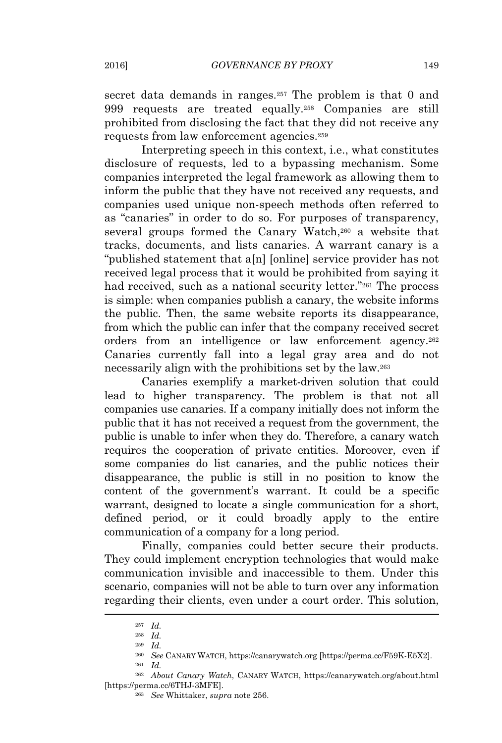secret data demands in ranges.<sup>257</sup> The problem is that 0 and 999 requests are treated equally.<sup>258</sup> Companies are still prohibited from disclosing the fact that they did not receive any requests from law enforcement agencies.<sup>259</sup>

Interpreting speech in this context, i.e., what constitutes disclosure of requests, led to a bypassing mechanism. Some companies interpreted the legal framework as allowing them to inform the public that they have not received any requests, and companies used unique non-speech methods often referred to as "canaries" in order to do so. For purposes of transparency, several groups formed the Canary Watch,<sup>260</sup> a website that tracks, documents, and lists canaries. A warrant canary is a "published statement that a[n] [online] service provider has not received legal process that it would be prohibited from saying it had received, such as a national security letter."<sup>261</sup> The process is simple: when companies publish a canary, the website informs the public. Then, the same website reports its disappearance, from which the public can infer that the company received secret orders from an intelligence or law enforcement agency.<sup>262</sup> Canaries currently fall into a legal gray area and do not necessarily align with the prohibitions set by the law.<sup>263</sup>

Canaries exemplify a market-driven solution that could lead to higher transparency. The problem is that not all companies use canaries. If a company initially does not inform the public that it has not received a request from the government, the public is unable to infer when they do. Therefore, a canary watch requires the cooperation of private entities. Moreover, even if some companies do list canaries, and the public notices their disappearance, the public is still in no position to know the content of the government's warrant. It could be a specific warrant, designed to locate a single communication for a short, defined period, or it could broadly apply to the entire communication of a company for a long period.

Finally, companies could better secure their products. They could implement encryption technologies that would make communication invisible and inaccessible to them. Under this scenario, companies will not be able to turn over any information regarding their clients, even under a court order. This solution,

<sup>257</sup> *Id.*

<sup>258</sup> *Id.*

<sup>259</sup> *Id.*

<sup>260</sup> *See* CANARY WATCH, https://canarywatch.org [https://perma.cc/F59K-E5X2].  $^{261}$   $\overline{Id}$ .

<sup>262</sup> *About Canary Watch*, CANARY WATCH, https://canarywatch.org/about.html [https://perma.cc/6THJ-3MFE].

<sup>263</sup> *See* Whittaker, *supra* note 256.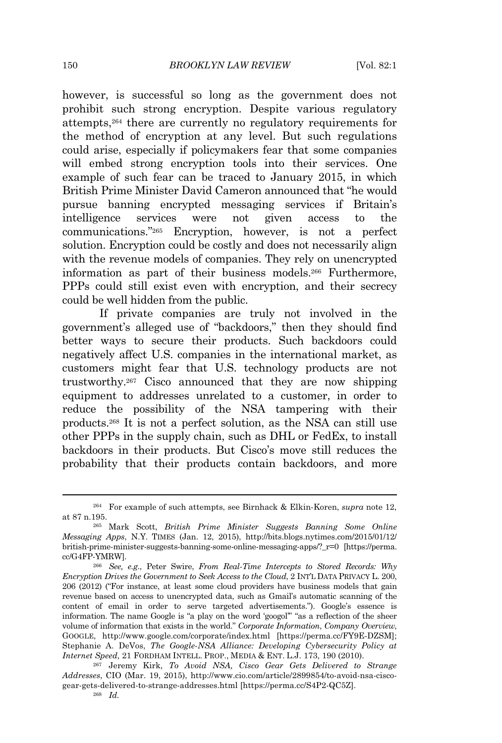however, is successful so long as the government does not prohibit such strong encryption. Despite various regulatory attempts,<sup>264</sup> there are currently no regulatory requirements for the method of encryption at any level. But such regulations could arise, especially if policymakers fear that some companies will embed strong encryption tools into their services. One example of such fear can be traced to January 2015, in which British Prime Minister David Cameron announced that "he would pursue banning encrypted messaging services if Britain's intelligence services were not given access to the communications." <sup>265</sup> Encryption, however, is not a perfect solution. Encryption could be costly and does not necessarily align with the revenue models of companies. They rely on unencrypted information as part of their business models.<sup>266</sup> Furthermore, PPPs could still exist even with encryption, and their secrecy could be well hidden from the public.

If private companies are truly not involved in the government's alleged use of "backdoors," then they should find better ways to secure their products. Such backdoors could negatively affect U.S. companies in the international market, as customers might fear that U.S. technology products are not trustworthy.<sup>267</sup> Cisco announced that they are now shipping equipment to addresses unrelated to a customer, in order to reduce the possibility of the NSA tampering with their products.<sup>268</sup> It is not a perfect solution, as the NSA can still use other PPPs in the supply chain, such as DHL or FedEx, to install backdoors in their products. But Cisco's move still reduces the probability that their products contain backdoors, and more

<sup>264</sup> For example of such attempts, see Birnhack & Elkin-Koren, *supra* note 12, at 87 n.195.

<sup>265</sup> Mark Scott, *British Prime Minister Suggests Banning Some Online Messaging Apps*, N.Y. TIMES (Jan. 12, 2015), http://bits.blogs.nytimes.com/2015/01/12/ british-prime-minister-suggests-banning-some-online-messaging-apps/?\_r=0 [https://perma. cc/G4FP-YMRW].

<sup>266</sup> *See, e.g*., Peter Swire, *From Real-Time Intercepts to Stored Records: Why Encryption Drives the Government to Seek Access to the Cloud*, 2 INT'<sup>L</sup> <sup>D</sup>ATA <sup>P</sup>RIVACY L. 200, 206 (2012) ("For instance, at least some cloud providers have business models that gain revenue based on access to unencrypted data, such as Gmail's automatic scanning of the content of email in order to serve targeted advertisements."). Google's essence is information. The name Google is "a play on the word 'googol'" "as a reflection of the sheer volume of information that exists in the world." *Corporate Information*, *Company Overview*, GOOGLE, http://www.google.com/corporate/index.html [https://perma.cc/FY9E-DZSM]; Stephanie A. DeVos, *The Google-NSA Alliance: Developing Cybersecurity Policy at Internet Speed*, 21 FORDHAM INTELL. PROP., MEDIA & ENT. L.J. 173, 190 (2010).

<sup>267</sup> Jeremy Kirk, *To Avoid NSA, Cisco Gear Gets Delivered to Strange Addresses*, CIO (Mar. 19, 2015), http://www.cio.com/article/2899854/to-avoid-nsa-ciscogear-gets-delivered-to-strange-addresses.html [https://perma.cc/S4P2-QC5Z]. <sup>268</sup> *Id.*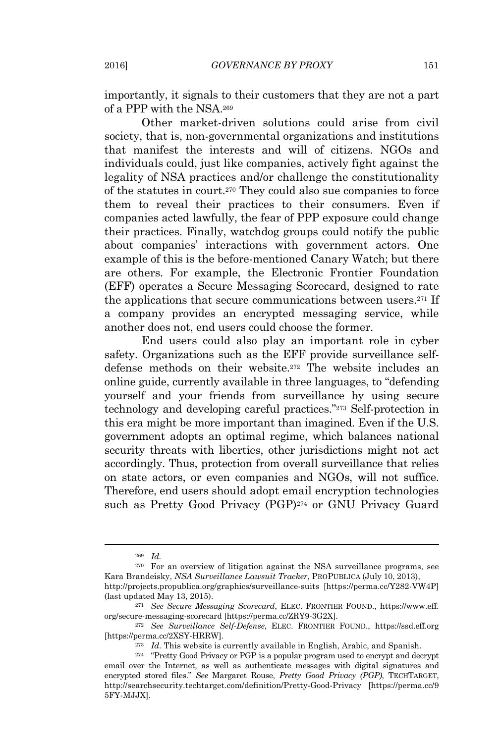importantly, it signals to their customers that they are not a part of a PPP with the NSA.<sup>269</sup>

Other market-driven solutions could arise from civil society, that is, non-governmental organizations and institutions that manifest the interests and will of citizens. NGOs and individuals could, just like companies, actively fight against the legality of NSA practices and/or challenge the constitutionality of the statutes in court.<sup>270</sup> They could also sue companies to force them to reveal their practices to their consumers. Even if companies acted lawfully, the fear of PPP exposure could change their practices. Finally, watchdog groups could notify the public about companies' interactions with government actors. One example of this is the before-mentioned Canary Watch; but there are others. For example, the Electronic Frontier Foundation (EFF) operates a Secure Messaging Scorecard, designed to rate the applications that secure communications between users.<sup>271</sup> If a company provides an encrypted messaging service, while another does not, end users could choose the former.

End users could also play an important role in cyber safety. Organizations such as the EFF provide surveillance selfdefense methods on their website.<sup>272</sup> The website includes an online guide, currently available in three languages, to "defending yourself and your friends from surveillance by using secure technology and developing careful practices." <sup>273</sup> Self-protection in this era might be more important than imagined. Even if the U.S. government adopts an optimal regime, which balances national security threats with liberties, other jurisdictions might not act accordingly. Thus, protection from overall surveillance that relies on state actors, or even companies and NGOs, will not suffice. Therefore, end users should adopt email encryption technologies such as Pretty Good Privacy (PGP)<sup>274</sup> or GNU Privacy Guard

<sup>269</sup> *Id.*

<sup>270</sup> For an overview of litigation against the NSA surveillance programs, see Kara Brandeisky, *NSA Surveillance Lawsuit Tracker*, PROPUBLICA (July 10, 2013),

http://projects.propublica.org/graphics/surveillance-suits [https://perma.cc/Y282-VW4P] (last updated May 13, 2015).

<sup>271</sup> *See Secure Messaging Scorecard*, ELEC. FRONTIER FOUND., https://www.eff. org/secure-messaging-scorecard [https://perma.cc/ZRY9-3G2X].

<sup>272</sup> *See Surveillance Self-Defense*, ELEC. FRONTIER FOUND., https://ssd.eff.org [https://perma.cc/2XSY-HRRW].

<sup>273</sup> *Id.* This website is currently available in English, Arabic, and Spanish.

 $^{274}$  "Pretty Good Privacy or PGP is a popular program used to encrypt and decrypt email over the Internet, as well as authenticate messages with digital signatures and encrypted stored files." *See* Margaret Rouse, *Pretty Good Privacy (PGP)*, TECHTARGET, http://searchsecurity.techtarget.com/definition/Pretty-Good-Privacy [https://perma.cc/9 5FY-MJJX].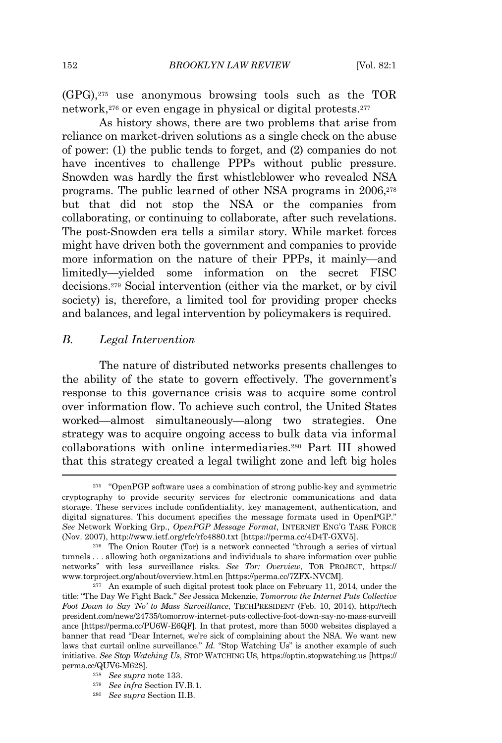(GPG),<sup>275</sup> use anonymous browsing tools such as the TOR network,<sup>276</sup> or even engage in physical or digital protests.<sup>277</sup>

As history shows, there are two problems that arise from reliance on market-driven solutions as a single check on the abuse of power: (1) the public tends to forget, and (2) companies do not have incentives to challenge PPPs without public pressure. Snowden was hardly the first whistleblower who revealed NSA programs. The public learned of other NSA programs in 2006,<sup>278</sup> but that did not stop the NSA or the companies from collaborating, or continuing to collaborate, after such revelations. The post-Snowden era tells a similar story. While market forces might have driven both the government and companies to provide more information on the nature of their PPPs, it mainly—and limitedly—yielded some information on the secret FISC decisions.<sup>279</sup> Social intervention (either via the market, or by civil society) is, therefore, a limited tool for providing proper checks and balances, and legal intervention by policymakers is required.

## *B. Legal Intervention*

The nature of distributed networks presents challenges to the ability of the state to govern effectively. The government's response to this governance crisis was to acquire some control over information flow. To achieve such control, the United States worked—almost simultaneously—along two strategies. One strategy was to acquire ongoing access to bulk data via informal collaborations with online intermediaries.<sup>280</sup> Part III showed that this strategy created a legal twilight zone and left big holes

<sup>280</sup> *See supra* Section II.B.

<sup>275</sup> "OpenPGP software uses a combination of strong public-key and symmetric cryptography to provide security services for electronic communications and data storage. These services include confidentiality, key management, authentication, and digital signatures. This document specifies the message formats used in OpenPGP." *See* Network Working Grp., *OpenPGP Message Format*, INTERNET <sup>E</sup>NG'<sup>G</sup> <sup>T</sup>ASK <sup>F</sup>ORCE (Nov. 2007), http://www.ietf.org/rfc/rfc4880.txt [https://perma.cc/4D4T-GXV5].

<sup>276</sup> The Onion Router (Tor) is a network connected "through a series of virtual tunnels . . . allowing both organizations and individuals to share information over public networks" with less surveillance risks. *See Tor: Overview*, TOR <sup>P</sup>ROJECT, https:// www.torproject.org/about/overview.html.en [https://perma.cc/7ZFX-NVCM].

<sup>277</sup> An example of such digital protest took place on February 11, 2014, under the title: "The Day We Fight Back." *See* Jessica Mckenzie, *Tomorrow the Internet Puts Collective Foot Down to Say 'No' to Mass Surveillance*, TECHPRESIDENT (Feb. 10, 2014), http://tech president.com/news/24735/tomorrow-internet-puts-collective-foot-down-say-no-mass-surveill ance [https://perma.cc/PU6W-E6QF]. In that protest, more than 5000 websites displayed a banner that read "Dear Internet, we're sick of complaining about the NSA. We want new laws that curtail online surveillance." *Id.* "Stop Watching Us" is another example of such initiative. *See Stop Watching Us*, STOP WATCHING US, https://optin.stopwatching.us [https:// perma.cc/QUV6-M628].

<sup>278</sup> *See supra* note 133.

<sup>279</sup> *See infra* Section IV.B.1.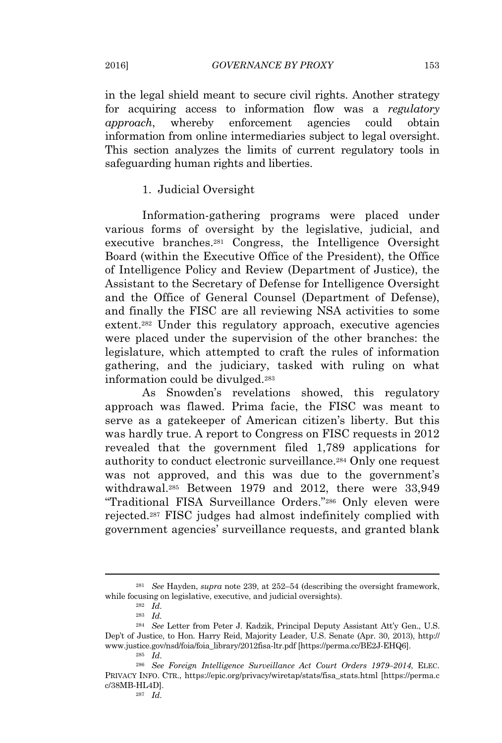in the legal shield meant to secure civil rights. Another strategy for acquiring access to information flow was a *regulatory approach*, whereby enforcement agencies could obtain information from online intermediaries subject to legal oversight. This section analyzes the limits of current regulatory tools in safeguarding human rights and liberties.

### 1. Judicial Oversight

Information-gathering programs were placed under various forms of oversight by the legislative, judicial, and executive branches.<sup>281</sup> Congress, the Intelligence Oversight Board (within the Executive Office of the President), the Office of Intelligence Policy and Review (Department of Justice), the Assistant to the Secretary of Defense for Intelligence Oversight and the Office of General Counsel (Department of Defense), and finally the FISC are all reviewing NSA activities to some extent.<sup>282</sup> Under this regulatory approach, executive agencies were placed under the supervision of the other branches: the legislature, which attempted to craft the rules of information gathering, and the judiciary, tasked with ruling on what information could be divulged.<sup>283</sup>

As Snowden's revelations showed, this regulatory approach was flawed. Prima facie, the FISC was meant to serve as a gatekeeper of American citizen's liberty. But this was hardly true. A report to Congress on FISC requests in 2012 revealed that the government filed 1,789 applications for authority to conduct electronic surveillance.<sup>284</sup> Only one request was not approved, and this was due to the government's withdrawal.<sup>285</sup> Between 1979 and 2012, there were 33,949 "Traditional FISA Surveillance Orders." <sup>286</sup> Only eleven were rejected.<sup>287</sup> FISC judges had almost indefinitely complied with government agencies' surveillance requests, and granted blank

<sup>281</sup> *See* Hayden, *supra* note 239, at 252–54 (describing the oversight framework, while focusing on legislative, executive, and judicial oversights).

 $282$   $Id.$ 

<sup>283</sup> *Id.*

<sup>284</sup> *See* Letter from Peter J. Kadzik, Principal Deputy Assistant Att'y Gen., U.S. Dep't of Justice, to Hon. Harry Reid, Majority Leader, U.S. Senate (Apr. 30, 2013), http:// www.justice.gov/nsd/foia/foia\_library/2012fisa-ltr.pdf [https://perma.cc/BE2J-EHQ6].  $285$   $Id.$ 

<sup>286</sup> *See Foreign Intelligence Surveillance Act Court Orders 1979–2014*, ELEC. PRIVACY INFO. CTR., https://epic.org/privacy/wiretap/stats/fisa\_stats.html [https://perma.c c/38MB-HL4D].

<sup>287</sup> *Id.*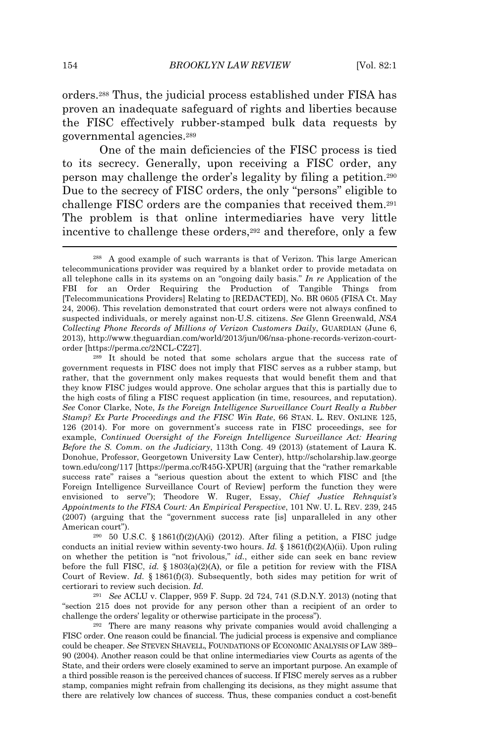orders.<sup>288</sup> Thus, the judicial process established under FISA has proven an inadequate safeguard of rights and liberties because the FISC effectively rubber-stamped bulk data requests by governmental agencies.<sup>289</sup>

One of the main deficiencies of the FISC process is tied to its secrecy. Generally, upon receiving a FISC order, any person may challenge the order's legality by filing a petition.<sup>290</sup> Due to the secrecy of FISC orders, the only "persons" eligible to challenge FISC orders are the companies that received them.<sup>291</sup> The problem is that online intermediaries have very little incentive to challenge these orders,<sup>292</sup> and therefore, only a few

<sup>289</sup> It should be noted that some scholars argue that the success rate of government requests in FISC does not imply that FISC serves as a rubber stamp, but rather, that the government only makes requests that would benefit them and that they know FISC judges would approve. One scholar argues that this is partially due to the high costs of filing a FISC request application (in time, resources, and reputation). *See* Conor Clarke, Note, *Is the Foreign Intelligence Surveillance Court Really a Rubber Stamp? Ex Parte Proceedings and the FISC Win Rate*, 66 STAN. L. REV. ONLINE 125, 126 (2014). For more on government's success rate in FISC proceedings, see for example, *Continued Oversight of the Foreign Intelligence Surveillance Act: Hearing Before the S. Comm. on the Judiciary*, 113th Cong. 49 (2013) (statement of Laura K. Donohue, Professor, Georgetown University Law Center), http://scholarship.law.george town.edu/cong/117 [https://perma.cc/R45G-XPUR] (arguing that the "rather remarkable success rate" raises a "serious question about the extent to which FISC and [the Foreign Intelligence Surveillance Court of Review] perform the function they were envisioned to serve"); Theodore W. Ruger, Essay, *Chief Justice Rehnquist's Appointments to the FISA Court: An Empirical Perspective*, 101 NW. U. L. REV. 239, 245 (2007) (arguing that the "government success rate [is] unparalleled in any other American court").

 $290$  50 U.S.C. § 1861(f)(2)(A)(i) (2012). After filing a petition, a FISC judge conducts an initial review within seventy-two hours. *Id.* § 1861(f)(2)(A)(ii). Upon ruling on whether the petition is "not frivolous," *id.*, either side can seek en banc review before the full FISC, *id.* § 1803(a)(2)(A), or file a petition for review with the FISA Court of Review. *Id.* § 1861(f)(3). Subsequently, both sides may petition for writ of certiorari to review such decision. *Id.*

<sup>291</sup> *See* ACLU v. Clapper, 959 F. Supp. 2d 724, 741 (S.D.N.Y. 2013) (noting that "section 215 does not provide for any person other than a recipient of an order to challenge the orders' legality or otherwise participate in the process").

<sup>292</sup> There are many reasons why private companies would avoid challenging a FISC order. One reason could be financial. The judicial process is expensive and compliance could be cheaper. *See* <sup>S</sup>TEVEN <sup>S</sup>HAVELL, FOUNDATIONS OF <sup>E</sup>CONOMIC <sup>A</sup>NALYSIS OF <sup>L</sup>AW 389– 90 (2004). Another reason could be that online intermediaries view Courts as agents of the State, and their orders were closely examined to serve an important purpose. An example of a third possible reason is the perceived chances of success. If FISC merely serves as a rubber stamp, companies might refrain from challenging its decisions, as they might assume that there are relatively low chances of success. Thus, these companies conduct a cost-benefit

<sup>288</sup> A good example of such warrants is that of Verizon. This large American telecommunications provider was required by a blanket order to provide metadata on all telephone calls in its systems on an "ongoing daily basis." *In re* Application of the FBI for an Order Requiring the Production of Tangible Things from [Telecommunications Providers] Relating to [REDACTED], No. BR 0605 (FISA Ct. May 24, 2006). This revelation demonstrated that court orders were not always confined to suspected individuals, or merely against non-U.S. citizens. *See* Glenn Greenwald, *NSA Collecting Phone Records of Millions of Verizon Customers Daily*, GUARDIAN (June 6, 2013), http://www.theguardian.com/world/2013/jun/06/nsa-phone-records-verizon-courtorder [https://perma.cc/2NCL-CZ27].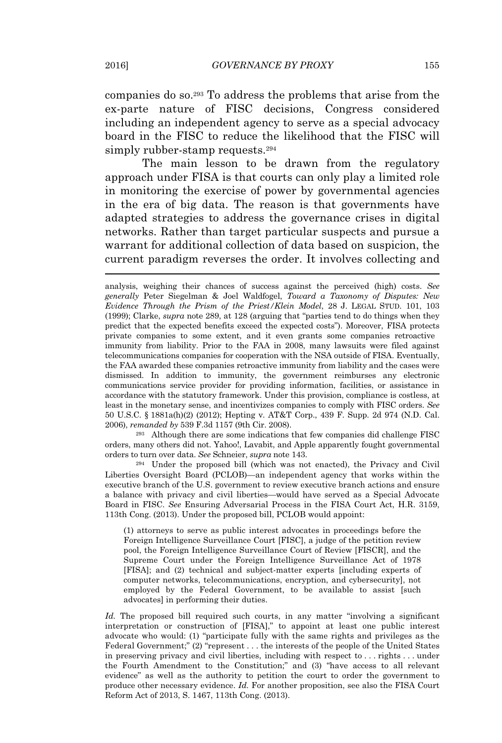companies do so.<sup>293</sup> To address the problems that arise from the ex-parte nature of FISC decisions, Congress considered including an independent agency to serve as a special advocacy board in the FISC to reduce the likelihood that the FISC will simply rubber-stamp requests.<sup>294</sup>

The main lesson to be drawn from the regulatory approach under FISA is that courts can only play a limited role in monitoring the exercise of power by governmental agencies in the era of big data. The reason is that governments have adapted strategies to address the governance crises in digital networks. Rather than target particular suspects and pursue a warrant for additional collection of data based on suspicion, the current paradigm reverses the order. It involves collecting and

<sup>293</sup> Although there are some indications that few companies did challenge FISC orders, many others did not. Yahoo!, Lavabit, and Apple apparently fought governmental orders to turn over data. *See* Schneier, *supra* note 143.

<sup>294</sup> Under the proposed bill (which was not enacted), the Privacy and Civil Liberties Oversight Board (PCLOB)—an independent agency that works within the executive branch of the U.S. government to review executive branch actions and ensure a balance with privacy and civil liberties—would have served as a Special Advocate Board in FISC. *See* Ensuring Adversarial Process in the FISA Court Act, H.R. 3159, 113th Cong. (2013). Under the proposed bill, PCLOB would appoint:

(1) attorneys to serve as public interest advocates in proceedings before the Foreign Intelligence Surveillance Court [FISC], a judge of the petition review pool, the Foreign Intelligence Surveillance Court of Review [FISCR], and the Supreme Court under the Foreign Intelligence Surveillance Act of 1978 [FISA]; and (2) technical and subject-matter experts [including experts of computer networks, telecommunications, encryption, and cybersecurity], not employed by the Federal Government, to be available to assist [such advocates] in performing their duties.

*Id.* The proposed bill required such courts, in any matter "involving a significant interpretation or construction of [FISA]," to appoint at least one public interest advocate who would: (1) "participate fully with the same rights and privileges as the Federal Government;" (2) "represent . . . the interests of the people of the United States in preserving privacy and civil liberties, including with respect to  $\dots$  rights  $\dots$  under the Fourth Amendment to the Constitution;" and (3) "have access to all relevant evidence" as well as the authority to petition the court to order the government to produce other necessary evidence. *Id.* For another proposition, see also the FISA Court Reform Act of 2013, S. 1467, 113th Cong. (2013).

analysis, weighing their chances of success against the perceived (high) costs. *See generally* Peter Siegelman & Joel Waldfogel, *Toward a Taxonomy of Disputes: New Evidence Through the Prism of the Priest/Klein Model*, 28 J. LEGAL STUD. 101, 103 (1999); Clarke, *supra* note 289, at 128 (arguing that "parties tend to do things when they predict that the expected benefits exceed the expected costs"). Moreover, FISA protects private companies to some extent, and it even grants some companies retroactive immunity from liability. Prior to the FAA in 2008, many lawsuits were filed against telecommunications companies for cooperation with the NSA outside of FISA. Eventually, the FAA awarded these companies retroactive immunity from liability and the cases were dismissed. In addition to immunity, the government reimburses any electronic communications service provider for providing information, facilities, or assistance in accordance with the statutory framework. Under this provision, compliance is costless, at least in the monetary sense, and incentivizes companies to comply with FISC orders. *See* 50 U.S.C. § 1881a(h)(2) (2012); Hepting v. AT&T Corp., 439 F. Supp. 2d 974 (N.D. Cal. 2006), *remanded by* 539 F.3d 1157 (9th Cir. 2008).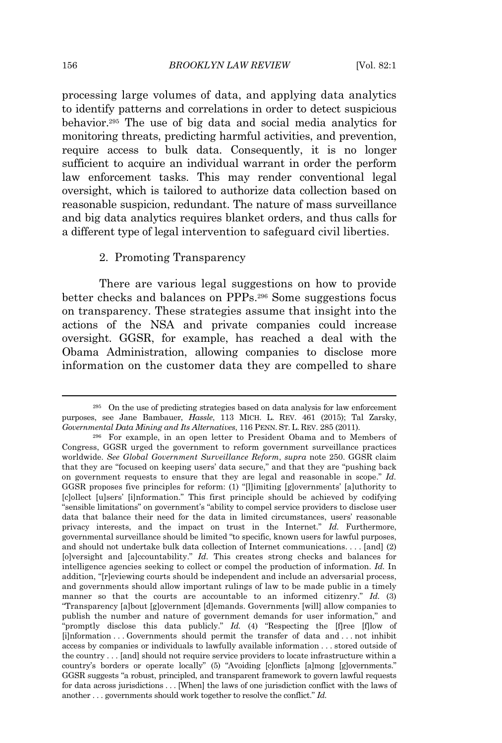#### 156 *BROOKLYN LAW REVIEW* [Vol. 82:1

processing large volumes of data, and applying data analytics to identify patterns and correlations in order to detect suspicious behavior.<sup>295</sup> The use of big data and social media analytics for monitoring threats, predicting harmful activities, and prevention, require access to bulk data. Consequently, it is no longer sufficient to acquire an individual warrant in order the perform law enforcement tasks. This may render conventional legal oversight, which is tailored to authorize data collection based on reasonable suspicion, redundant. The nature of mass surveillance and big data analytics requires blanket orders, and thus calls for a different type of legal intervention to safeguard civil liberties.

### 2. Promoting Transparency

There are various legal suggestions on how to provide better checks and balances on PPPs.<sup>296</sup> Some suggestions focus on transparency. These strategies assume that insight into the actions of the NSA and private companies could increase oversight. GGSR, for example, has reached a deal with the Obama Administration, allowing companies to disclose more information on the customer data they are compelled to share

<sup>295</sup> On the use of predicting strategies based on data analysis for law enforcement purposes, see Jane Bambauer, *Hassle*, 113 MICH. L. REV. 461 (2015); Tal Zarsky, *Governmental Data Mining and Its Alternatives*, 116 PENN. ST. L. REV. 285 (2011).

<sup>296</sup> For example, in an open letter to President Obama and to Members of Congress, GGSR urged the government to reform government surveillance practices worldwide. *See Global Government Surveillance Reform*, *supra* note 250. GGSR claim that they are "focused on keeping users' data secure," and that they are "pushing back on government requests to ensure that they are legal and reasonable in scope." *Id.* GGSR proposes five principles for reform: (1) "[l]imiting [g]overnments' [a]uthority to [c]ollect [u]sers' [i]nformation." This first principle should be achieved by codifying "sensible limitations" on government's "ability to compel service providers to disclose user data that balance their need for the data in limited circumstances, users' reasonable privacy interests, and the impact on trust in the Internet." *Id.* Furthermore, governmental surveillance should be limited "to specific, known users for lawful purposes, and should not undertake bulk data collection of Internet communications. . . . [and] (2) [o]versight and [a]ccountability." *Id.* This creates strong checks and balances for intelligence agencies seeking to collect or compel the production of information. *Id.* In addition, "[r]eviewing courts should be independent and include an adversarial process, and governments should allow important rulings of law to be made public in a timely manner so that the courts are accountable to an informed citizenry." *Id.* (3) "Transparency [a]bout [g]overnment [d]emands. Governments [will] allow companies to publish the number and nature of government demands for user information," and "promptly disclose this data publicly." *Id.* (4) "Respecting the [f]ree [f]low of [i]nformation . . . Governments should permit the transfer of data and . . . not inhibit access by companies or individuals to lawfully available information . . . stored outside of the country . . . [and] should not require service providers to locate infrastructure within a country's borders or operate locally" (5) "Avoiding [c]onflicts [a]mong [g]overnments." GGSR suggests "a robust, principled, and transparent framework to govern lawful requests for data across jurisdictions . . . [When] the laws of one jurisdiction conflict with the laws of another . . . governments should work together to resolve the conflict." *Id.*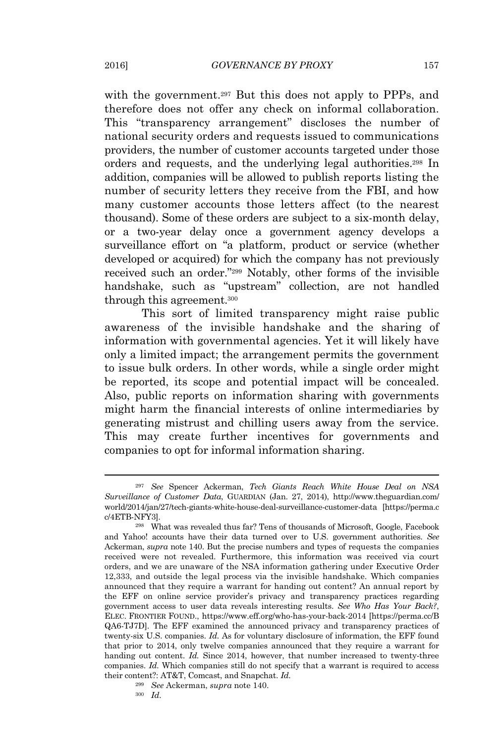with the government.<sup>297</sup> But this does not apply to PPPs, and therefore does not offer any check on informal collaboration. This "transparency arrangement" discloses the number of national security orders and requests issued to communications providers, the number of customer accounts targeted under those orders and requests, and the underlying legal authorities.<sup>298</sup> In addition, companies will be allowed to publish reports listing the number of security letters they receive from the FBI, and how many customer accounts those letters affect (to the nearest thousand). Some of these orders are subject to a six-month delay, or a two-year delay once a government agency develops a surveillance effort on "a platform, product or service (whether developed or acquired) for which the company has not previously received such an order." <sup>299</sup> Notably, other forms of the invisible handshake, such as "upstream" collection, are not handled through this agreement.<sup>300</sup>

This sort of limited transparency might raise public awareness of the invisible handshake and the sharing of information with governmental agencies. Yet it will likely have only a limited impact; the arrangement permits the government to issue bulk orders. In other words, while a single order might be reported, its scope and potential impact will be concealed. Also, public reports on information sharing with governments might harm the financial interests of online intermediaries by generating mistrust and chilling users away from the service. This may create further incentives for governments and companies to opt for informal information sharing.

<sup>297</sup> *See* Spencer Ackerman, *Tech Giants Reach White House Deal on NSA Surveillance of Customer Data*, GUARDIAN (Jan. 27, 2014), http://www.theguardian.com/ world/2014/jan/27/tech-giants-white-house-deal-surveillance-customer-data [https://perma.c c/4ETB-NFY3].

<sup>298</sup> What was revealed thus far? Tens of thousands of Microsoft, Google, Facebook and Yahoo! accounts have their data turned over to U.S. government authorities. *See* Ackerman, *supra* note 140. But the precise numbers and types of requests the companies received were not revealed. Furthermore, this information was received via court orders, and we are unaware of the NSA information gathering under Executive Order 12,333, and outside the legal process via the invisible handshake. Which companies announced that they require a warrant for handing out content? An annual report by the EFF on online service provider's privacy and transparency practices regarding government access to user data reveals interesting results. *See Who Has Your Back?*, ELEC. FRONTIER FOUND., https://www.eff.org/who-has-your-back-2014 [https://perma.cc/B QA6-TJ7D]. The EFF examined the announced privacy and transparency practices of twenty-six U.S. companies. *Id.* As for voluntary disclosure of information, the EFF found that prior to 2014, only twelve companies announced that they require a warrant for handing out content. *Id.* Since 2014, however, that number increased to twenty-three companies. *Id.* Which companies still do not specify that a warrant is required to access their content?: AT&T, Comcast, and Snapchat. *Id.*

<sup>299</sup> *See* Ackerman, *supra* note 140.

<sup>300</sup> *Id.*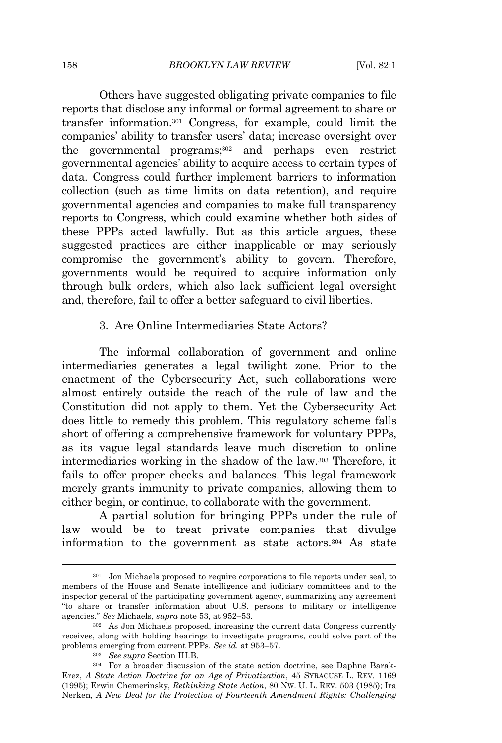Others have suggested obligating private companies to file reports that disclose any informal or formal agreement to share or transfer information.<sup>301</sup> Congress, for example, could limit the companies' ability to transfer users' data; increase oversight over the governmental programs;<sup>302</sup> and perhaps even restrict governmental agencies' ability to acquire access to certain types of data. Congress could further implement barriers to information collection (such as time limits on data retention), and require governmental agencies and companies to make full transparency reports to Congress, which could examine whether both sides of these PPPs acted lawfully. But as this article argues, these suggested practices are either inapplicable or may seriously compromise the government's ability to govern. Therefore, governments would be required to acquire information only through bulk orders, which also lack sufficient legal oversight and, therefore, fail to offer a better safeguard to civil liberties.

### 3. Are Online Intermediaries State Actors?

The informal collaboration of government and online intermediaries generates a legal twilight zone. Prior to the enactment of the Cybersecurity Act, such collaborations were almost entirely outside the reach of the rule of law and the Constitution did not apply to them. Yet the Cybersecurity Act does little to remedy this problem. This regulatory scheme falls short of offering a comprehensive framework for voluntary PPPs, as its vague legal standards leave much discretion to online intermediaries working in the shadow of the law.<sup>303</sup> Therefore, it fails to offer proper checks and balances. This legal framework merely grants immunity to private companies, allowing them to either begin, or continue, to collaborate with the government.

A partial solution for bringing PPPs under the rule of law would be to treat private companies that divulge information to the government as state actors.<sup>304</sup> As state

<sup>301</sup> Jon Michaels proposed to require corporations to file reports under seal, to members of the House and Senate intelligence and judiciary committees and to the inspector general of the participating government agency, summarizing any agreement "to share or transfer information about U.S. persons to military or intelligence agencies." *See* Michaels, *supra* note 53, at 952–53.

<sup>302</sup> As Jon Michaels proposed, increasing the current data Congress currently receives, along with holding hearings to investigate programs, could solve part of the problems emerging from current PPPs. *See id.* at 953–57.

<sup>303</sup> *See supra* Section III.B.

<sup>304</sup> For a broader discussion of the state action doctrine, see Daphne Barak-Erez, *A State Action Doctrine for an Age of Privatization*, 45 SYRACUSE L. REV. 1169 (1995); Erwin Chemerinsky, *Rethinking State Action*, 80 NW. U. L. REV. 503 (1985); Ira Nerken, *A New Deal for the Protection of Fourteenth Amendment Rights: Challenging*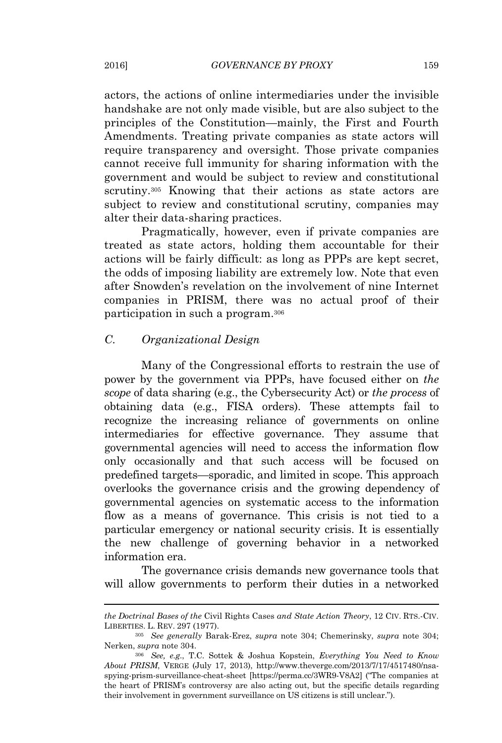actors, the actions of online intermediaries under the invisible handshake are not only made visible, but are also subject to the principles of the Constitution—mainly, the First and Fourth Amendments. Treating private companies as state actors will require transparency and oversight. Those private companies cannot receive full immunity for sharing information with the government and would be subject to review and constitutional scrutiny.<sup>305</sup> Knowing that their actions as state actors are subject to review and constitutional scrutiny, companies may alter their data-sharing practices.

Pragmatically, however, even if private companies are treated as state actors, holding them accountable for their actions will be fairly difficult: as long as PPPs are kept secret, the odds of imposing liability are extremely low. Note that even after Snowden's revelation on the involvement of nine Internet companies in PRISM, there was no actual proof of their participation in such a program.<sup>306</sup>

## *C. Organizational Design*

Many of the Congressional efforts to restrain the use of power by the government via PPPs, have focused either on *the scope* of data sharing (e.g., the Cybersecurity Act) or *the process* of obtaining data (e.g., FISA orders). These attempts fail to recognize the increasing reliance of governments on online intermediaries for effective governance. They assume that governmental agencies will need to access the information flow only occasionally and that such access will be focused on predefined targets—sporadic, and limited in scope. This approach overlooks the governance crisis and the growing dependency of governmental agencies on systematic access to the information flow as a means of governance. This crisis is not tied to a particular emergency or national security crisis. It is essentially the new challenge of governing behavior in a networked information era.

The governance crisis demands new governance tools that will allow governments to perform their duties in a networked

*the Doctrinal Bases of the* Civil Rights Cases *and State Action Theory*, 12 CIV. RTS.-CIV. LIBERTIES. L. REV. 297 (1977).

<sup>305</sup> *See generally* Barak-Erez, *supra* note 304; Chemerinsky, *supra* note 304; Nerken, *supra* note 304.

<sup>306</sup> *See, e.g*., T.C. Sottek & Joshua Kopstein, *Everything You Need to Know About PRISM*, VERGE (July 17, 2013), http://www.theverge.com/2013/7/17/4517480/nsaspying-prism-surveillance-cheat-sheet [https://perma.cc/3WR9-V8A2] ("The companies at the heart of PRISM's controversy are also acting out, but the specific details regarding their involvement in government surveillance on US citizens is still unclear.").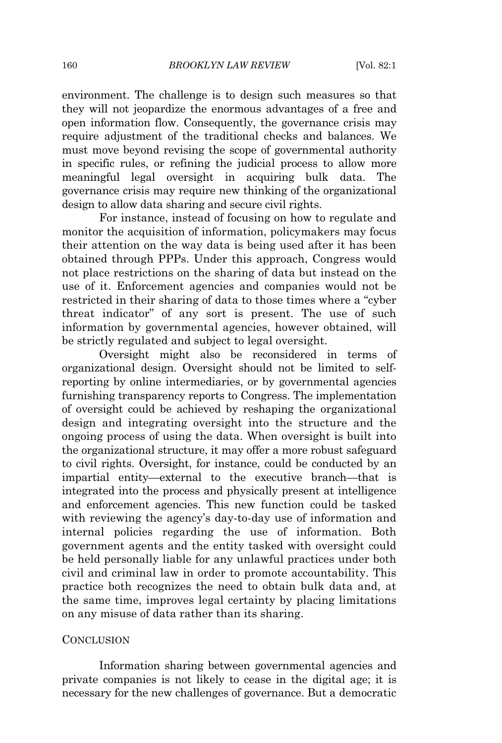environment. The challenge is to design such measures so that they will not jeopardize the enormous advantages of a free and open information flow. Consequently, the governance crisis may require adjustment of the traditional checks and balances. We must move beyond revising the scope of governmental authority in specific rules, or refining the judicial process to allow more meaningful legal oversight in acquiring bulk data. The governance crisis may require new thinking of the organizational design to allow data sharing and secure civil rights.

For instance, instead of focusing on how to regulate and monitor the acquisition of information, policymakers may focus their attention on the way data is being used after it has been obtained through PPPs. Under this approach, Congress would not place restrictions on the sharing of data but instead on the use of it. Enforcement agencies and companies would not be restricted in their sharing of data to those times where a "cyber threat indicator" of any sort is present. The use of such information by governmental agencies, however obtained, will be strictly regulated and subject to legal oversight.

Oversight might also be reconsidered in terms of organizational design. Oversight should not be limited to selfreporting by online intermediaries, or by governmental agencies furnishing transparency reports to Congress. The implementation of oversight could be achieved by reshaping the organizational design and integrating oversight into the structure and the ongoing process of using the data. When oversight is built into the organizational structure, it may offer a more robust safeguard to civil rights. Oversight, for instance, could be conducted by an impartial entity—external to the executive branch—that is integrated into the process and physically present at intelligence and enforcement agencies. This new function could be tasked with reviewing the agency's day-to-day use of information and internal policies regarding the use of information. Both government agents and the entity tasked with oversight could be held personally liable for any unlawful practices under both civil and criminal law in order to promote accountability. This practice both recognizes the need to obtain bulk data and, at the same time, improves legal certainty by placing limitations on any misuse of data rather than its sharing.

#### **CONCLUSION**

Information sharing between governmental agencies and private companies is not likely to cease in the digital age; it is necessary for the new challenges of governance. But a democratic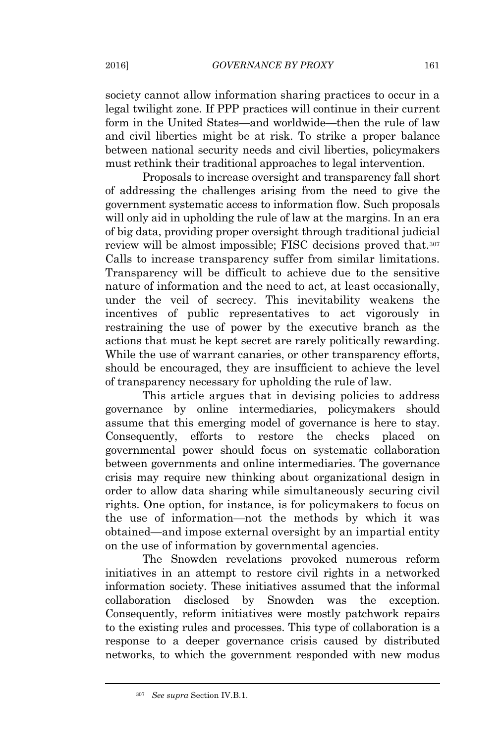society cannot allow information sharing practices to occur in a legal twilight zone. If PPP practices will continue in their current form in the United States—and worldwide—then the rule of law and civil liberties might be at risk. To strike a proper balance between national security needs and civil liberties, policymakers must rethink their traditional approaches to legal intervention.

Proposals to increase oversight and transparency fall short of addressing the challenges arising from the need to give the government systematic access to information flow. Such proposals will only aid in upholding the rule of law at the margins. In an era of big data, providing proper oversight through traditional judicial review will be almost impossible; FISC decisions proved that.<sup>307</sup> Calls to increase transparency suffer from similar limitations. Transparency will be difficult to achieve due to the sensitive nature of information and the need to act, at least occasionally, under the veil of secrecy. This inevitability weakens the incentives of public representatives to act vigorously in restraining the use of power by the executive branch as the actions that must be kept secret are rarely politically rewarding. While the use of warrant canaries, or other transparency efforts, should be encouraged, they are insufficient to achieve the level of transparency necessary for upholding the rule of law.

This article argues that in devising policies to address governance by online intermediaries, policymakers should assume that this emerging model of governance is here to stay. Consequently, efforts to restore the checks placed on governmental power should focus on systematic collaboration between governments and online intermediaries. The governance crisis may require new thinking about organizational design in order to allow data sharing while simultaneously securing civil rights. One option, for instance, is for policymakers to focus on the use of information—not the methods by which it was obtained—and impose external oversight by an impartial entity on the use of information by governmental agencies.

The Snowden revelations provoked numerous reform initiatives in an attempt to restore civil rights in a networked information society. These initiatives assumed that the informal collaboration disclosed by Snowden was the exception. Consequently, reform initiatives were mostly patchwork repairs to the existing rules and processes. This type of collaboration is a response to a deeper governance crisis caused by distributed networks, to which the government responded with new modus

<sup>307</sup> *See supra* Section IV.B.1.